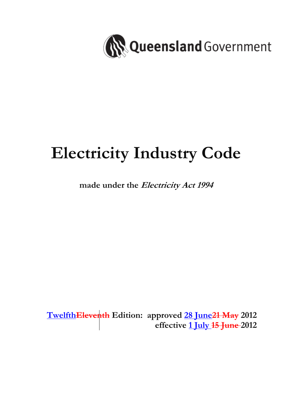

# **Electricity Industry Code**

# **made under the Electricity Act 1994**

**TwelfthEleventh Edition: approved 28 June21 May 2012 effective 1 July 15 June 2012**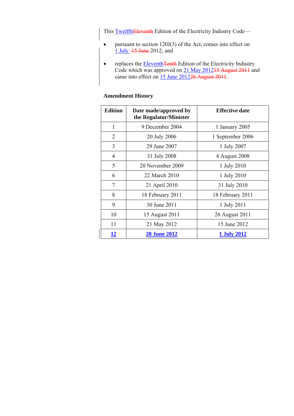This TwelfthEleventh Edition of the Electricity Industry Code—

- pursuant to section 120J(3) of the Act, comes into effect on 1 July 15 June 2012; and
- replaces the Eleventh Tenth Edition of the Electricity Industry Code which was approved on 21 May 201215 August 2011 and came into effect on 15 June 201226 August 2011.

# Edition **Date made/approved by the Regulator/Minister Effective date**  1 9 December 2004 1 January 2005 2 | 20 July 2006 | 1 September 2006 3 29 June 2007 1 July 2007 4 31 July 2008 4 August 2008 5 20 November 2009 1 July 2010 6 22 March 2010 1 July 2010 7 21 April 2010 31 July 2010 8 18 February 2011 18 February 2011 9 30 June 2011 1 July 2011 10 15 August 2011 26 August 2011 11 21 May 2012 15 June 2012 **12 28 June 2012 1 July 2012**

#### **Amendment History**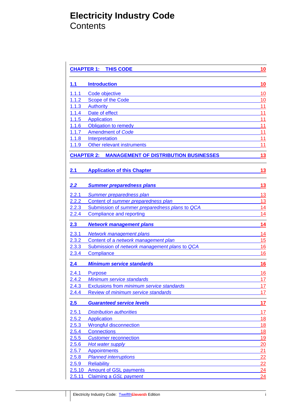# **Electricity Industry Code Contents**

|              | <b>CHAPTER 1: THIS CODE</b>                                       |           |
|--------------|-------------------------------------------------------------------|-----------|
| 1.1          | <b>Introduction</b>                                               | 10        |
| 1.1.1        | Code objective                                                    | 10        |
| 1.1.2        | Scope of the Code                                                 | 10        |
| 1.1.3        | <b>Authority</b>                                                  | 11        |
| 1.1.4        | Date of effect                                                    | 11        |
| 1.1.5        | <b>Application</b>                                                | 11        |
| 1.1.6        | <b>Obligation to remedy</b>                                       | 11        |
| 1.1.7        | <b>Amendment of Code</b>                                          | 11        |
| 1.1.8        | Interpretation                                                    | 11        |
| 1.1.9        | Other relevant instruments                                        | 11        |
|              | <b>CHAPTER 2:</b><br><b>MANAGEMENT OF DISTRIBUTION BUSINESSES</b> | 13        |
| 2.1          | <b>Application of this Chapter</b>                                | <u>13</u> |
| 2.2          | <b>Summer preparedness plans</b>                                  | 13        |
| 2.2.1        | <b>Summer preparedness plan</b>                                   | 13        |
| 2.2.2        | Content of summer preparedness plan                               | 13        |
| 2.2.3        | Submission of summer preparedness plans to QCA                    | 14        |
| 2.2.4        | <b>Compliance and reporting</b>                                   | 14        |
| 2.3          | <b>Network management plans</b>                                   | 14        |
| 2.3.1        | Network management plans                                          | 14        |
| 2.3.2        | Content of a network management plan                              | 15        |
| 2.3.3        | Submission of network management plans to QCA                     | 16        |
| 2.3.4        | Compliance                                                        | 16        |
| 2.4          | <b>Minimum service standards</b>                                  | 16        |
| 2.4.1        | <b>Purpose</b>                                                    | 16        |
| 2.4.2        | Minimum service standards                                         | 17        |
| <u>2.4.3</u> | Exclusions from minimum service standards                         | 17        |
| 2.4.4        | Review of minimum service standards                               | 17        |
| 2.5          | <b>Guaranteed service levels</b>                                  | 17        |
| 2.5.1        | <b>Distribution authorities</b>                                   | 17        |
| 2.5.2        | <b>Application</b>                                                | 18        |
| 2.5.3        | <b>Wrongful disconnection</b>                                     | 18        |
| 2.5.4        | <b>Connections</b>                                                | 18        |
| 2.5.5        | <b>Customer reconnection</b>                                      | 19        |
| 2.5.6        | Hot water supply                                                  | 20        |
| 2.5.7        | <b>Appointments</b>                                               | 21        |
| 2.5.8        | <b>Planned interruptions</b>                                      | 22        |
| 2.5.9        | <b>Reliability</b>                                                | 22        |
| 2.5.10       | <b>Amount of GSL payments</b>                                     | 24        |
| 2.5.11       | Claiming a GSL payment                                            | 24        |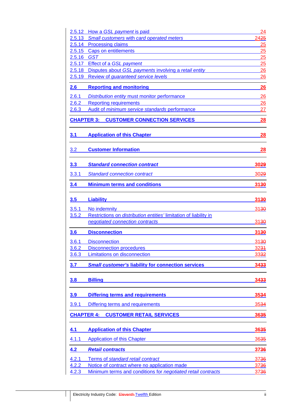|                   | 2.5.12 How a GSL payment is paid                                         | 24          |
|-------------------|--------------------------------------------------------------------------|-------------|
| 2.5.13            | Small customers with card operated meters                                | 2425        |
|                   | 2.5.14 Processing claims                                                 | 25          |
|                   | 2.5.15 Caps on entitlements                                              | 25          |
| 2.5.16 GST        |                                                                          | 25          |
|                   | 2.5.17 Effect of a GSL payment                                           | 25          |
|                   | 2.5.18 Disputes about GSL payments involving a retail entity             | 26          |
|                   | 2.5.19 Review of guaranteed service levels                               | 26          |
| 2.6               | <b>Reporting and monitoring</b>                                          | 26          |
| 2.6.1             | Distribution entity must monitor performance                             | 26          |
| 2.6.2             | <b>Reporting requirements</b>                                            | 26          |
| 2.6.3             | Audit of minimum service standards performance                           | 27          |
|                   | <b>CHAPTER 3: CUSTOMER CONNECTION SERVICES</b>                           | 28          |
| 3.1               | <b>Application of this Chapter</b>                                       | 28          |
| 3.2               | <b>Customer Information</b>                                              | 28          |
| 3.3               | <b>Standard connection contract</b>                                      | 3029        |
| 3.3.1             | <b>Standard connection contract</b>                                      | 3029        |
| 3.4               | <b>Minimum terms and conditions</b>                                      | 3130        |
| 3.5               | <b>Liability</b>                                                         | 3130        |
| 3.5.1             | No indemnity                                                             | 3130        |
| 3.5.2             | Restrictions on <i>distribution</i> entities' limitation of liability in |             |
|                   | negotiated connection contracts                                          | 3130        |
| 3.6               | <b>Disconnection</b>                                                     | 3130        |
|                   |                                                                          |             |
| 3.6.1             | <b>Disconnection</b>                                                     | 3130        |
| 3.6.2<br>3.6.3    | <b>Disconnection procedures</b><br>Limitations on disconnection          | <u>3231</u> |
|                   |                                                                          | 3332        |
| 3.7               | <b>Small customer's liability for connection services</b>                | 3433        |
| 3.8               | <b>Billing</b>                                                           | 3433        |
| 3.9               | <b>Differing terms and requirements</b>                                  | 3534        |
| 3.9.1             | Differing terms and requirements                                         | 3534        |
| <b>CHAPTER 4:</b> | <b>CUSTOMER RETAIL SERVICES</b>                                          | 3635        |
| 4.1               | <b>Application of this Chapter</b>                                       | 3635        |
| 4.1.1             | <b>Application of this Chapter</b>                                       | 3635        |
| 4.2               | <b>Retail contracts</b>                                                  | 3736        |
| 4.2.1             | Terms of standard retail contract                                        | 3736        |
| 4.2.2             | Notice of contract where no application made                             | 3736        |
| 4.2.3             | Minimum terms and conditions for negotiated retail contracts             | 3736        |
|                   |                                                                          |             |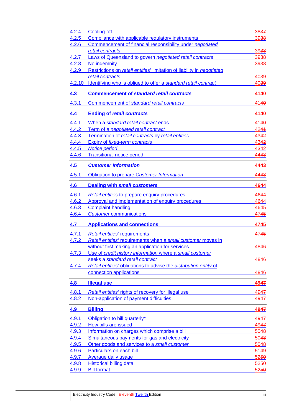| 4.2.4          | Cooling-off                                                            | 3837         |
|----------------|------------------------------------------------------------------------|--------------|
| 4.2.5          | Compliance with applicable regulatory instruments                      | 3938         |
| 4.2.6          | Commencement of financial responsibility under negotiated              |              |
|                | retail contracts                                                       | 3938         |
| 4.2.7          | Laws of Queensland to govern negotiated retail contracts               | 3938         |
| 4.2.8          | No indemnity                                                           | 3938         |
| 4.2.9          | Restrictions on retail entities' limitation of liability in negotiated |              |
|                | retail contracts                                                       | 4039         |
| 4.2.10         | Identifying who is obliged to offer a standard retail contract         | 4039         |
| 4.3            | <b>Commencement of standard retail contracts</b>                       | 4140         |
| 4.3.1          | Commencement of standard retail contracts                              | 4140         |
| 4.4            | <b>Ending of retail contracts</b>                                      | 4140         |
| 4.4.1          | When a standard retail contract ends                                   | 4140         |
| 4.4.2          | Term of a <i>negotiated retail contract</i>                            | 4244         |
| 4.4.3          | Termination of retail contracts by retail entities                     | 4342         |
| 4.4.4          | Expiry of fixed-term contracts                                         | 4342         |
| 4.4.5          | <b>Notice period</b>                                                   | 4342         |
| 4.4.6          | <b>Transitional notice period</b>                                      | 4443         |
|                |                                                                        |              |
| 4.5            | <b>Customer Information</b>                                            | 4443         |
| 4.5.1          | <b>Obligation to prepare Customer Information</b>                      | 4443         |
| 4.6            | <b>Dealing with small customers</b>                                    | 4644         |
| 4.6.1          | <b>Retail entities to prepare enquiry procedures</b>                   | 4644         |
| 4.6.2          | Approval and implementation of enquiry procedures                      | 4644         |
| 4.6.3          | <b>Complaint handling</b>                                              | 4645         |
| 4.6.4          | <b>Customer communications</b>                                         | 4745         |
|                |                                                                        |              |
| 4.7            | <b>Applications and connections</b>                                    | 4745         |
| 4.7.1          | <b>Retail entities' requirements</b>                                   | 4745         |
| 4.7.2          | Retail entities' requirements when a small customer moves in           |              |
|                | without first making an application for services                       | 4846         |
| 4.7.3          | Use of credit history information where a small customer               |              |
|                | seeks a standard retail contract                                       | 4846         |
| 4.7.4          | Retail entities' obligations to advise the distribution entity of      |              |
|                | connection applications                                                | 4846         |
| 4.8            | <b>Illegal use</b>                                                     | 4947         |
| 4.8.1          | Retail entities' rights of recovery for illegal use                    | 4947         |
| 4.8.2          | Non-application of payment difficulties                                | 4947         |
| 4.9            | <b>Billing</b>                                                         | 4947         |
|                |                                                                        |              |
| 4.9.1          | Obligation to bill quarterly*                                          | 4947         |
| 4.9.2          | How bills are issued                                                   | 4947         |
| 4.9.3          |                                                                        |              |
| 4.9.4          | Information on charges which comprise a bill                           | 5048         |
|                | Simultaneous payments for gas and electricity                          | 5048         |
| 4.9.5          | Other goods and services to a small customer                           | 5048         |
| 4.9.6          | Particulars on each bill                                               | 5149         |
| 4.9.7          | <b>Average daily usage</b>                                             | 5250         |
| 4.9.8<br>4.9.9 | <b>Historical billing data</b><br><b>Bill format</b>                   | 5250<br>5250 |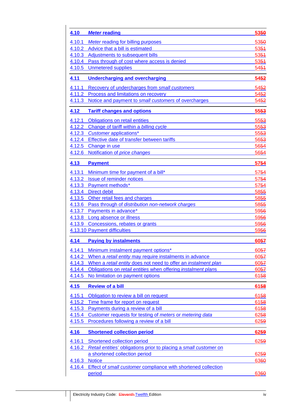| 4.10        | <b>Meter reading</b>                                              | 5350             |
|-------------|-------------------------------------------------------------------|------------------|
| 4.10.1      | <b>Meter reading for billing purposes</b>                         | 5350             |
| 4.10.2      | Advice that a bill is estimated                                   | 5354             |
| 4.10.3      | Adjustments to subsequent bills                                   | 5354             |
|             | 4.10.4 Pass through of cost where access is denied                | 5351             |
|             | 4.10.5 Unmetered supplies                                         | 5451             |
| 4.11        | <b>Undercharging and overcharging</b>                             | 5452             |
| 4.11.1      | Recovery of undercharges from small customers                     | 5452             |
|             | 4.11.2 Process and limitations on recovery                        | 5452             |
| 4.11.3      | Notice and payment to small customers of overcharges              | 5452             |
| 4.12        | <b>Tariff changes and options</b>                                 | 5553             |
|             | 4.12.1 Obligations on retail entities                             | 5553             |
| 4.12.2      | Change of tariff within a billing cycle                           | 5553             |
|             | 4.12.3 Customer applications*                                     | 5553             |
| 4.12.4      | Effective date of transfer between tariffs                        | 5653             |
| 4.12.5      | Change in use                                                     | 5654             |
|             | 4.12.6 Notification of price changes                              | 5654             |
| 4.13        | <b>Payment</b>                                                    | 5754             |
| 4.13.1      | Minimum time for payment of a bill*                               | 5754             |
| 4.13.2      | Issue of reminder notices                                         | 5754             |
|             | 4.13.3 Payment methods*                                           | 5754             |
|             | 4.13.4 Direct debit                                               | 5855             |
|             | 4.13.5 Other retail fees and charges                              | 5855             |
|             | 4.13.6 Pass through of distribution non-network charges           | 5855             |
| 4.13.7      | Payments in advance*                                              | 5956             |
|             | 4.13.8 Long absence or illness                                    | 5956             |
|             | 4.13.9 Concessions, rebates or grants                             | 5956             |
|             | 4.13.10 Payment difficulties                                      | 5956             |
| 4.14        | <b>Paying by instalments</b>                                      | 6057             |
| 4.14.1      | Minimum instalment payment options*                               | 60 <del>57</del> |
| 4.14.2      | When a retail entity may require instalments in advance           | 6057             |
| 4.14.3      | When a retail entity does not need to offer an instalment plan    | 6057             |
| 4.14.4      | Obligations on retail entities when offering instalment plans     | 6057             |
| 4.14.5      | No limitation on payment options                                  | 6158             |
| <u>4.15</u> | <b>Review of a bill</b>                                           | 6158             |
| 4.15.1      | Obligation to review a bill on request                            | 6158             |
| 4.15.2      | Time frame for report on request                                  | 6158             |
| 4.15.3      | Payments during a review of a bill                                | 6158             |
| 4.15.4      | Customer requests for testing of meters or metering data          | 6258             |
| 4.15.5      | Procedures following a review of a bill                           | 6259             |
| 4.16        | <b>Shortened collection period</b>                                | 6259             |
| 4.16.1      | Shortened collection period                                       | 6259             |
| 4.16.2      | Retail entities' obligations prior to placing a small customer on |                  |
|             | a shortened collection period                                     | 6259             |
| 4.16.3      | <b>Notice</b>                                                     | 6360             |
| 4.16.4      | Effect of small customer compliance with shortened collection     |                  |
|             | period                                                            | 6360             |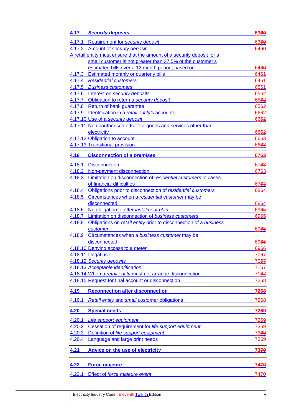| 4.17        | <b>Security deposits</b>                                                | 6360        |
|-------------|-------------------------------------------------------------------------|-------------|
| 4.17.1      | <b>Requirement for security deposit</b>                                 | 6360        |
| 4.17.2      | Amount of security deposit                                              | 6460        |
|             | A retail entity must ensure that the amount of a security deposit for a |             |
|             | small customer is not greater than 37.5% of the customer's              |             |
|             | estimated bills over a 12 month period, based on-                       | 6460        |
|             | 4.17.3 Estimated monthly or quarterly bills                             | 6464        |
|             | 4.17.4 Residential customers                                            | 6461        |
|             | 4.17.5 Business customers                                               | 6564        |
|             | 4.17.6 Interest on security deposits                                    | 6562        |
|             | 4.17.7 Obligation to return a security deposit                          | 6562        |
|             | 4.17.8 Return of bank guarantee                                         | 6562        |
|             | 4.17.9 Identification in a retail entity's accounts                     | 6662        |
|             | 4.17.10 Use of a security deposit                                       | 6662        |
|             | 4.17.11 No unauthorised offset for goods and services other than        |             |
|             | electricity                                                             | 6662        |
|             | 4.17.12 Obligation to account                                           | 6663        |
|             | 4.17.13 Transitional provision                                          | 6663        |
|             |                                                                         |             |
| 4.18        | <b>Disconnection of a premises</b>                                      | 6763        |
| 4.18.1      | <b>Disconnection</b>                                                    | 6763        |
| 4.18.2      | Non-payment disconnection                                               | 6763        |
| 4.18.3      | Limitation on disconnection of residential customers in cases           |             |
|             | of financial difficulties                                               | 6763        |
|             | 4.18.4 Obligations prior to disconnection of residential customers      | 6864        |
| 4.18.5      | Circumstances when a residential customer may be                        |             |
|             | disconnected                                                            | 6864        |
| 4.18.6      | No obligation to offer instalment plan                                  | 6965        |
|             | 4.18.7 Limitation on disconnection of business customers                | 6965        |
| 4.18.8      | Obligations on retail entity prior to disconnection of a business       |             |
|             | customer                                                                | 6965        |
|             | 4.18.9 Circumstances when a business customer may be                    |             |
|             | disconnected                                                            | 6966        |
|             | 4.18.10 Denying access to a meter                                       | 6966        |
|             | 4.18.11 Illegal use                                                     | 7067        |
|             | 4.18.12 Security deposits                                               | 7067        |
|             | 4.18.13 Acceptable identification                                       | 7167        |
|             | 4.18.14 When a retail entity must not arrange disconnection             | 7167        |
|             | 4.18.15 Request for final account or disconnection                      | 7268        |
|             |                                                                         |             |
| <u>4.19</u> | <b>Reconnection after disconnection</b>                                 | 7268        |
| 4.19.1      | Retail entity and small customer obligations                            | 7268        |
| 4.20        | <b>Special needs</b>                                                    | <b>7269</b> |
| 4.20.1      | Life support equipment                                                  | 7269        |
| 4.20.2      | Cessation of requirement for life support equipment                     | 7369        |
| 4.20.3      | Definition of life support equipment                                    | 7369        |
| 4.20.4      | Language and large print needs                                          | 7369        |
| <u>4.21</u> | <b>Advice on the use of electricity</b>                                 | <b>7370</b> |
| 4.22        | <b>Force majeure</b>                                                    | <b>7470</b> |
| 4.22.1      | Effect of force majeure event                                           | 7470        |
|             |                                                                         |             |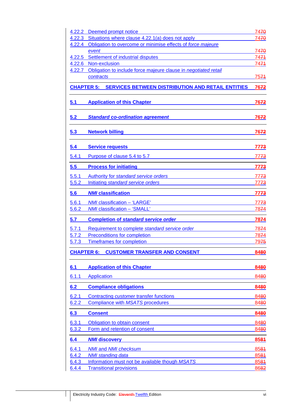| 4.22.2            | Deemed prompt notice                                                | 7470             |
|-------------------|---------------------------------------------------------------------|------------------|
|                   | 4.22.3 Situations where clause 4.22.1(a) does not apply             | 7470             |
|                   | 4.22.4 Obligation to overcome or minimise effects of force majeure  |                  |
|                   | event                                                               | 7470             |
|                   | 4.22.5 Settlement of industrial disputes                            | 7474             |
|                   | 4.22.6 Non-exclusion                                                | 7474             |
| 4.22.7            | Obligation to include force majeure clause in negotiated retail     |                  |
|                   | contracts                                                           | 7574             |
|                   | <b>CHAPTER 5: SERVICES BETWEEN DISTRIBUTION AND RETAIL ENTITIES</b> | 7672             |
| 5.1               | <b>Application of this Chapter</b>                                  | 7672             |
| 5.2               | <b>Standard co-ordination agreement</b>                             | 7672             |
| 5.3               | <b>Network billing</b>                                              | <u>7672</u>      |
| 5.4               | <b>Service requests</b>                                             | 7773             |
| 5.4.1             | Purpose of clause 5.4 to 5.7                                        | 77 <del>73</del> |
| 5.5               | <b>Process for initiating</b>                                       | 7773             |
| 5.5.1             | Authority for standard service orders                               | <u>7773</u>      |
| 5.5.2             | Initiating standard service orders                                  | 7773             |
| 5.6               | <b>NMI</b> classification                                           | 7773             |
| 5.6.1             | <b>NMI classification - 'LARGE'</b>                                 | 7773             |
| 5.6.2             | <b>NMI classification - 'SMALL'</b>                                 | 7874             |
| 5.7               | <b>Completion of standard service order</b>                         | <u>7874</u>      |
| 5.7.1             | Requirement to complete standard service order                      | 7874             |
| 5.7.2             | Preconditions for completion                                        | 7874             |
| 5.7.3             | <b>Timeframes for completion</b>                                    | 7975             |
|                   |                                                                     |                  |
| <b>CHAPTER 6:</b> | <b>CUSTOMER TRANSFER AND CONSENT</b>                                | 8480             |
| 6.1               | <b>Application of this Chapter</b>                                  | 8480             |
| 6.1.1             | <b>Application</b>                                                  | 8480             |
| 6.2               | <b>Compliance obligations</b>                                       | 8480             |
| 6.2.1             | Contracting <i>customer</i> transfer functions                      | 8480             |
| 6.2.2             | Compliance with MSATS procedures                                    | 8480             |
| 6.3               | <b>Consent</b>                                                      | 8480             |
| 6.3.1             | Obligation to obtain consent                                        | 8480             |
| 6.3.2             | Form and retention of consent                                       | 8480             |
|                   |                                                                     |                  |
| 6.4               | <b>NMI discovery</b>                                                | 8581             |
| 6.4.1             | <b>NMI</b> and <b>NMI</b> checksum                                  | 8584             |
| 6.4.2             | <b>NMI</b> standing data                                            | 8581             |
| 6.4.3             | Information must not be available though MSATS                      | 8581             |
| 6.4.4             | <b>Transitional provisions</b>                                      | 8682             |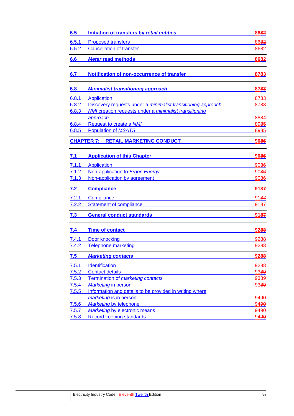| 6.5   | Initiation of transfers by retail entities                   | 8682 |
|-------|--------------------------------------------------------------|------|
| 6.5.1 | <b>Proposed transfers</b>                                    | 8682 |
| 6.5.2 | <b>Cancellation of transfer</b>                              | 8682 |
| 6.6   | <b>Meter read methods</b>                                    | 8682 |
| 6.7   | <b>Notification of non-occurrence of transfer</b>            | 8783 |
| 6.8   | <b>Minimalist transitioning approach</b>                     | 8783 |
| 6.8.1 | <b>Application</b>                                           | 8783 |
| 6.8.2 | Discovery requests under a minimalist transitioning approach | 8783 |
| 6.8.3 | NMI creation requests under a minimalist transitioning       |      |
|       | approach                                                     | 8884 |
| 6.8.4 | Request to create a NMI                                      | 8985 |
| 6.8.5 | <b>Population of MSATS</b>                                   | 8985 |
|       | <b>CHAPTER 7:</b><br><b>RETAIL MARKETING CONDUCT</b>         | 9086 |
| 7.1   | <b>Application of this Chapter</b>                           | 9086 |
| 7.1.1 | Application                                                  | 9086 |
| 7.1.2 | Non-application to Ergon Energy                              | 9086 |
| 7.1.3 | Non-application by agreement                                 | 9086 |
| 7.2   | <b>Compliance</b>                                            | 9187 |
| 7.2.1 | Compliance                                                   | 9187 |
| 7.2.2 | <b>Statement of compliance</b>                               | 9187 |
| 7.3   | <b>General conduct standards</b>                             | 9187 |
| 7.4   | <b>Time of contact</b>                                       | 9288 |
| 7.4.1 | Door knocking                                                | 9288 |
| 7.4.2 | <b>Telephone marketing</b>                                   | 9288 |
| 7.5   | <b>Marketing contacts</b>                                    | 9288 |
| 7.5.1 | Identification                                               | 9288 |
| 7.5.2 | <b>Contact details</b>                                       | 9389 |
| 7.5.3 | Termination of marketing contacts                            | 9389 |
| 7.5.4 | <b>Marketing in person</b>                                   | 9389 |
| 7.5.5 | Information and details to be provided in writing where      |      |
|       | marketing is in person                                       | 9490 |
| 7.5.6 | Marketing by telephone                                       | 9490 |
| 7.5.7 | Marketing by electronic means                                | 9490 |
| 7.5.8 | Record keeping standards                                     | 9490 |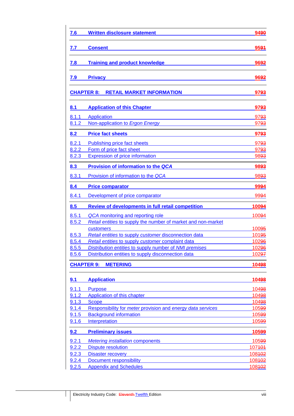| 7.6        | <b>Written disclosure statement</b>                           | 9490              |
|------------|---------------------------------------------------------------|-------------------|
| 7.7        | <b>Consent</b>                                                | 9594              |
| 7.8        | <b>Training and product knowledge</b>                         | 9692              |
| 7.9        | <b>Privacy</b>                                                | 9692              |
|            | <b>CHAPTER 8:</b><br><b>RETAIL MARKET INFORMATION</b>         | 9793              |
| <u>8.1</u> | <b>Application of this Chapter</b>                            | 9793              |
| 8.1.1      | Application                                                   | 9793              |
| 8.1.2      | Non-application to Ergon Energy                               | <u>9793</u>       |
| 8.2        | <b>Price fact sheets</b>                                      | 9793              |
| 8.2.1      | Publishing price fact sheets                                  | 9793              |
| 8.2.2      | Form of price fact sheet                                      | 9793              |
| 8.2.3      | <b>Expression of price information</b>                        | 9893              |
| 8.3        | <b>Provision of information to the QCA</b>                    | 9893              |
| 8.3.1      | Provision of information to the QCA                           | 9893              |
| 8.4        | <b>Price comparator</b>                                       | 9994              |
| 8.4.1      | Development of price comparator                               | 9994              |
| 8.5        | <b>Review of developments in full retail competition</b>      | 10094             |
| 8.5.1      | QCA monitoring and reporting role                             | 10094             |
| 8.5.2      | Retail entities to supply the number of market and non-market |                   |
|            | <b>customers</b>                                              | 10095             |
| 8.5.3      | Retail entities to supply customer disconnection data         | 101 <del>95</del> |
| 8.5.4      | Retail entities to supply customer complaint data             | 10296             |
| 8.5.5      | Distribution entities to supply number of NMI premises        | 10296             |
| 8.5.6      | Distribution entities to supply disconnection data            | 10297             |
|            | <b>CHAPTER 9: METERING</b>                                    | 10498             |
| 9.1        | <b>Application</b>                                            | 10498             |
| 9.1.1      | <b>Purpose</b>                                                | 10498             |
| 9.1.2      | Application of this chapter                                   | 10498             |
| 9.1.3      | <b>Scope</b>                                                  | 10498             |
| 9.1.4      | Responsibility for meter provision and energy data services   | 10599             |
| 9.1.5      | <b>Background information</b>                                 | 10599             |
| 9.1.6      | Interpretation                                                | 10599             |
| 9.2        | <b>Preliminary issues</b>                                     | 10599             |
| 9.2.1      | <b>Metering installation components</b>                       | 10599             |
| 9.2.2      | <b>Dispute resolution</b>                                     | 107401            |
| 9.2.3      | <b>Disaster recovery</b>                                      | 108402            |
| 9.2.4      | <b>Document responsibility</b>                                | 108402            |
| 9.2.5      | <b>Appendix and Schedules</b>                                 | 108402            |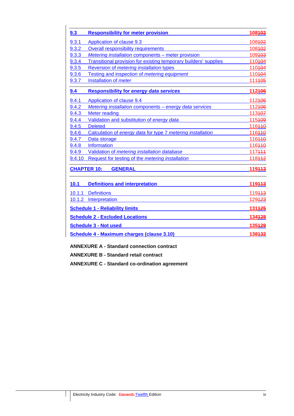| 9.3                                               | <b>Responsibility for meter provision</b>                               | 108402 |
|---------------------------------------------------|-------------------------------------------------------------------------|--------|
| 9.3.1                                             | Application of clause 9.3                                               | 108402 |
| 9.3.2                                             | <b>Overall responsibility requirements</b>                              | 108402 |
| 9.3.3                                             | Metering installation components - meter provision                      | 109403 |
| 9.3.4                                             | <b>Transitional provision for existing temporary builders' supplies</b> | 110404 |
| 9.3.5                                             | Reversion of <i>metering installation</i> types                         | 110404 |
| 9.3.6                                             | Testing and inspection of metering equipment                            | 110404 |
| 9.3.7                                             | Installation of meter                                                   | 111405 |
| 9.4                                               | <b>Responsibility for energy data services</b>                          | 112406 |
| 9.4.1                                             | Application of clause 9.4                                               | 112406 |
| 9.4.2                                             | Metering installation components - energy data services                 | 112406 |
| 9.4.3                                             | <b>Meter reading</b>                                                    | 113407 |
| 9.4.4                                             | Validation and substitution of energy data                              | 115409 |
| 9.4.5                                             | <b>Deleted</b>                                                          | 116440 |
| 9.4.6                                             | Calculation of energy data for type 7 metering installation             | 116440 |
| 9.4.7                                             | Data storage                                                            | 116440 |
| 9.4.8                                             | Information                                                             | 116440 |
| 9.4.9                                             | Validation of metering installation database                            | 117444 |
| 9.4.10                                            | Request for testing of the metering installation                        | 118442 |
|                                                   | <b>GENERAL</b><br><b>CHAPTER 10:</b>                                    | 119443 |
| 10.1                                              | <b>Definitions and interpretation</b>                                   | 119443 |
|                                                   | 10.1.1 Definitions                                                      | 119443 |
| 10.1.2                                            | Interpretation                                                          | 129423 |
|                                                   | <b>Schedule 1 - Reliability limits</b>                                  | 131425 |
| <b>Schedule 2 - Excluded Locations</b>            |                                                                         | 134428 |
|                                                   | <b>Schedule 3 - Not used</b>                                            | 135429 |
| <b>Schedule 4 - Maximum charges (clause 3.10)</b> |                                                                         | 138432 |

**ANNEXURE A - Standard connection contract** 

**ANNEXURE B - Standard retail contract** 

**ANNEXURE C - Standard co-ordination agreement**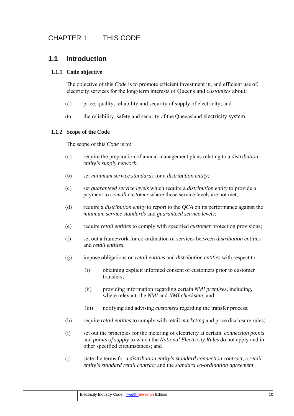## **1.1 Introduction**

#### **1.1.1 Code objective**

The objective of this *Code* is to promote efficient investment in, and efficient use of, electricity services for the long-term interests of Queensland *customers* about:

- (a) price, quality, reliability and security of supply of electricity; and
- (b) the reliability, safety and security of the Queensland electricity system.

#### **1.1.2 Scope of the Code**

The scope of this *Code* is to:

- (a) require the preparation of annual management plans relating to a *distribution entity's supply network*;
- (b) set *minimum service standards* for a *distribution entity*;
- (c) set *guaranteed service levels* which require a *distribution entity* to provide a payment to a *small customer* where those service levels are not met;
- (d) require a *distribution entity* to report to the *QCA* on its performance against the *minimum service standards* and *guaranteed service levels*;
- (e) require *retail entities* to comply with specified *customer* protection provisions;
- (f) set out a framework for co-ordination of services between *distribution entities*  and *retail entities*;
- (g) impose obligations on *retail entities* and *distribution entities* with respect to:
	- (i) obtaining explicit informed consent of customers prior to customer transfers;
	- (ii) providing information regarding certain *NMI premises*, including, where relevant, the *NMI* and *NMI checksum*; and
	- (iii) notifying and advising *customers* regarding the transfer process;
- (h) require *retail entities* to comply with retail *marketing* and price disclosure rules;
- (i) set out the principles for the metering of electricity at certain *connection points*  and *points of supply* to which the *National Electricity Rules* do not apply and in other specified circumstances; and
- (j) state the terms for a *distribution entity's standard connection contract*, a *retail entity's standard retail contract* and the *standard co-ordination agreement.*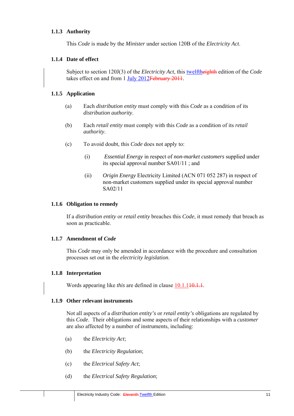#### **1.1.3 Authority**

This *Code* is made by the *Minister* under section 120B of the *Electricity Act*.

#### **1.1.4 Date of effect**

Subject to section 120J(3) of the *Electricity Act*, this twelftheighth edition of the *Code* takes effect on and from 1 July 2012February 2011.

#### **1.1.5 Application**

- (a) Each *distribution entity* must comply with this *Code* as a condition of its *distribution authority*.
- (b) Each *retail entity* must comply with this *Code* as a condition of its *retail authority*.
- (c) To avoid doubt, this *Code* does not apply to:
	- (i) *Essential Energy* in respect of *non-market customers* supplied under its special approval number SA01/11 ; and
	- (ii) *Origin Energy* Electricity Limited (ACN 071 052 287) in respect of non-market customers supplied under its special approval number SA02/11

#### **1.1.6 Obligation to remedy**

If a *distribution entity* or *retail entity* breaches this *Code*, it must remedy that breach as soon as practicable.

#### **1.1.7 Amendment of** *Code*

This *Code* may only be amended in accordance with the procedure and consultation processes set out in the *electricity legislation*.

#### **1.1.8 Interpretation**

Words appearing like *this* are defined in clause 10.1.140.1.1.

#### **1.1.9 Other relevant instruments**

Not all aspects of a *distribution entity's* or *retail entity's* obligations are regulated by this *Code*. Their obligations and some aspects of their relationships with a *customer* are also affected by a number of instruments, including:

- (a) the *Electricity Act*;
- (b) the *Electricity Regulation*;
- (c) the *Electrical Safety Act*;
- (d) the *Electrical Safety Regulation*;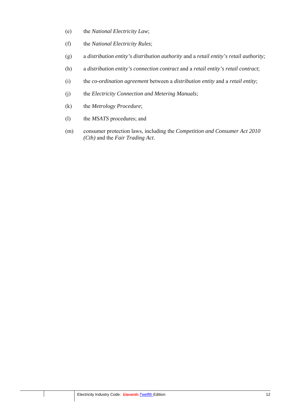- (e) the *National Electricity Law*;
- (f) the *National Electricity Rules*;
- (g) a *distribution entity's distribution authority* and a *retail entity's retail authority;*
- (h) a *distribution entity's connection contract* and a *retail entity's retail contract*;
- (i) the *co-ordination agreement* between a *distribution entity* and a *retail entity*;
- (j) the *Electricity Connection and Metering Manuals*;
- (k) the *Metrology Procedure*;
- (l) the *MSATS* procedures; and
- (m) consumer protection laws, including the *Competition and Consumer Act 2010 (Cth)* and the *Fair Trading Act*.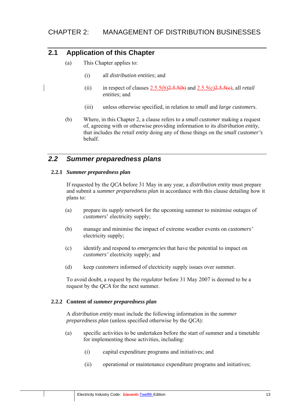# **2.1 Application of this Chapter**

- (a) This Chapter applies to:
	- (i) all *distribution entities*; and
	- (ii) in respect of clauses  $2.5.5(b)2.5.5(b)$  and  $2.5.5(c)2.5.5(e)$ , all *retail entities*; and
	- (iii) unless otherwise specified, in relation to *small* and *large customers*.
- (b) Where, in this Chapter 2, a clause refers to a *small customer* making a request of, agreeing with or otherwise providing information to its *distribution entity*, that includes the *retail entity* doing any of those things on the *small customer's* behalf.

# *2.2 Summer preparedness plans*

#### **2.2.1** *Summer preparedness plan*

If requested by the *QCA* before 31 May in any year, a *distribution entity* must prepare and submit a *summer preparedness plan* in accordance with this clause detailing how it plans to:

- (a) prepare its *supply network* for the upcoming summer to minimise outages of *customers*' electricity supply;
- (b) manage and minimise the impact of extreme weather events on *customers'* electricity supply;
- (c) identify and respond to *emergencies* that have the potential to impact on *customers'* electricity supply; and
- (d) keep *customers* informed of electricity supply issues over summer.

To avoid doubt, a request by the *regulator* before 31 May 2007 is deemed to be a request by the *QCA* for the next summer.

#### **2.2.2 Content of** *summer preparedness plan*

A *distribution entity* must include the following information in the *summer preparedness plan* (unless specified otherwise by the *QCA*):

- (a) specific activities to be undertaken before the start of summer and a timetable for implementing those activities, including:
	- (i) capital expenditure programs and initiatives; and
	- (ii) operational or maintenance expenditure programs and initiatives;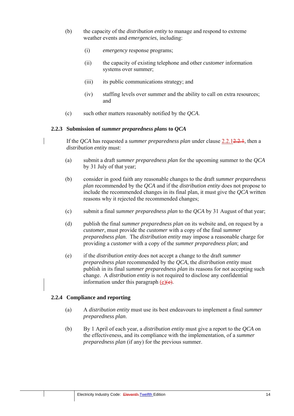- (b) the capacity of the *distribution entity* to manage and respond to extreme weather events and *emergencies*, including:
	- (i) *emergency* response programs;
	- (ii) the capacity of existing telephone and other *customer* information systems over summer;
	- (iii) its public communications strategy; and
	- (iv) staffing levels over summer and the ability to call on extra resources; and
- (c) such other matters reasonably notified by the *QCA*.

#### **2.2.3 Submission of** *summer preparedness plans* **to** *QCA*

If the *QCA* has requested a *summer preparedness plan* under clause 2.2.12.2.1, then a *distribution entity* must:

- (a) submit a draft *summer preparedness plan* for the upcoming summer to the *QCA* by 31 July of that year;
- (b) consider in good faith any reasonable changes to the draft *summer preparedness plan* recommended by the *QCA* and if the *distribution entity* does not propose to include the recommended changes in its final plan, it must give the *QCA* written reasons why it rejected the recommended changes;
- (c) submit a final *summer preparedness plan* to the *QCA* by 31 August of that year;
- (d) publish the final *summer preparedness plan* on its website and, on request by a *customer*, must provide the *customer* with a copy of the final *summer preparedness plan*. The *distribution entity* may impose a reasonable charge for providing a *customer* with a copy of the *summer preparedness plan*; and
- (e) if the *distribution entity* does not accept a change to the draft *summer preparedness plan* recommended by the *QCA*, the *distribution entity* must publish in its final *summer preparedness plan* its reasons for not accepting such change. A *distribution entity* is not required to disclose any confidential information under this paragraph  $(e)(e)$ .

#### **2.2.4 Compliance and reporting**

- (a) A *distribution entity* must use its best endeavours to implement a final *summer preparedness plan*.
- (b) By 1 April of each year, a *distribution entity* must give a report to the *QCA* on the effectiveness, and its compliance with the implementation, of a *summer preparedness plan* (if any) for the previous summer.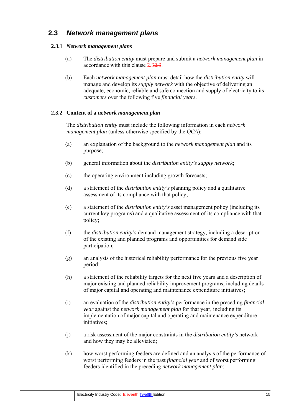# **2.3** *Network management plans*

#### **2.3.1** *Network management plans*

- (a) The *distribution entity* must prepare and submit a *network management plan* in accordance with this clause 2.32.3.
- (b) Each *network management plan* must detail how the *distribution entity* will manage and develop its *supply network* with the objective of delivering an adequate, economic, reliable and safe connection and supply of electricity to its *customers* over the following five *financial years*.

#### **2.3.2 Content of a** *network management plan*

The *distribution entity* must include the following information in each *network management plan* (unless otherwise specified by the *QCA*):

- (a) an explanation of the background to the *network management plan* and its purpose;
- (b) general information about the *distribution entity's supply network*;
- (c) the operating environment including growth forecasts;
- (d) a statement of the *distribution entity's* planning policy and a qualitative assessment of its compliance with that policy;
- (e) a statement of the *distribution entity's* asset management policy (including its current key programs) and a qualitative assessment of its compliance with that policy;
- (f) the *distribution entity's* demand management strategy, including a description of the existing and planned programs and opportunities for demand side participation;
- (g) an analysis of the historical reliability performance for the previous five year period;
- (h) a statement of the reliability targets for the next five years and a description of major existing and planned reliability improvement programs, including details of major capital and operating and maintenance expenditure initiatives;
- (i) an evaluation of the *distribution entity*'*s* performance in the preceding *financial year* against the *network management plan* for that year, including its implementation of major capital and operating and maintenance expenditure initiatives;
- (j) a risk assessment of the major constraints in the *distribution entity's* network and how they may be alleviated;
- (k) how worst performing feeders are defined and an analysis of the performance of worst performing feeders in the past *financial year* and of worst performing feeders identified in the preceding *network management plan*;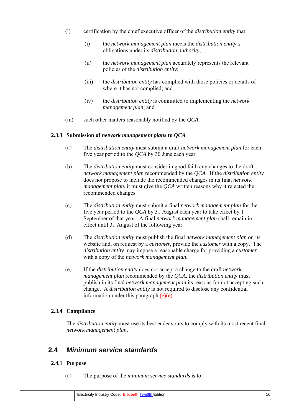- (l) certification by the chief executive officer of the *distribution entity* that:
	- (i) the *network management plan* meets the *distribution entity's* obligations under its *distribution authority*;
	- (ii) the *network management plan* accurately represents the relevant policies of the *distribution entity*;
	- (iii) the *distribution entity* has complied with those policies or details of where it has not complied; and
	- (iv) the *distribution entity* is committed to implementing the *network management plan*; and
- (m) such other matters reasonably notified by the *QCA*.

#### **2.3.3 Submission of** *network management plans* **to** *QCA*

- (a) The *distribution entity* must submit a draft *network management plan* for each five year period to the *QCA* by 30 June each year.
- (b) The *distribution entity* must consider in good faith any changes to the draft *network management plan* recommended by the *QCA*. If the *distribution entity* does not propose to include the recommended changes in its final *network management plan*, it must give the *QCA* written reasons why it rejected the recommended changes.
- (c) The *distribution entity* must submit a final *network management plan* for the five year period to the *QCA* by 31 August each year to take effect by 1 September of that year. A final *network management plan* shall remain in effect until 31 August of the following year.
- (d) The *distribution entity* must publish the final *network management plan* on its website and, on request by a *customer*, provide the *customer* with a copy. The *distribution entity* may impose a reasonable charge for providing a *customer* with a copy of the *network management plan*.
- (e) If the *distribution entity* does not accept a change to the draft *network management plan* recommended by the *QCA*, the *distribution entity* must publish in its final *network management plan* its reasons for not accepting such change. A *distribution entity* is not required to disclose any confidential information under this paragraph  $(e)(e)$ .

#### **2.3.4 Compliance**

The *distribution entity* must use its best endeavours to comply with its most recent final *network management plan*.

### **2.4** *Minimum service standards*

#### **2.4.1 Purpose**

(a) The purpose of the *minimum service standards* is to: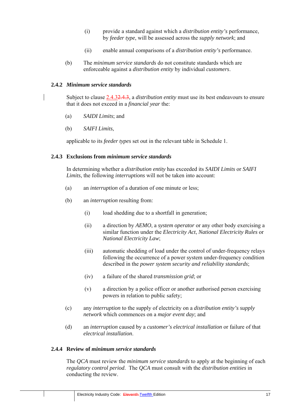- (i) provide a standard against which a *distribution entity's* performance, by *feeder type*, will be assessed across the *supply network*; and
- (ii) enable annual comparisons of a *distribution entity's* performance.
- (b) The *minimum service standards* do not constitute standards which are enforceable against a *distribution entity* by individual *customers*.

#### **2.4.2** *Minimum service standards*

Subject to clause 2.4.32.4.3, a *distribution entity* must use its best endeavours to ensure that it does not exceed in a *financial year* the:

- (a) *SAIDI Limits*; and
- (b) *SAIFI Limits*,

applicable to its *feeder types* set out in the relevant table in Schedule 1.

#### **2.4.3 Exclusions from** *minimum service standards*

In determining whether a *distribution entity* has exceeded its *SAIDI Limits* or *SAIFI Limits*, the following *interruptions* will not be taken into account:

- (a) an *interruption* of a duration of one minute or less;
- (b) an *interruption* resulting from:
	- (i) load shedding due to a shortfall in generation;
	- (ii) a direction by *AEMO*, a *system operator* or any other body exercising a similar function under the *Electricity Act*, *National Electricity Rules* or *National Electricity Law*;
	- (iii) automatic shedding of load under the control of under-frequency relays following the occurrence of a power system under-frequency condition described in the *power system security and reliability standards*;
	- (iv) a failure of the shared *transmission grid*; or
	- (v) a direction by a police officer or another authorised person exercising powers in relation to public safety;
- (c) any *interruption* to the supply of electricity on a *distribution entity's supply network* which commences on a *major event day*; and
- (d) an *interruption* caused by a *customer's electrical installation* or failure of that *electrical installation*.

#### **2.4.4 Review of** *minimum service standards*

The *QCA* must review the *minimum service standards* to apply at the beginning of each *regulatory control period*. The *QCA* must consult with the *distribution entities* in conducting the review.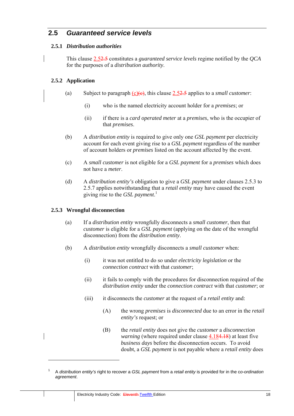# **2.5** *Guaranteed service levels*

#### **2.5.1** *Distribution authorities*

This clause 2.52.5 constitutes a *guaranteed service levels* regime notified by the *QCA* for the purposes of a *distribution authority*.

#### **2.5.2 Application**

- (a) Subject to paragraph (c)(e), this clause 2.52.5 applies to a *small customer*:
	- (i) who is the named electricity account holder for a *premises*; or
	- (ii) if there is a *card operated meter* at a *premises*, who is the occupier of that *premises*.
- (b) A *distribution entity* is required to give only one *GSL payment* per electricity account for each event giving rise to a *GSL payment* regardless of the number of account holders or *premises* listed on the account affected by the event.
- (c) A *small customer* is not eligible for a *GSL payment* for a *premises* which does not have a *meter*.
- (d) A *distribution entity's* obligation to give a *GSL payment* under clauses 2.5.3 to 2.5.7 applies notwithstanding that a *retail entity* may have caused the event giving rise to the *GSL payment*. 1

#### **2.5.3 Wrongful disconnection**

- (a) If a *distribution entity* wrongfully disconnects a *small customer*, then that *customer* is eligible for a *GSL payment* (applying on the date of the wrongful disconnection) from the *distribution entity*.
- (b) A *distribution entity* wrongfully disconnects a *small customer* when:
	- (i) it was not entitled to do so under *electricity legislation* or the *connection contract* with that *customer*;
	- (ii) it fails to comply with the procedures for disconnection required of the *distribution entity* under the *connection contract* with that *customer*; or
	- (iii) it disconnects the *customer* at the request of a *retail entity* and:
		- (A) the wrong *premises* is *disconnected* due to an error in the *retail entity's* request; or
		- (B) the *retail entity* does not give the *customer* a *disconnection warning* (where required under clause 4.184.18) at least five *business days* before the disconnection occurs. To avoid doubt, a *GSL payment* is not payable where a *retail entity* does

<sup>1</sup> A *distribution entity's* right to recover a *GSL payment* from a *retail entity* is provided for in the c*o-ordination agreement*.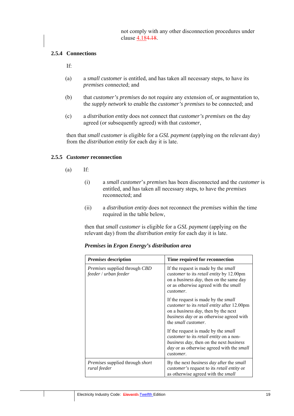not comply with any other disconnection procedures under clause 4.184.18.

#### **2.5.4 Connections**

If:

- (a) a *small customer* is entitled, and has taken all necessary steps, to have its *premises* connected; and
- (b) that *customer's premises* do not require any extension of, or augmentation to, the *supply network* to enable the *customer's premises* to be connected; and
- (c) a *distribution entity* does not connect that *customer's premises* on the day agreed (or subsequently agreed) with that *customer*,

then that *small customer* is eligible for a *GSL payment* (applying on the relevant day) from the *distribution entity* for each day it is late.

#### **2.5.5** *Customer* **reconnection**

- (a) If:
	- (i) a *small customer*'s *premises* has been disconnected and the *customer* is entitled, and has taken all necessary steps, to have the *premises* reconnected; and
	- (ii) a *distribution entity* does not reconnect the *premises* within the time required in the table below,

then that *small customer* is eligible for a *GSL payment* (applying on the relevant day) from the *distribution entity* for each day it is late.

| Premises description                                          | Time required for reconnection                                                                                                                                                                                         |
|---------------------------------------------------------------|------------------------------------------------------------------------------------------------------------------------------------------------------------------------------------------------------------------------|
| Premises supplied through CBD<br>feeder / urban feeder        | If the request is made by the <i>small</i><br><i>customer</i> to its <i>retail entity</i> by 12.00pm<br>on a business day, then on the same day<br>or as otherwise agreed with the <i>small</i><br>customer.           |
|                                                               | If the request is made by the <i>small</i><br>customer to its retail entity after 12.00pm<br>on a <i>business day</i> , then by the next<br>business day or as otherwise agreed with<br>the <i>small</i> customer.     |
|                                                               | If the request is made by the <i>small</i><br><i>customer</i> to its <i>retail entity</i> on a non-<br>business day, then on the next business<br><i>day</i> or as otherwise agreed with the <i>small</i><br>customer. |
| <i>Premises</i> supplied through <i>short</i><br>rural feeder | By the next business day after the small<br><i>customer's</i> request to its <i>retail entity</i> or<br>as otherwise agreed with the <i>small</i>                                                                      |

*Premises* **in** *Ergon Energy's distribution area*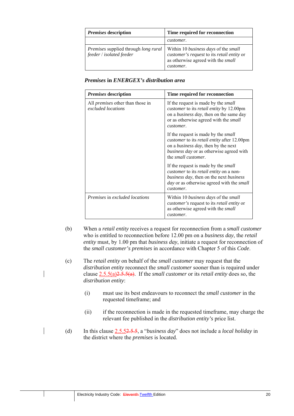| Premises description                                                           | Time required for reconnection                                                                                                                      |
|--------------------------------------------------------------------------------|-----------------------------------------------------------------------------------------------------------------------------------------------------|
|                                                                                | customer.                                                                                                                                           |
| <i>Premises</i> supplied through <i>long rural</i><br>feeder / isolated feeder | Within 10 <i>business days</i> of the <i>small</i><br>customer's request to its retail entity or<br>as otherwise agreed with the small<br>customer. |

*Premises* **in** *ENERGEX's distribution area* 

| <i>Premises</i> description                                   | Time required for reconnection                                                                                                                                                                                         |
|---------------------------------------------------------------|------------------------------------------------------------------------------------------------------------------------------------------------------------------------------------------------------------------------|
| All <i>premises</i> other than those in<br>excluded locations | If the request is made by the <i>small</i><br><i>customer</i> to its <i>retail entity</i> by 12.00pm<br>on a <i>business day</i> , then on the same day<br>or as otherwise agreed with the <i>small</i><br>customer.   |
|                                                               | If the request is made by the <i>small</i><br>customer to its retail entity after 12.00pm<br>on a <i>business day</i> , then by the next<br>business day or as otherwise agreed with<br>the <i>small customer</i> .    |
|                                                               | If the request is made by the <i>small</i><br><i>customer</i> to its <i>retail entity</i> on a non-<br>business day, then on the next business<br><i>day</i> or as otherwise agreed with the <i>small</i><br>customer. |
| <i>Premises</i> in excluded locations                         | Within 10 <i>business days</i> of the <i>small</i><br><i>customer's</i> request to its <i>retail entity</i> or<br>as otherwise agreed with the <i>small</i><br>customer.                                               |

- (b) When a *retail entity* receives a request for reconnection from a *small customer* who is entitled to reconnection before 12.00 pm on a *business day*, the *retail entity* must, by 1.00 pm that *business day*, initiate a request for reconnection of the *small customer's premises* in accordance with Chapter 5 of this *Code*.
- (c) The *retail entity* on behalf of the *small customer* may request that the *distribution entity* reconnect the *small customer* sooner than is required under clause 2.5.5(a)2.5.5(a). If the *small customer* or its *retail entity* does so, the *distribution entity*:
	- (i) must use its best endeavours to reconnect the *small customer* in the requested timeframe; and
	- (ii) if the reconnection is made in the requested timeframe, may charge the relevant fee published in the *distribution entity's* price list.
- (d) In this clause 2.5.52.5.5, a "*business day*" does not include a *local holiday* in the district where the *premises* is located.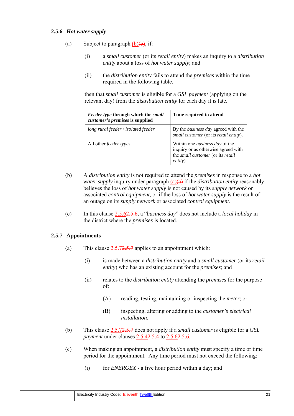#### **2.5.6** *Hot water supply*

- (a) Subject to paragraph  $(b)(b)$ , if:
	- (i) a *small customer* (or its *retail entity*) makes an inquiry to a *distribution entity* about a loss of *hot water supply*; and
	- (ii) the *distribution entity* fails to attend the *premises* within the time required in the following table,

then that *small customer* is eligible for a *GSL payment* (applying on the relevant day) from the *distribution entity* for each day it is late.

| <i>Feeder type through which the small</i><br>customer's premises is supplied | Time required to attend                                                                                                       |
|-------------------------------------------------------------------------------|-------------------------------------------------------------------------------------------------------------------------------|
| long rural feeder / isolated feeder                                           | By the <i>business day</i> agreed with the<br>small customer (or its retail entity).                                          |
| All other <i>feeder types</i>                                                 | Within one <i>business day</i> of the<br>inquiry or as otherwise agreed with<br>the small customer (or its retail<br>entity). |

- (b) A *distribution entity* is not required to attend the *premises* in response to a *hot water supply* inquiry under paragraph (a)(a) if the *distribution entity* reasonably believes the loss of *hot water supply* is not caused by its *supply network* or associated *control equipment*, or if the loss of *hot water supply* is the result of an outage on its *supply network* or associated *control equipment*.
- (c) In this clause 2.5.62.5.6, a "*business day*" does not include a *local holiday* in the district where the *premises* is located.

#### **2.5.7 Appointments**

- (a) This clause  $2.5.72.5.7$  applies to an appointment which:
	- (i) is made between a *distribution entity* and a *small customer* (or its *retail entity*) who has an existing account for the *premises*; and
	- (ii) relates to the *distribution entity* attending the *premises* for the purpose of:
		- (A) reading, testing, maintaining or inspecting the *meter*; or
		- (B) inspecting, altering or adding to the *customer's electrical installation*.
- (b) This clause 2.5.72.5.7 does not apply if a *small customer* is eligible for a *GSL payment* under clauses 2.5.42.5.4 to 2.5.62.5.6.
- (c) When making an appointment, a *distribution entity* must specify a time or time period for the appointment. Any time period must not exceed the following:
	- (i) for *ENERGEX* a five hour period within a day; and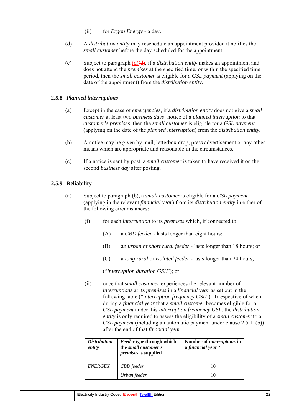- (ii) for *Ergon Energy* a day.
- (d) A *distribution entity* may reschedule an appointment provided it notifies the *small customer* before the day scheduled for the appointment.
- (e) Subject to paragraph (d)(d), if a *distribution entity* makes an appointment and does not attend the *premises* at the specified time, or within the specified time period, then the *small customer* is eligible for a *GSL payment* (applying on the date of the appointment) from the *distribution entity*.

#### **2.5.8** *Planned interruptions*

- (a) Except in the case of *emergencies*, if a *distribution entity* does not give a *small customer* at least two *business days*' notice of a *planned interruption* to that *customer's premises*, then the *small customer* is eligible for a *GSL payment* (applying on the date of the *planned interruption*) from the *distribution entity.*
- (b) A notice may be given by mail, letterbox drop, press advertisement or any other means which are appropriate and reasonable in the circumstances.
- (c) If a notice is sent by post, a *small customer* is taken to have received it on the second *business day* after posting.

#### **2.5.9 Reliability**

- (a) Subject to paragraph (b), a *small customer* is eligible for a *GSL payment* (applying in the relevant *financial year*) from its *distribution entity* in either of the following circumstances:
	- (i) for each *interruption* to its *premises* which, if connected to:
		- (A) a *CBD feeder*  lasts longer than eight hours;
		- (B) an *urban* or *short rural feeder*  lasts longer than 18 hours; or
		- (C) a *long rural* or *isolated feeder*  lasts longer than 24 hours,

("*interruption duration GSL*"); or

(ii) once that *small customer* experiences the relevant number of *interruptions* at its *premises* in a *financial year* as set out in the following table ("*interruption frequency GSL*"). Irrespective of when during a *financial year* that a *small customer* becomes eligible for a *GSL payment* under this *interruption frequency GSL*, the *distribution entity* is only required to assess the eligibility of a *small customer* to a *GSL payment* (including an automatic payment under clause 2.5.11(b)) after the end of that *financial year*.

| <i>Distribution</i><br>entity | <i>Feeder type through which</i><br>the small customer's<br><i>premises</i> is supplied | Number of <i>interruptions</i> in<br>a financial year * |
|-------------------------------|-----------------------------------------------------------------------------------------|---------------------------------------------------------|
| <b>ENERGEX</b>                | CBD feeder                                                                              | 10                                                      |
|                               | Urban feeder                                                                            | 10                                                      |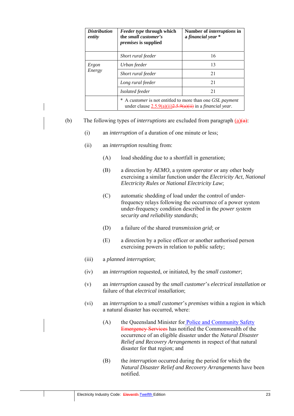| <i>Distribution</i><br>entity | Feeder type through which<br>the small customer's<br><i>premises</i> is supplied                                                | Number of <i>interruptions</i> in<br>a financial year * |
|-------------------------------|---------------------------------------------------------------------------------------------------------------------------------|---------------------------------------------------------|
|                               | Short rural feeder                                                                                                              | 16                                                      |
| Ergon<br>Energy               | Urban feeder                                                                                                                    | 13                                                      |
|                               | Short rural feeder                                                                                                              | 21                                                      |
|                               | Long rural feeder                                                                                                               | 21                                                      |
|                               | <i>Isolated feeder</i>                                                                                                          | 21                                                      |
|                               | A customer is not entitled to more than one GSL payment<br>under clause $2.5.9(a)(ii)2.5.9(a)(ii)$ in a <i>financial year</i> . |                                                         |

- (b) The following types of *interruptions* are excluded from paragraph  $(a)(a)$ :
	- (i) an *interruption* of a duration of one minute or less;
	- (ii) an *interruption* resulting from:
		- (A) load shedding due to a shortfall in generation;
		- (B) a direction by *AEMO*, a *system operator* or any other body exercising a similar function under the *Electricity Act*, *National Electricity Rules* or *National Electricity Law*;
		- (C) automatic shedding of load under the control of underfrequency relays following the occurrence of a power system under-frequency condition described in the *power system security and reliability standards*;
		- (D) a failure of the shared *transmission grid*; or
		- (E) a direction by a police officer or another authorised person exercising powers in relation to public safety;
	- (iii) a *planned interruption*;
	- (iv) an *interruption* requested, or initiated, by the *small customer*;
	- (v) an *interruption* caused by the *small customer*'s *electrical installation* or failure of that *electrical installation*;
	- (vi) an *interruption* to a *small customer*'s *premises* within a region in which a natural disaster has occurred, where:
		- (A) the Queensland Minister for Police and Community Safety Emergency Services has notified the Commonwealth of the occurrence of an eligible disaster under the *Natural Disaster Relief and Recovery Arrangements* in respect of that natural disaster for that region; and
		- (B) the *interruption* occurred during the period for which the *Natural Disaster Relief and Recovery Arrangements* have been notified.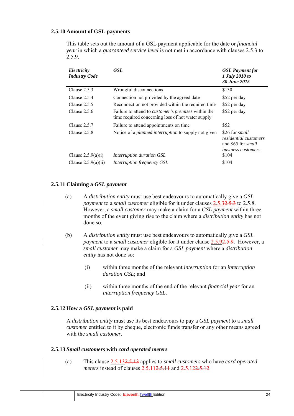#### **2.5.10 Amount of GSL payments**

This table sets out the amount of a GSL payment applicable for the date or *financial year* in which a *guaranteed service level* is not met in accordance with clauses 2.5.3 to 2.5.9.

| Electricity<br><b>Industry Code</b> | <b>GSL</b>                                                                                                      | <b>GSL</b> Payment for<br>1 July 2010 to<br>30 June 2015                                                 |
|-------------------------------------|-----------------------------------------------------------------------------------------------------------------|----------------------------------------------------------------------------------------------------------|
| Clause $2.5.3$                      | Wrongful disconnections                                                                                         | \$130                                                                                                    |
| Clause $2.5.4$                      | Connection not provided by the agreed date                                                                      | \$52 per day                                                                                             |
| Clause $2.5.5$                      | Reconnection not provided within the required time                                                              | \$52 per day                                                                                             |
| Clause $2.5.6$                      | Failure to attend to <i>customer's premises</i> within the<br>time required concerning loss of hot water supply | \$52 per day                                                                                             |
| Clause 2.5.7                        | Failure to attend appointments on time                                                                          | \$52                                                                                                     |
| Clause $2.5.8$                      | Notice of a <i>planned interruption</i> to supply not given                                                     | \$26 for <i>small</i><br><i>residential customers</i><br>and \$65 for <i>small</i><br>business customers |
| Clause $2.5.9(a)(i)$                | Interruption duration GSL                                                                                       | \$104                                                                                                    |
| Clause $2.5.9(a)(ii)$               | Interruption frequency GSL                                                                                      | \$104                                                                                                    |

#### **2.5.11 Claiming a** *GSL payment*

- (a) A *distribution entity* must use best endeavours to automatically give a *GSL payment* to a *small customer* eligible for it under clauses 2.5.32.5.3 to 2.5.8. However, a *small customer* may make a claim for a *GSL payment* within three months of the event giving rise to the claim where a *distribution entity* has not done so.
- (b) A *distribution entity* must use best endeavours to automatically give a *GSL payment* to a *small customer* eligible for it under clause 2.5.92.5.9. However, a *small customer* may make a claim for a *GSL payment* where a *distribution entity* has not done so:
	- (i) within three months of the relevant *interruption* for an *interruption duration GSL*; and
	- (ii) within three months of the end of the relevant *financial year* for an *interruption frequency GSL*.

#### **2.5.12 How a** *GSL payment* **is paid**

A *distribution entity* must use its best endeavours to pay a *GSL payment* to a *small customer* entitled to it by cheque, electronic funds transfer or any other means agreed with the *small customer*.

#### **2.5.13** *Small customers* **with** *card operated meters*

(a) This clause 2.5.132.5.13 applies to *small customers* who have *card operated meters* instead of clauses 2.5.112.5.11 and 2.5.122.5.12.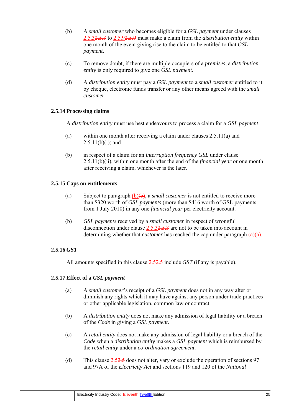- (b) A *small customer* who becomes eligible for a *GSL payment* under clauses 2.5.32.5.3 to 2.5.92.5.9 must make a claim from the *distribution entity* within one month of the event giving rise to the claim to be entitled to that *GSL payment*.
- (c) To remove doubt, if there are multiple occupiers of a *premises*, a *distribution entity* is only required to give one *GSL payment*.
- (d) A *distribution entity* must pay a *GSL payment* to a *small customer* entitled to it by cheque, electronic funds transfer or any other means agreed with the *small customer*.

#### **2.5.14 Processing claims**

A *distribution entity* must use best endeavours to process a claim for a *GSL payment*:

- (a) within one month after receiving a claim under clauses 2.5.11(a) and  $2.5.11(b)(i)$ ; and
- (b) in respect of a claim for an *interruption frequency GSL* under clause 2.5.11(b)(ii), within one month after the end of the *financial year* or one month after receiving a claim, whichever is the later.

#### **2.5.15 Caps on entitlements**

- (a) Subject to paragraph (b)(b), a *small customer* is not entitled to receive more than \$320 worth of *GSL payments* (more than \$416 worth of GSL payments from 1 July 2010) in any one *financial year* per electricity account.
- (b) *GSL payments* received by a *small customer* in respect of wrongful disconnection under clause  $2.5.32.5.3$  are not to be taken into account in determining whether that *customer* has reached the cap under paragraph (a)(a).

#### **2.5.16** *GST*

All amounts specified in this clause 2.52.5 include *GST* (if any is payable).

#### **2.5.17 Effect of a** *GSL payment*

- (a) A *small customer*'s receipt of a *GSL payment* does not in any way alter or diminish any rights which it may have against any person under trade practices or other applicable legislation, common law or contract.
- (b) A *distribution entity* does not make any admission of legal liability or a breach of the *Code* in giving a *GSL payment*.
- (c) A *retail entity* does not make any admission of legal liability or a breach of the *Code* when a *distribution entity* makes a *GSL payment* which is reimbursed by the *retail entity* under a *co-ordination agreement*.
- (d) This clause 2.52.5 does not alter, vary or exclude the operation of sections 97 and 97A of the *Electricity Act* and sections 119 and 120 of the *National*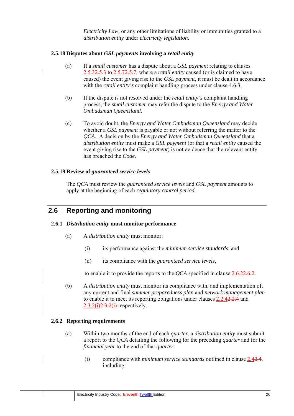*Electricity Law,* or any other limitations of liability or immunities granted to a *distribution entity* under *electricity legislation*.

#### **2.5.18 Disputes about** *GSL payments* **involving a** *retail entity*

- (a) If a *small customer* has a dispute about a *GSL payment* relating to clauses 2.5.32.5.3 to 2.5.72.5.7*,* where a *retail entity* caused (or is claimed to have caused) the event giving rise to the *GSL payment*, it must be dealt in accordance with the *retail entity's* complaint handling process under clause 4.6.3.
- (b) If the dispute is not resolved under the *retail entity's* complaint handling process, the *small customer* may refer the dispute to the *Energy and Water Ombudsman Queensland*.
- (c) To avoid doubt, the *Energy and Water Ombudsman Queensland* may decide whether a *GSL payment* is payable or not without referring the matter to the *QCA*. A decision by the *Energy and Water Ombudsman Queensland* that a *distribution entity* must make a *GSL payment* (or that a *retail entity* caused the event giving rise to the *GSL payment*) is not evidence that the relevant entity has breached the *Code*.

#### **2.5.19 Review of** *guaranteed service levels*

The *QCA* must review the *guaranteed service levels* and *GSL payment* amounts to apply at the beginning of each *regulatory control period*.

# **2.6 Reporting and monitoring**

#### **2.6.1** *Distribution entity* **must monitor performance**

- (a) A *distribution entity* must monitor:
	- (i) its performance against the *minimum service standards*; and
	- (ii) its compliance with the *guaranteed service levels*,

to enable it to provide the reports to the *OCA* specified in clause  $2.6.22.6.2$ .

(b) A *distribution entity* must monitor its compliance with, and implementation of, any current and final *summer preparedness plan* and *network management plan* to enable it to meet its reporting obligations under clauses 2.2.42.2.4 and  $2.3.2(i)$  $2.3.2(i)$  respectively.

#### **2.6.2 Reporting requirements**

- (a) Within two months of the end of each *quarter*, a *distribution entity* must submit a report to the *QCA* detailing the following for the preceding *quarter* and for the *financial year* to the end of that *quarter*:
	- (i) compliance with *minimum service standards* outlined in clause 2.42.4, including: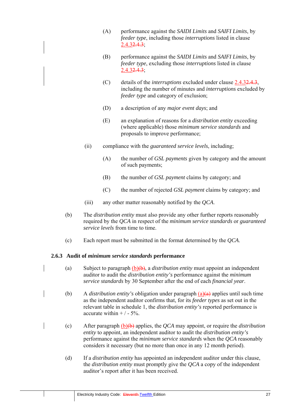- (A) performance against the *SAIDI Limits* and *SAIFI Limits*, by *feeder type*, including those *interruptions* listed in clause 2.4.32.4.3;
- (B) performance against the *SAIDI Limits* and *SAIFI Limits*, by *feeder type*, excluding those *interruptions* listed in clause  $2.4.32.4.3$ ;
- (C) details of the *interruptions* excluded under clause 2.4.32.4.3, including the number of minutes and *interruptions* excluded by *feeder type* and category of exclusion;
- (D) a description of any *major event days*; and
- (E) an explanation of reasons for a *distribution entity* exceeding (where applicable) those *minimum service standards* and proposals to improve performance;
- (ii) compliance with the *guaranteed service levels*, including;
	- (A) the number of *GSL payments* given by category and the amount of such payments;
	- (B) the number of *GSL payment* claims by category; and
	- (C) the number of rejected *GSL payment* claims by category; and
- (iii) any other matter reasonably notified by the *QCA*.
- (b) The *distribution entity* must also provide any other further reports reasonably required by the *QCA* in respect of the *minimum service standards* or *guaranteed service levels* from time to time.
- (c) Each report must be submitted in the format determined by the *QCA*.

#### **2.6.3 Audit of** *minimum service standards* **performance**

- (a) Subject to paragraph (b)(b), a *distribution entity* must appoint an independent auditor to audit the *distribution entity's* performance against the *minimum service standards* by 30 September after the end of each *financial year*.
- (b) A *distribution entity's* obligation under paragraph  $(a)(a)$  applies until such time as the independent auditor confirms that, for its *feeder types* as set out in the relevant table in schedule 1, the *distribution entity's* reported performance is accurate within  $+/-5%$ .
- (c) After paragraph (b)(b) applies, the *QCA* may appoint, or require the *distribution entity* to appoint, an independent auditor to audit the *distribution entity's* performance against the *minimum service standards* when the *QCA* reasonably considers it necessary (but no more than once in any 12 month period).
	- (d) If a *distribution entity* has appointed an independent auditor under this clause, the *distribution entity* must promptly give the *QCA* a copy of the independent auditor's report after it has been received.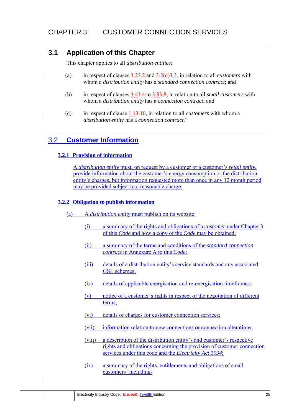# **3.1 Application of this Chapter**

This chapter applies to all *distribution entities*:

- (a) in respect of clauses 3.23.2 and 3.2(d)3.3, in relation to all *customers* with whom a *distribution entity* has a *standard connection contract*; and
- (b) in respect of clauses 3.43.4 to 3.83.8, in relation to all *small customers* with whom a *distribution entity* has a *connection contract*; and
- (c) in respect of clause 1.13.10, in relation to all *customers* with whom a *distribution entity* has a *connection contract*."

# 3.2 **Customer Information**

#### **3.2.1 Provision of information**

A *distribution entity* must, on request by a customer or a customer's *retail entity*, provide information about the customer's energy consumption or the distribution entity's charges, but information requested more than once in any 12 month period may be provided subject to a reasonable charge.

#### **3.2.2 Obligation to publish information**

- (a) A *distribution entity* must publish on its website:
	- (i) a summary of the rights and obligations of a *customer* under Chapter 3 of this *Code* and how a copy of the *Code* may be obtained;
	- (ii) a summary of the terms and conditions of the *standard connection contract* in Annexure A to this *Code*;
	- (iii) details of a distribution entity's service standards and any associated GSL schemes;
	- (iv) details of applicable energisation and re-energisation timeframes;
	- (v) notice of a customer's rights in respect of the negotiation of different terms;
	- (vi) details of charges for customer connection services;
	- (vii) information relation to new connections or connection alterations;
	- (viii) a description of the distribution entity's and customer's respective rights and obligations concerning the provision of customer connection services under this code and the *Electricity Act 1994*;
	- (ix) a summary of the rights, entitlements and obligations of small customers' including-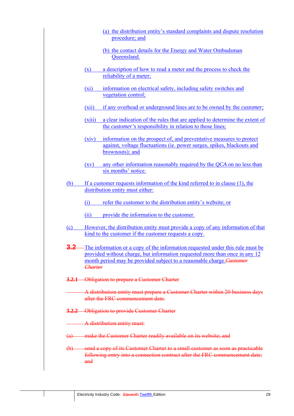- (a) the distribution entity's standard complaints and dispute resolution procedure; and
- (b) the contact details for the Energy and Water Ombudsman Queensland.
- (x) a description of how to read a meter and the process to check the reliability of a meter;
- (xi) information on electrical safety, including safety switches and vegetation control;
- (xii) if any overhead or underground lines are to be owned by the *customer;*
- (xiii) a clear indication of the rules that are applied to determine the extent of the *customer's* responsibility in relation to those lines;
- (xiv) information on the prospect of, and preventative measures to protect against, voltage fluctuations (ie. power surges, spikes, blackouts and brownouts); and
- (xv) any other information reasonably required by the *QCA* on no less than six months' notice.
- (b) If a customer requests information of the kind referred to in clause (1), the distribution entity must either:
	- (i) refer the customer to the distribution entity's website; or
	- (ii) provide the information to the customer.
- (c) However, the distribution entity must provide a copy of any information of that kind to the customer if the customer requests a copy.
- **3.2** The information or a copy of the information requested under this rule must be provided without charge, but information requested more than once in any 12 month period may be provided subject to a reasonable charge.*Customer Charter*
- **3.2.1** Obligation to prepare a Customer Charter
	- A distribution entity must prepare a Customer Charter within 20 business days after the FRC commencement date.
- **3.2.2** Obligation to provide Customer Charter
	- A distribution entity must:
- (a) make the Customer Charter readily available on its website; and
- (b) send a copy of its Customer Charter to a small customer as soon as practicable following entry into a connection contract after the FRC commencement date; and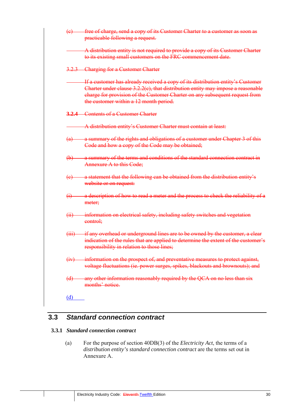| (e)                       | free of charge, send a copy of its Customer Charter to a customer as soon as<br>practicable following a request.                                                                                                                                                                            |
|---------------------------|---------------------------------------------------------------------------------------------------------------------------------------------------------------------------------------------------------------------------------------------------------------------------------------------|
|                           | A distribution entity is not required to provide a copy of its Customer Charter<br>to its existing small customers on the FRC commencement date.                                                                                                                                            |
|                           | 3.2.3 Charging for a Customer Charter                                                                                                                                                                                                                                                       |
|                           | If a customer has already received a copy of its distribution entity's Customer<br>Charter under clause 3.2.2(c), that distribution entity may impose a reasonable<br>charge for provision of the Customer Charter on any subsequent request from<br>the customer within a 12 month period. |
|                           | <b>3.2.4</b> Contents of a Customer Charter                                                                                                                                                                                                                                                 |
|                           | A distribution entity's Customer Charter must contain at least:                                                                                                                                                                                                                             |
| $\left(\mathrm{a}\right)$ | a summary of the rights and obligations of a customer under Chapter 3 of this<br>Code and how a copy of the Code may be obtained;                                                                                                                                                           |
| $\biguplus$               | a summary of the terms and conditions of the standard connection contract in<br><b>Annexure A to this Code:</b>                                                                                                                                                                             |
| (e)                       | a statement that the following can be obtained from the distribution entity's<br>website or on request:                                                                                                                                                                                     |
| $\overline{(\cdot)}$      | a description of how to read a meter and the process to check the reliability of a<br>meter;                                                                                                                                                                                                |
| $\overline{4i}$           | information on electrical safety, including safety switches and vegetation<br>control:                                                                                                                                                                                                      |
|                           | (iii) if any overhead or underground lines are to be owned by the customer, a clear<br>indication of the rules that are applied to determine the extent of the customer's<br>responsibility in relation to those lines;                                                                     |
| (iv)                      | information on the prospect of, and preventative measures to protect against,<br>voltage fluctuations (ie. power surges, spikes, blackouts and brownouts); and                                                                                                                              |
| (d)                       | any other information reasonably required by the QCA on no less than six<br>months' notice.                                                                                                                                                                                                 |
| (d)                       |                                                                                                                                                                                                                                                                                             |

# **3.3** *Standard connection contract*

#### **3.3.1** *Standard connection contract*

(a) For the purpose of section 40DB(3) of the *Electricity Act*, the terms of a *distribution entity's standard connection contract* are the terms set out in Annexure A.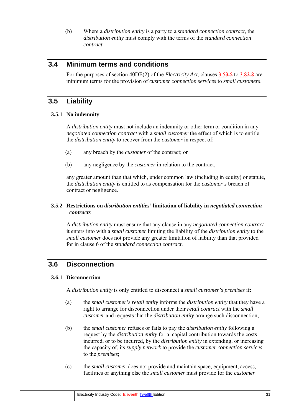(b) Where a *distribution entity* is a party to a *standard connection contract*, the *distribution entity* must comply with the terms of the *standard connection contract*.

# **3.4 Minimum terms and conditions**

For the purposes of section 40DE(2) of the *Electricity Act*, clauses 3.53.5 to 3.83.8 are minimum terms for the provision of *customer connection services* to *small customers*.

# **3.5 Liability**

#### **3.5.1 No indemnity**

A *distribution entity* must not include an indemnity or other term or condition in any *negotiated connection contract* with a *small customer* the effect of which is to entitle the *distribution entity* to recover from the *customer* in respect of:

- (a) any breach by the *customer* of the contract; or
- (b) any negligence by the *customer* in relation to the contract,

any greater amount than that which, under common law (including in equity) or statute, the *distribution entity* is entitled to as compensation for the *customer's* breach of contract or negligence.

#### **3.5.2 Restrictions on** *distribution entities'* **limitation of liability in** *negotiated connection contracts*

A *distribution entity* must ensure that any clause in any *negotiated connection contract* it enters into with a *small customer* limiting the liability of the *distribution entity* to the *small customer* does not provide any greater limitation of liability than that provided for in clause 6 of the *standard connection contract*.

# **3.6 Disconnection**

#### **3.6.1 Disconnection**

A *distribution entity* is only entitled to disconnect a *small customer's premises* if:

- (a) the *small customer's retail entity* informs the *distribution entity* that they have a right to arrange for disconnection under their *retail contract* with the *small customer* and requests that the *distribution entity* arrange such disconnection;
- (b) the *small customer* refuses or fails to pay the *distribution entity* following a request by the *distribution entity* for a capital contribution towards the costs incurred, or to be incurred, by the *distribution entity* in extending, or increasing the capacity of, its *supply network* to provide the *customer connection services* to the *premises*;
- (c) the *small customer* does not provide and maintain space, equipment, access, facilities or anything else the *small customer* must provide for the *customer*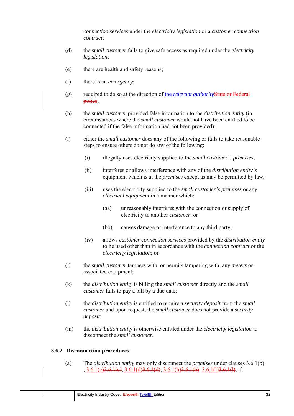*connection services* under the *electricity legislation* or a *customer connection contract*;

- (d) the *small customer* fails to give safe access as required under the *electricity legislation*;
- (e) there are health and safety reasons;
- (f) there is an *emergency*;
- (g) required to do so at the direction of the *relevant authority*State or Federal police;
- (h) the *small customer* provided false information to the *distribution entity* (in circumstances where the *small customer* would not have been entitled to be connected if the false information had not been provided);
- (i) either the *small customer* does any of the following or fails to take reasonable steps to ensure others do not do any of the following:
	- (i) illegally uses electricity supplied to the *small customer's premises*;
	- (ii) interferes or allows interference with any of the *distribution entity's* equipment which is at the *premises* except as may be permitted by law;
	- (iii) uses the electricity supplied to the *small customer's premises* or any *electrical equipment* in a manner which:
		- (aa) unreasonably interferes with the connection or supply of electricity to another *customer*; or
		- (bb) causes damage or interference to any third party;
	- (iv) allows *customer connection services* provided by the *distribution entity* to be used other than in accordance with the *connection contract* or the *electricity legislation*; or
- (j) the *small customer* tampers with, or permits tampering with, any *meters* or associated equipment;
- (k) the *distribution entity* is billing the *small customer* directly and the *small customer* fails to pay a bill by a due date;
- (l) the *distribution entity* is entitled to require a *security deposit* from the *small customer* and upon request, the *small customer* does not provide a *security deposit*;
- (m) the *distribution entity* is otherwise entitled under the *electricity legislation* to disconnect the *small customer*.

#### **3.6.2 Disconnection procedures**

(a) The *distribution entity* may only disconnect the *premises* under clauses 3.6.1(b) ,  $3.6.1(c)$  $3.6.1(e)$ ,  $3.6.1(d)$  $3.6.1(d)$ ,  $3.6.1(h)$  $3.6.1(h)$ ,  $3.6.1(l)$  $3.6.1(l)$ , if: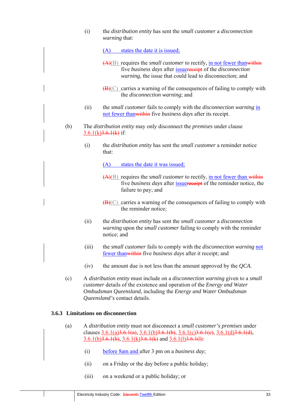(i) the *distribution entity* has sent the *small customer* a *disconnection warning* that:

(A) states the date it is issued;

- (A)(B) requires the *small customer* to rectify, in not fewer thanwithin five *business days* after issuereceipt of the *disconnection warning*, the issue that could lead to disconnection; and
- $(\mathbf{B})(\mathbf{C})$  carries a warning of the consequences of failing to comply with the *disconnection warning*; and
- (ii) the *small customer* fails to comply with the *disconnection warning* in not fewer thanwithin five *business days* after its receipt.
- (b) The *distribution entity* may only disconnect the *premises* under clause  $3.6.1(k)3.6.1(k)$  if:
	- (i) the *distribution entity* has sent the *small customer* a reminder notice that:
		- (A) states the date it was issued;
		- (A)(B) requires the *small customer* to rectify, in not fewer than within five *business days* after issuereceipt of the reminder notice, the failure to pay; and
		- $(\mathbf{B})(\mathbf{C})$  carries a warning of the consequences of failing to comply with the reminder notice;
	- (ii) the *distribution entity* has sent the *small customer* a *disconnection warning* upon the *small customer* failing to comply with the reminder notice; and
	- (iii) the *small customer* fails to comply with the *disconnection warning* not fewer thanwithin five *business days* after it receipt; and
	- (iv) the amount due is not less than the amount approved by the *QCA*.
- (c) A *distribution entity* must include on a *disconnection warning* given to a *small customer* details of the existence and operation of the *Energy and Water Ombudsman Queensland*, including the *Energy and Water Ombudsman Queensland's* contact details.

#### **3.6.3 Limitations on disconnection**

- (a) A *distribution entity* must not disconnect a *small customer's premises* under clauses  $3.6.1(a)3.6.1(a)$ ,  $3.6.1(b)3.6.1(b)$ ,  $3.6.1(c)3.6.1(e)$ ,  $3.6.1(d)3.6.1(d)$ ,  $3.6.1(h)$  $3.6.1(h)$ ,  $3.6.1(k)$  $3.6.1(k)$  and  $3.6.1(l)$  $3.6.1(l)$ :
	- (i) before 8am and after 3 pm on a *business day*;
	- (ii) on a Friday or the day before a public holiday;
	- (iii) on a weekend or a public holiday; or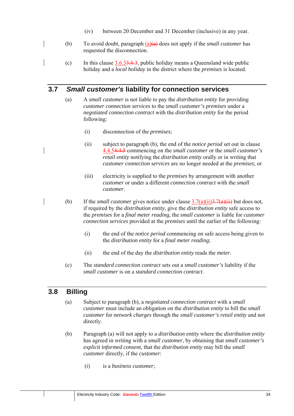- (iv) between 20 December and 31 December (inclusive) in any year.
- (b) To avoid doubt, paragraph (a)(a) does not apply if the *small customer* has requested the disconnection.
	- (c) In this clause  $3.6.33.6.3$ , public holiday means a Queensland wide public holiday and a *local holiday* in the district where the *premises* is located.

# **3.7** *Small customer's* **liability for connection services**

- (a) A *small customer* is not liable to pay the *distribution entity* for providing *customer connection services* to the *small customer's premises* under a *negotiated connection contract* with the *distribution entity* for the period following:
	- (i) disconnection of the *premises*;
	- (ii) subject to paragraph (b), the end of the *notice period* set out in clause 4.4.54.4.5 commencing on the *small customer* or the *small customer's retail entity* notifying the *distribution entity* orally or in writing that *customer connection services* are no longer needed at the *premises*; or
	- (iii) electricity is supplied to the *premises* by arrangement with another *customer* or under a different *connection contract* with the *small customer*.
- (b) If the *small customer* gives notice under clause  $\frac{3.7(a)(ii)3.7(a)(ii)}{3.7(a)(ii)}$  but does not, if required by the *distribution entity*, give the *distribution entity* safe access to the *premises* for a *final meter reading*, the *small customer* is liable for *customer connection services* provided at the *premises* until the earlier of the following:
	- (i) the end of the *notice period* commencing on safe access being given to the *distribution entity* for a *final meter reading*;
	- (ii) the end of the day the *distribution entity* reads the *meter*.
	- (c) The *standard connection contract* sets out a *small customer's* liability if the *small customer* is on a *standard connection contract*.

# **3.8 Billing**

- (a) Subject to paragraph (b), a *negotiated connection contract* with a *small customer* must include an obligation on the *distribution entity* to bill the *small customer* for *network charges* through the *small customer's retail entity* and not directly.
- (b) Paragraph (a) will not apply to a *distribution entity* where the *distribution entity* has agreed in writing with a *small customer*, by obtaining that *small customer's explicit informed consent*, that the *distribution entity* may bill the *small customer* directly, if the *customer*:
	- (i) is a *business customer*;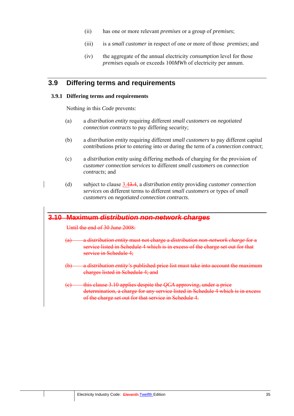- (ii) has one or more relevant *premises* or a group of *premises*;
- (iii) is a *small customer* in respect of one or more of those *premises*; and
- (iv) the aggregate of the annual electricity *consumption* level for those *premises* equals or exceeds 100*MWh* of electricity per annum.

## **3.9 Differing terms and requirements**

### **3.9.1 Differing terms and requirements**

Nothing in this *Code* prevents:

- (a) a *distribution entity* requiring different *small customers* on *negotiated connection contracts* to pay differing security;
- (b) a *distribution entity* requiring different *small customers* to pay different capital contributions prior to entering into or during the term of a *connection contract*;
- (c) a *distribution entity* using differing methods of charging for the provision of *customer connection services* to different *small customers* on *connection contracts*; and
- (d) subject to clause 3.43.4, a *distribution entity* providing *customer connection services* on different terms to different *small customers* or types of *small customers* on *negotiated connection contracts*.

# **3.10 Maximum** *distribution non-network charges*

Until the end of 30 June 2008:

- (a) a *distribution entity* must not charge a *distribution non-network charge* for a service listed in Schedule 4 which is in excess of the charge set out for that service in Schedule 4:
- (b) a *distribution entity's* published price list must take into account the maximum charges listed in Schedule 4; and
- (c) this clause 3.10 applies despite the *QCA* approving, under a price determination, a charge for any service listed in Schedule 4 which is in excess of the charge set out for that service in Schedule 4.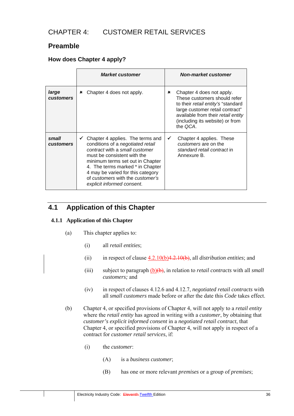# CHAPTER 4: CUSTOMER RETAIL SERVICES

# **Preamble**

## **How does Chapter 4 apply?**

|                           | <b>Market customer</b>                                                                                                                                                                                                                                                                                                             | <b>Non-market customer</b>                                                                                                                                                                                                          |
|---------------------------|------------------------------------------------------------------------------------------------------------------------------------------------------------------------------------------------------------------------------------------------------------------------------------------------------------------------------------|-------------------------------------------------------------------------------------------------------------------------------------------------------------------------------------------------------------------------------------|
| large<br><b>customers</b> | Chapter 4 does not apply.<br>×                                                                                                                                                                                                                                                                                                     | Chapter 4 does not apply.<br>×<br>These customers should refer<br>to their <i>retail entity's</i> "standard<br>large customer retail contract"<br>available from their retail entity<br>(including its website) or from<br>the QCA. |
| small<br><b>customers</b> | $\checkmark$ Chapter 4 applies. The terms and<br>conditions of a negotiated retail<br>contract with a small customer<br>must be consistent with the<br>minimum terms set out in Chapter<br>4. The terms marked * in Chapter<br>4 may be varied for this category<br>of customers with the customer's<br>explicit informed consent. | Chapter 4 applies. These<br>✔<br>customers are on the<br>standard retail contract in<br>Annexure B.                                                                                                                                 |

# **4.1 Application of this Chapter**

## **4.1.1 Application of this Chapter**

- (a) This chapter applies to:
	- (i) all *retail entities*;
	- (ii) in respect of clause 4.2.10(b)4.2.10(b), all *distribution entities*; and
	- (iii) subject to paragraph (b)(b), in relation to *retail contracts* with all *small customers;* and
	- (iv) in respect of clauses 4.12.6 and 4.12.7, *negotiated retail contracts* with all *small customers* made before or after the date this *Code* takes effect.
- (b) Chapter 4, or specified provisions of Chapter 4, will not apply to a *retail entity* where the *retail entity* has agreed in writing with a *customer*, by obtaining that *customer's explicit informed consent* in a *negotiated retail contract*, that Chapter 4, or specified provisions of Chapter 4, will not apply in respect of a contract for *customer retail services*, if:
	- (i) the *customer*:
		- (A) is a *business customer*;
		- (B) has one or more relevant *premises* or a group of *premises*;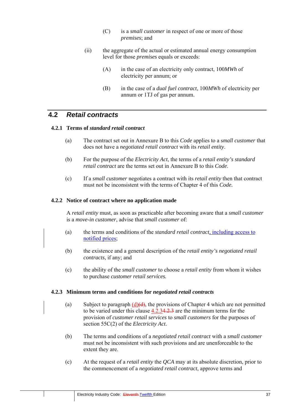- (C) is a *small customer* in respect of one or more of those *premises*; and
- (ii) the aggregate of the actual or estimated annual energy consumption level for those *premises* equals or exceeds:
	- (A) in the case of an electricity only contract, 100*MWh* of electricity per annum; or
	- (B) in the case of a *dual fuel contract*, 100*MWh* of electricity per annum or 1TJ of gas per annum.

## **4.2** *Retail contracts*

## **4.2.1 Terms of** *standard retail contract*

- (a) The contract set out in Annexure B to this *Code* applies to a s*mall customer* that does not have a *negotiated retail contract* with its *retail entity*.
- (b) For the purpose of the *Electricity Act*, the terms of a *retail entity's standard retail contract* are the terms set out in Annexure B to this *Code*.
- (c) If a *small customer* negotiates a contract with its *retail entity* then that contract must not be inconsistent with the terms of Chapter 4 of this *Code.*

### **4.2.2 Notice of contract where no application made**

A *retail entity* must, as soon as practicable after becoming aware that a *small customer*  is a *move-in customer*, advise that *small customer* of:

- (a) the terms and conditions of the *standard retail contract,* including access to notified prices;
- (b) the existence and a general description of the *retail entity's negotiated retail contracts*, if any; and
- (c) the ability of the *small customer* to choose a *retail entity* from whom it wishes to purchase *customer retail services.*

#### **4.2.3 Minimum terms and conditions for** *negotiated retail contracts*

- (a) Subject to paragraph  $(d)(d)$ , the provisions of Chapter 4 which are not permitted to be varied under this clause 4.2.34.2.3 are the minimum terms for the provision of *customer retail services* to *small customers* for the purposes of section 55C(2) of the *Electricity Act*.
- (b) The terms and conditions of a *negotiated retail contract* with a *small customer* must not be inconsistent with such provisions and are unenforceable to the extent they are.
- (c) At the request of a *retail entity* the *QCA* may at its absolute discretion, prior to the commencement of a *negotiated retail contract*, approve terms and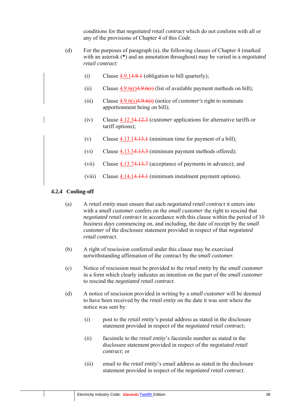conditions for that *negotiated retail contract* which do not conform with all or any of the provisions of Chapter 4 of this *Code*.

- (d) For the purposes of paragraph (a), the following clauses of Chapter 4 (marked with an asterisk (**\***) and an annotation throughout) may be varied in a *negotiated retail contract*:
	- (i) Clause  $4.9.14.9.1$  (obligation to bill quarterly);
	- (ii) Clause  $\frac{4.9.6(r)4.9.6(r)}{4.9.6(r)}$  (list of available payment methods on bill);
	- (iii) Clause 4.9.6(s)4.9.6(t) (notice of *customer's* right to nominate apportionment being on bill);
	- (iv) Clause 4.12.34.12.3 (*customer* applications for alternative tariffs or tariff options);
	- (v) Clause  $4.13.14.13.1$  (minimum time for payment of a bill);
	- (vi) Clause 4.13.34.13.3 (minimum payment methods offered);
	- (vii) Clause 4.13.74.13.7 (acceptance of payments in advance); and
	- (viii) Clause 4.14.14.14.1 (minimum instalment payment options).

## **4.2.4 Cooling-off**

- (a) A *retail entity* must ensure that each *negotiated retail contract* it enters into with a *small customer* confers on the *small customer* the right to rescind that *negotiated retail contract* in accordance with this clause within the period of 10 *business days* commencing on, and including, the date of receipt by the *small customer* of the disclosure statement provided in respect of that *negotiated retail contract*.
- (b) A right of rescission conferred under this clause may be exercised notwithstanding affirmation of the contract by the *small customer*.
- (c) Notice of rescission must be provided to the *retail entity* by the *small customer* in a form which clearly indicates an intention on the part of the *small customer* to rescind the *negotiated retail contract*.
- (d) A notice of rescission provided in writing by a *small customer* will be deemed to have been received by the *retail entity* on the date it was sent where the notice was sent by:
	- (i) post to the *retail entity's* postal address as stated in the disclosure statement provided in respect of the *negotiated retail contract*;
	- (ii) facsimile to the *retail entity*'s facsimile number as stated in the disclosure statement provided in respect of the *negotiated retail contract*; or
	- (iii) email to the *retail entity*'s email address as stated in the disclosure statement provided in respect of the *negotiated retail contract*.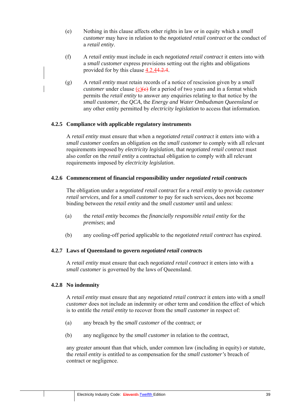- (e) Nothing in this clause affects other rights in law or in equity which a *small customer* may have in relation to the *negotiated retail contract* or the conduct of a *retail entity*.
- (f) A *retail entity* must include in each *negotiated retail contract* it enters into with a *small customer* express provisions setting out the rights and obligations provided for by this clause 4.2.44.2.4.
- (g) A *retail entity* must retain records of a notice of rescission given by a *small customer* under clause  $(c)(e)$  for a period of two years and in a format which permits the *retail entity* to answer any enquiries relating to that notice by the *small customer*, the *QCA*, the *Energy and Water Ombudsman Queensland* or any other entity permitted by *electricity legislation* to access that information.

## **4.2.5 Compliance with applicable regulatory instruments**

A *retail entity* must ensure that when a *negotiated retail contract* it enters into with a *small customer* confers an obligation on the *small customer* to comply with all relevant requirements imposed by *electricity legislation*, that *negotiated retail contract* must also confer on the *retail entity* a contractual obligation to comply with all relevant requirements imposed by *electricity legislation*.

## **4.2.6 Commencement of financial responsibility under** *negotiated retail contract***s**

The obligation under a *negotiated retail contract* for a *retail entity* to provide *customer retail services*, and for a *small customer* to pay for such services, does not become binding between the *retail entity* and the *small customer* until and unless:

- (a) the *retail entity* becomes the *financially responsible retail entity* for the *premises*; and
- (b) any cooling-off period applicable to the *negotiated retail contract* has expired.

## **4.2.7 Laws of Queensland to govern** *negotiated retail contract***s**

A *retail entity* must ensure that each *negotiated retail contract* it enters into with a *small customer* is governed by the laws of Oueensland.

#### **4.2.8 No indemnity**

A *retail entity* must ensure that any *negotiated retail contract* it enters into with a *small customer* does not include an indemnity or other term and condition the effect of which is to entitle the *retail entity* to recover from the *small customer* in respect of:

- (a) any breach by the *small customer* of the contract; or
- (b) any negligence by the *small customer* in relation to the contract,

any greater amount than that which, under common law (including in equity) or statute, the *retail entity* is entitled to as compensation for the *small customer's* breach of contract or negligence.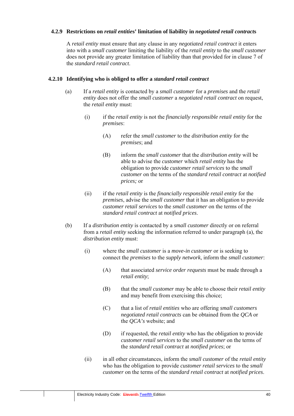## **4.2.9 Restrictions on** *retail entitie***s' limitation of liability in** *negotiated retail contract***s**

A *retail entity* must ensure that any clause in any *negotiated retail contract* it enters into with a *small customer* limiting the liability of the *retail entity* to the *small customer* does not provide any greater limitation of liability than that provided for in clause 7 of the *standard retail contract*.

## **4.2.10 Identifying who is obliged to offer a** *standard retail contract*

- (a) If a *retail entity* is contacted by a *small customer* for a *premises* and the *retail entity* does not offer the *small customer* a *negotiated retail contract* on request, the *retail entity* must:
	- (i) if the *retail entity* is not the *financially responsible retail entity* for the *premises*:
		- (A) refer the *small customer* to the *distribution entity* for the *premises*; and
		- (B) inform the *small customer* that the *distribution entity* will be able to advise the *customer* which *retail entity* has the obligation to provide *customer retail services* to the *small customer* on the terms of the *standard retail contract* at *notified prices;* or
	- (ii) if the *retail entity* is the *financially responsible retail entity* for the *premises*, advise the *small customer* that it has an obligation to provide *customer retail services* to the *small customer* on the terms of the *standard retail contract* at *notified prices*.
- (b) If a *distribution entity* is contacted by a *small customer* directly or on referral from a *retail entity* seeking the information referred to under paragraph (a), the *distribution entity* must:
	- (i) where the *small customer* is a *move-in customer* or is seeking to connect the *premises* to the *supply network*, inform the *small customer*:
		- (A) that associated *service order requests* must be made through a *retail entity*;
		- (B) that the *small customer* may be able to choose their *retail entity* and may benefit from exercising this choice;
		- (C) that a list of *retail entities* who are offering *small customers negotiated retail contracts* can be obtained from the *QCA* or the *QCA's* website; and
		- (D) if requested, the *retail entity* who has the obligation to provide *customer retail services* to the *small customer* on the terms of the *standard retail contract* at *notified prices*; or
	- (ii) in all other circumstances, inform the *small customer* of the *retail entity* who has the obligation to provide *customer retail services* to the *small customer* on the terms of the *standard retail contract* at *notified prices*.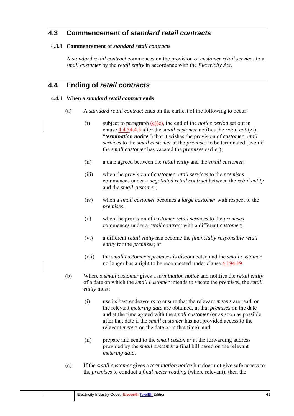# **4.3 Commencement of** *standard retail contracts*

## **4.3.1 Commencement of** *standard retail contracts*

A *standard retail contract* commences on the provision of *customer retail services* to a *small customer* by the *retail entity* in accordance with the *Electricity Act*.

# **4.4 Ending of** *retail contracts*

## **4.4.1 When a** *standard retail contract* **ends**

- (a) A *standard retail contract* ends on the earliest of the following to occur:
	- (i) subject to paragraph  $(c)(e)$ , the end of the *notice period* set out in clause 4.4.54.4.5 after the *small customer* notifies the *retail entity* (a "*termination notice*") that it wishes the provision of *customer retail services* to the *small customer* at the *premises* to be terminated (even if the *small customer* has vacated the *premises* earlier);
	- (ii) a date agreed between the *retail entity* and the *small customer*;
	- (iii) when the provision of *customer retail services* to the *premises* commences under a *negotiated retail contract* between the *retail entity*  and the *small customer*;
	- (iv) when a *small customer* becomes a *large customer* with respect to the *premises*;
	- (v) when the provision of *customer retail services* to the *premises* commences under a *retail contract* with a different *customer*;
	- (vi) a different *retail entity* has become the *financially responsible retail entity* for the *premises*; or
	- (vii) the *small customer's premises* is disconnected and the *small customer*  no longer has a right to be reconnected under clause 4.194.19.
- (b) Where a *small customer* gives a *termination notice* and notifies the *retail entity*  of a date on which the *small customer* intends to vacate the *premises*, the *retail entity* must:
	- (i) use its best endeavours to ensure that the relevant *meters* are read, or the relevant *metering data* are obtained, at that *premises* on the date and at the time agreed with the *small customer* (or as soon as possible after that date if the *small customer* has not provided access to the relevant *meters* on the date or at that time); and
	- (ii) prepare and send to the *small customer* at the forwarding address provided by the *small customer* a final bill based on the relevant *metering data*.
- (c) If the *small customer* gives a *termination notice* but does not give safe access to the *premises* to conduct a *final meter reading* (where relevant), then the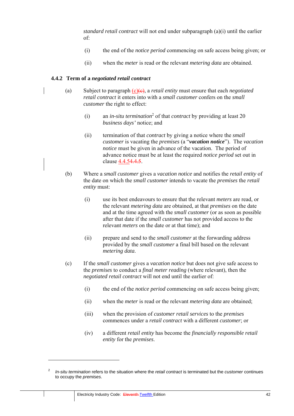*standard retail contract* will not end under subparagraph (a)(i) until the earlier of:

- (i) the end of the *notice period* commencing on safe access being given; or
- (ii) when the *meter* is read or the relevant *metering data* are obtained.

### **4.4.2 Term of a** *negotiated retail contract*

- (a) Subject to paragraph  $(c)(\theta)$ , a *retail entity* must ensure that each *negotiated retail contract* it enters into with a *small customer* confers on the *small customer* the right to effect:
	- (i) an *in-situ termination*<sup>2</sup> of that *contract* by providing at least 20 *business days'* notice; and
	- (ii) termination of that *contract* by giving a notice where the *small customer* is vacating the *premises* (a "*vacation notice*"). The *vacation notice* must be given in advance of the vacation. The period of advance notice must be at least the required *notice period* set out in clause 4.4.54.4.5.
- (b) Where a *small customer* gives a *vacation notice* and notifies the *retail entity* of the date on which the *small customer* intends to vacate the *premises* the *retail entity* must:
	- (i) use its best endeavours to ensure that the relevant *meters* are read, or the relevant *metering data* are obtained, at that *premises* on the date and at the time agreed with the *small customer* (or as soon as possible after that date if the *small customer* has not provided access to the relevant *meters* on the date or at that time); and
	- (ii) prepare and send to the *small customer* at the forwarding address provided by the *small customer* a final bill based on the relevant *metering data*.
- (c) If the *small customer* gives a *vacation notice* but does not give safe access to the *premises* to conduct a *final meter reading* (where relevant), then the *negotiated retail contract* will not end until the earlier of:
	- (i) the end of the *notice period* commencing on safe access being given;
	- (ii) when the *meter* is read or the relevant *metering data* are obtained;
	- (iii) when the provision of *customer retail services* to the *premises* commences under a *retail contract* with a different *customer*; or
	- (iv) a different *retail entity* has become the *financially responsible retail entity* for the *premises*.

<sup>2</sup> *In-situ termination* refers to the situation where the *retail contract* is terminated but the *customer* continues to occupy the *premises*.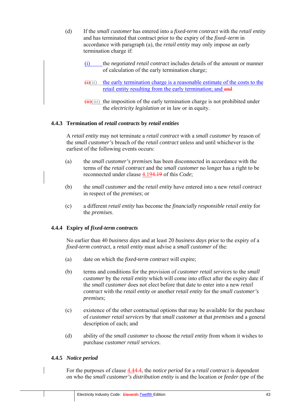- (d) If the *small customer* has entered into a *fixed-term contract* with the *retail entity*  and has terminated that contract prior to the expiry of the *fixed–term* in accordance with paragraph (a), the *retail entity* may only impose an early termination charge if:
	- (i) the *negotiated retail contract* includes details of the amount or manner of calculation of the early termination charge;
	- $\overrightarrow{(i)}$ (ii) the early termination charge is a reasonable estimate of the costs to the retail entity resulting from the early termination; and and
	- $(iii)(iii)$  the imposition of the early termination charge is not prohibited under the *electricity legislation* or in law or in equity.

## **4.4.3 Termination of** *retail contracts* **by** *retail entities*

A *retail entity* may not terminate a *retail contract* with a *small customer* by reason of the *small customer's* breach of the *retail contract* unless and until whichever is the earliest of the following events occurs:

- (a) the *small customer's premises* has been disconnected in accordance with the terms of the *retail contract* and the *small customer* no longer has a right to be reconnected under clause 4.194.19 of this *Code*;
- (b) the *small customer* and the *retail entity* have entered into a new *retail contract* in respect of the *premises*; or
- (c) a different *retail entity* has become the *financially responsible retail entity* for the *premises*.

## **4.4.4 Expiry of** *fixed-term contracts*

No earlier than 40 *business days* and at least 20 *business days* prior to the expiry of a *fixed-term contract*, a *retail entity* must advise a *small customer* of the:

- (a) date on which the *fixed-term contract* will expire;
- (b) terms and conditions for the provision of *customer retail services* to the *small customer* by the *retail entity* which will come into effect after the expiry date if the *small customer* does not elect before that date to enter into a new *retail contract* with the *retail entity* or another *retail entity* for the *small customer's premises*;
- (c) existence of the other contractual options that may be available for the purchase of *customer retail services* by that *small customer* at that *premises* and a general description of each; and
- (d) ability of the *small customer* to choose the *retail entity* from whom it wishes to purchase *customer retail services*.

## **4.4.5** *Notice period*

For the purposes of clause 4.44.4, the *notice period* for a *retail contract* is dependent on who the *small customer's distribution entity* is and the location or *feeder type* of the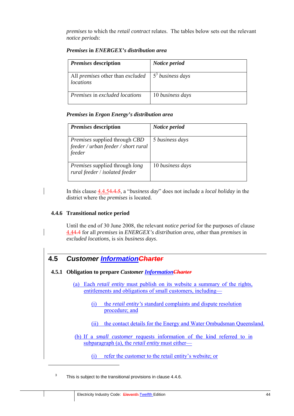*premises* to which the *retail contract* relates. The tables below sets out the relevant *notice periods*:

| <i>Premises</i> description                                 | Notice period      |
|-------------------------------------------------------------|--------------------|
| All <i>premises</i> other than <i>excluded</i><br>locations | $53$ business days |
| Premises in excluded locations                              | 10 business days   |

### *Premises* **in** *ENERGEX's distribution area*

### *Premises* **in** *Ergon Energy's distribution area*

| <i>Premises</i> description                                                    | Notice period    |
|--------------------------------------------------------------------------------|------------------|
| Premises supplied through CBD<br>feeder / urban feeder / short rural<br>feeder | 5 business days  |
| <i>Premises</i> supplied through <i>long</i><br>rural feeder / isolated feeder | 10 business days |

In this clause 4.4.54.4.5, a "*business day*" does not include a *local holiday* in the district where the *premises* is located.

#### **4.4.6 Transitional notice period**

 $\overline{a}$ 

Until the end of 30 June 2008, the relevant *notice period* for the purposes of clause 4.44.4 for all *premises* in *ENERGEX's distribution area*, other than *premises* in *excluded locations*, is six *business days*.

# **4.5** *Customer InformationCharter*

**4.5.1 Obligation to prepare** *Customer InformationCharter*

(a) Each *retail entity* must publish on its website a summary of the rights, entitlements and obligations of small customers, including—

- (i) the *retail entity's* standard complaints and dispute resolution procedure; and
- (ii) the contact details for the Energy and Water Ombudsman Queensland.
- (b) If a *small customer* requests information of the kind referred to in subparagraph (a), the *retail entity* must either—

(i) refer the customer to the retail entity's website; or

<sup>3</sup> This is subject to the transitional provisions in clause 4.4.6.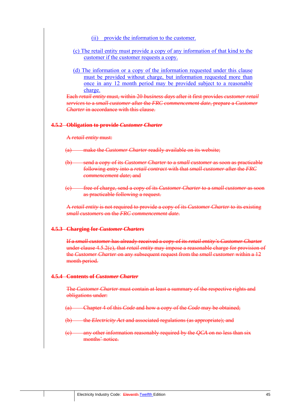(ii) provide the information to the customer.

- (c) The retail entity must provide a copy of any information of that kind to the customer if the customer requests a copy.
- (d) The information or a copy of the information requested under this clause must be provided without charge, but information requested more than once in any 12 month period may be provided subject to a reasonable charge.

Each *retail entity* must, within 20 *business days* after it first provides *customer retail services* to a *small customer* after the *FRC commencement date*, prepare a *Customer Charter* in accordance with this clause.

#### **4.5.2 Obligation to provide** *Customer Charter*

A *retail entity* must:

- (a) make the *Customer Charter* readily available on its website;
- (b) send a copy of its *Customer Charter* to a *small customer* as soon as practicable following entry into a *retail contract* with that *small customer* after the *FRC commencement date*; and
- (c) free of charge, send a copy of its *Customer Charter* to a *small customer* as soon as practicable following a request.

A *retail entity* is not required to provide a copy of its *Customer Charter* to its existing *small customers* on the *FRC commencement date*.

#### **4.5.3 Charging for** *Customer Charters*

If a *small customer* has already received a copy of its *retail entity's Customer Charter*  under clause 4.5.2(c), that *retail entity* may impose a reasonable charge for provision of the *Customer Charter* on any subsequent request from the *small customer* within a 12 month period.

#### **4.5.4 Contents of** *Customer Charter*

The *Customer Charter* must contain at least a summary of the respective rights and obligations under:

- (a) Chapter 4 of this *Code* and how a copy of the *Code* may be obtained;
- (b) the *Electricity Act* and associated regulations (as appropriate); and
- (c) any other information reasonably required by the *QCA* on no less than six months' notice.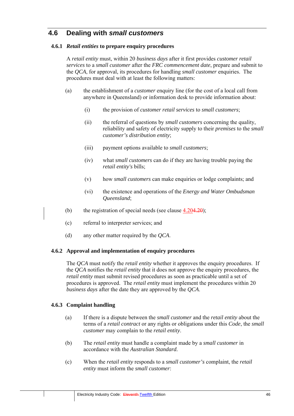# **4.6 Dealing with** *small customers*

## **4.6.1** *Retail entities* **to prepare enquiry procedures**

A *retail entity* must, within 20 *business days* after it first provides *customer retail services* to a *small customer* after the *FRC commencement date*, prepare and submit to the *QCA*, for approval, its procedures for handling *small customer* enquiries. The procedures must deal with at least the following matters:

- (a) the establishment of a *customer* enquiry line (for the cost of a local call from anywhere in Queensland) or information desk to provide information about:
	- (i) the provision of *customer retail services* to *small customers*;
	- (ii) the referral of questions by *small customers* concerning the quality, reliability and safety of electricity supply to their *premises* to the *small customer's distribution entity*;
	- (iii) payment options available to *small customers*;
	- (iv) what *small customers* can do if they are having trouble paying the *retail entity's* bills;
	- (v) how *small customers* can make enquiries or lodge complaints; and
	- (vi) the existence and operations of the *Energy and Water Ombudsman Queensland*;
- (b) the registration of special needs (see clause  $4.204.20$ );
- (c) referral to interpreter services; and
- (d) any other matter required by the *QCA*.

## **4.6.2 Approval and implementation of enquiry procedures**

The *QCA* must notify the *retail entity* whether it approves the enquiry procedures. If the *QCA* notifies the *retail entity* that it does not approve the enquiry procedures, the *retail entity* must submit revised procedures as soon as practicable until a set of procedures is approved. The *retail entity* must implement the procedures within 20 *business days* after the date they are approved by the *QCA*.

## **4.6.3 Complaint handling**

- (a) If there is a dispute between the *small customer* and the *retail entity* about the terms of a *retail contract* or any rights or obligations under this *Code*, the *small customer* may complain to the *retail entity*.
- (b) The *retail entity* must handle a complaint made by a *small customer* in accordance with the *Australian Standard.*
- (c) When the *retail entity* responds to a *small customer's* complaint, the *retail entity* must inform the *small customer*: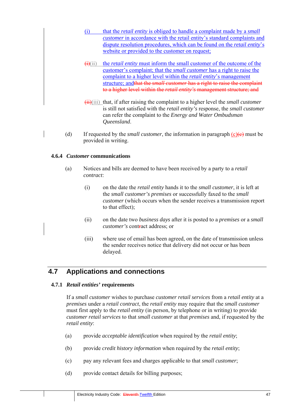- (i) that the *retail entity* is obliged to handle a complaint made by a *small customer* in accordance with the retail entity's standard complaints and dispute resolution procedures, which can be found on the *retail entity*'s website or provided to the customer on request;
- $\overrightarrow{(i)}$ (ii) the *retail entity* must inform the small customer of the outcome of the customer's complaint; that the *small customer* has a right to raise the complaint to a higher level within the *retail entity*'s management structure; andthat the *small customer* has a right to raise the complaint to a higher level within the *retail entity's* management structure; and
- (ii)(iii) that, if after raising the complaint to a higher level the *small customer*  is still not satisfied with the *retail entity's* response, the *small customer*  can refer the complaint to the *Energy and Water Ombudsman Queensland*.
- (d) If requested by the *small customer*, the information in paragraph  $(c)$  (e) must be provided in writing.

## **4.6.4** *Customer* **communications**

- (a) Notices and bills are deemed to have been received by a party to a *retail contract*:
	- (i) on the date the *retail entity* hands it to the *small customer*, it is left at the *small customer's premises* or successfully faxed to the *small customer* (which occurs when the sender receives a transmission report to that effect);
	- (ii) on the date two *business days* after it is posted to a *premises* or a *small customer's* contract address; or
	- (iii) where use of email has been agreed, on the date of transmission unless the sender receives notice that delivery did not occur or has been delayed.

# **4.7 Applications and connections**

## **4.7.1** *Retail entities'* **requirements**

If a *small customer* wishes to purchase *customer retail services* from a *retail entity* at a *premises* under a *retail contract*, the *retail entity* may require that the *small customer*  must first apply to the *retail entity* (in person, by telephone or in writing) to provide *customer retail services* to that *small customer* at that *premises* and, if requested by the *retail entity*:

- (a) provide *acceptable identification* when required by the *retail entity*;
- (b) provide *credit history information* when required by the *retail entity*;
- (c) pay any relevant fees and charges applicable to that *small customer*;
- (d) provide contact details for billing purposes;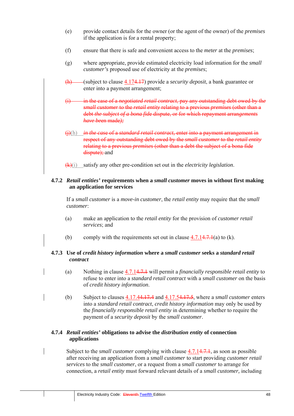- (e) provide contact details for the owner (or the agent of the owner) of the *premises* if the application is for a rental property;
- (f) ensure that there is safe and convenient access to the *meter* at the *premises*;
- (g) where appropriate, provide estimated electricity load information for the *small customer's* proposed use of electricity at the *premises*;
- (h) (subject to clause 4.174.17) provide a *security deposit*, a bank guarantee or enter into a payment arrangement;
- (i) in the case of a *negotiated retail contract*, pay any outstanding debt owed by th*e small customer* to the *retail entity* relating to a previous *premises* (other than a debt *the subject of a bona fid*e dispute, or for which repayment arran*gements have be*en made*);*
- (j)(h) *in the cas*e of a *standard retail contract,* enter into a payment arrangement in respect of any outstanding debt owed by the *small customer* to the *retail entity* relating to a previous *premises* (other than a debt the subject of a bona fide dispute); and
- (k)(i) satisfy any other pre-condition set out in the *electricity legislation*.

## **4.7.2** *Retail entities'* **requirements when a** *small customer* **moves in without first making an application for services**

If a *small customer* is a *move-in customer*, the *retail entity* may require that the *small customer*:

- (a) make an application to the *retail entity* for the provision of *customer retail services*; and
- (b) comply with the requirements set out in clause  $4.7.14.7.1(a)$  to (k).

## **4.7.3 Use of** *credit history information* **where a** *small customer* **seeks a** *standard retail contract*

- (a) Nothing in clause 4.7.14.7.1 will permit a *financially responsible retail entity* to refuse to enter into a *standard retail contract* with a *small customer* on the basis of *credit history information*.
- (b) Subject to clauses 4.17.44.17.4 and 4.17.54.17.5, where a *small customer* enters into a *standard retail contract*, *credit history information* may only be used by the *financially responsible retail entity* in determining whether to require the payment of a *security deposit* by the *small customer*.

## **4.7.4** *Retail entities'* **obligations to advise the** *distribution entity* **of connection applications**

Subject to the *small customer* complying with clause 4.7.14.7.1, as soon as possible after receiving an application from a *small customer* to start providing *customer retail services* to the *small customer*, or a request from a *small customer* to arrange for connection, a *retail entity* must forward relevant details of a *small customer,* including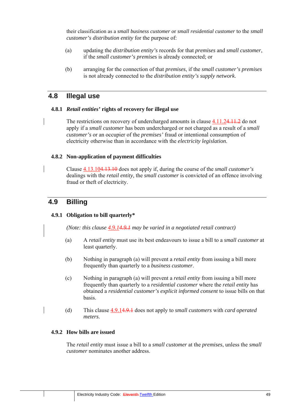their classification as a *small business customer* or *small residential customer* to the *small customer's distribution entity* for the purpose of:

- (a) updating the *distribution entity's* records for that *premises* and *small customer*, if the *small customer's premises* is already connected; or
- (b) arranging for the connection of that *premises*, if the *small customer's premises* is not already connected to the *distribution entity's supply network*.

## **4.8 Illegal use**

### **4.8.1** *Retail entities'* **rights of recovery for illegal use**

The restrictions on recovery of undercharged amounts in clause  $4.11.24.11.2$  do not apply if a *small customer* has been undercharged or not charged as a result of a *small customer's* or an occupier of the *premises'* fraud or intentional consumption of electricity otherwise than in accordance with the *electricity legislation*.

### **4.8.2 Non-application of payment difficulties**

Clause 4.13.104.13.10 does not apply if, during the course of the *small customer's*  dealings with the *retail entity,* the *small customer* is convicted of an offence involving fraud or theft of electricity.

# **4.9 Billing**

## **4.9.1 Obligation to bill quarterly\***

*(Note: this clause 4.9.14.9.1 may be varied in a negotiated retail contract)* 

- (a) A *retail entity* must use its best endeavours to issue a bill to a *small customer* at least quarterly.
- (b) Nothing in paragraph (a) will prevent a *retail entity* from issuing a bill more frequently than quarterly to a *business customer*.
- (c) Nothing in paragraph (a) will prevent a *retail entity* from issuing a bill more frequently than quarterly to a *residential customer* where the *retail entity* has obtained a *residential customer's explicit informed consent* to issue bills on that basis.
- (d) This clause 4.9.14.9.1 does not apply to *small customers* with *card operated meters*.

## **4.9.2 How bills are issued**

The *retail entity* must issue a bill to a *small customer* at the *premises*, unless the *small customer* nominates another address.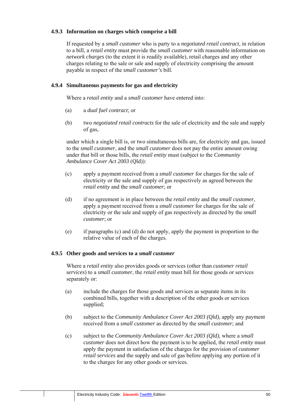## **4.9.3 Information on charges which comprise a bill**

If requested by a *small customer* who is party to a *negotiated retail contract*, in relation to a bill, a *retail entity* must provide the *small customer* with reasonable information on *network charges* (to the extent it is readily available), retail charges and any other charges relating to the sale or sale and supply of electricity comprising the amount payable in respect of the *small customer's* bill.

## **4.9.4 Simultaneous payments for gas and electricity**

Where a *retail entity* and a *small customer* have entered into:

- (a) a *dual fuel contract*; or
- (b) two *negotiated retail contracts* for the sale of electricity and the sale and supply of gas,

under which a single bill is, or two simultaneous bills are, for electricity and gas, issued to the *small customer*, and the *small customer* does not pay the entire amount owing under that bill or those bills, the *retail entity* must (subject to the *Community Ambulance Cover Act 2003* (Qld)):

- (c) apply a payment received from a *small customer* for charges for the sale of electricity or the sale and supply of gas respectively as agreed between the *retail entity* and the *small customer*; or
- (d) if no agreement is in place between the *retail entity* and the *small customer*, apply a payment received from a *small customer* for charges for the sale of electricity or the sale and supply of gas respectively as directed by the *small customer*; or
- (e) if paragraphs (c) and (d) do not apply, apply the payment in proportion to the relative value of each of the charges.

## **4.9.5 Other goods and services to a** *small customer*

Where a *retail entity* also provides goods or services (other than *customer retail services*) to a *small customer*, the *retail entity* must bill for those goods or services separately or:

- (a) include the charges for those goods and services as separate items in its combined bills, together with a description of the other goods or services supplied;
- (b) subject to the *Community Ambulance Cover Act 2003 (Qld),* apply any payment received from a *small customer* as directed by the *small customer*; and
- (c) subject to the *Community Ambulance Cover Act 2003 (Qld),* where a *small customer* does not direct how the payment is to be applied, the *retail entity* must apply the payment in satisfaction of the charges for the provision of *customer retail services* and the supply and sale of gas before applying any portion of it to the charges for any other goods or services.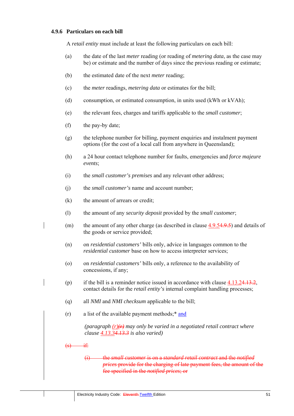## **4.9.6 Particulars on each bill**

A *retail entity* must include at least the following particulars on each bill:

- (a) the date of the last *meter* reading (or reading of *metering data*, as the case may be) or estimate and the number of days since the previous reading or estimate;
- (b) the estimated date of the next *meter* reading;
- (c) the *meter* readings, *metering data* or estimates for the bill;
- (d) consumption, or estimated consumption, in units used (kWh or kVAh);
- (e) the relevant fees, charges and tariffs applicable to the *small customer*;
- (f) the pay-by date;
- (g) the telephone number for billing, payment enquiries and instalment payment options (for the cost of a local call from anywhere in Queensland);
- (h) a 24 hour contact telephone number for faults, emergencies and *force majeure events*;
- (i) the *small customer's premises* and any relevant other address;
- (j) the *small customer's* name and account number;
- (k) the amount of arrears or credit;
- (l) the amount of any *security deposit* provided by the *small customer*;
- (m) the amount of any other charge (as described in clause 4.9.54.9.5) and details of the goods or service provided;
- (n) on *residential customers'* bills only, advice in languages common to the *residential customer* base on how to access interpreter services;
- (o) on *residential customers'* bills only, a reference to the availability of concessions, if any;
- (p) if the bill is a reminder notice issued in accordance with clause  $4.13.24.13.2$ , contact details for the *retail entity's* internal complaint handling processes;
- (q) all *NMI* and *NMI checksum* applicable to the bill;
- (r) a list of the available payment methods;\* and

(paragraph  $(r)(r)$  may only be varied in a negotiated retail contract where *clause 4.13.34.13.3 is also varied)* 

 $\left($ s $\right)$  if:

(i) the *small customer* is on a *standard retail contract* and the *notified prices* provide for the charging of late payment fees, the amount of the fee specified in the *notified prices*; or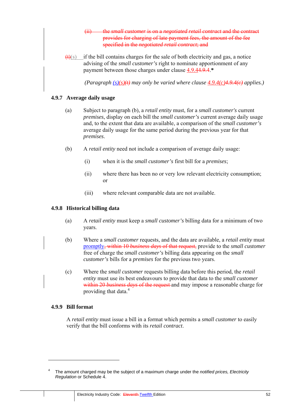- (ii) the *small customer* is on a *negotiated retail contract* and the contract provides for charging of late payment fees, the amount of the fee specified in the *negotiated retail contract*; and
- $(t)$ (s) if the bill contains charges for the sale of both electricity and gas, a notice advising of the *small customer's* right to nominate apportionment of any payment between those charges under clause 4.9.44.9.4.**\***

*(Paragraph (s)(s)(t) may only be varied where clause 4.9.4(c)4.9.4(c) applies.)*

## **4.9.7 Average daily usage**

- (a) Subject to paragraph (b), a *retail entity* must, for a *small customer's* current *premises*, display on each bill the *small customer's* current average daily usage and, to the extent that data are available, a comparison of the *small customer's* average daily usage for the same period during the previous year for that *premises*.
- (b) A *retail entity* need not include a comparison of average daily usage:
	- (i) when it is the *small customer's* first bill for a *premises*;
	- (ii) where there has been no or very low relevant electricity consumption; or
	- (iii) where relevant comparable data are not available.

### **4.9.8 Historical billing data**

- (a) A *retail entity* must keep a *small customer's* billing data for a minimum of two years.
- (b) Where a *small customer* requests, and the data are available, a *retail entity* must promptly, within 10 *business days* of that request, provide to the *small customer*  free of charge the *small customer's* billing data appearing on the *small customer's* bills for a *premises* for the previous two years.
- (c) Where the *small customer* requests billing data before this period, the *retail entity* must use its best endeavours to provide that data to the *small customer* within 20 *business days* of the request and may impose a reasonable charge for providing that data.<sup>4</sup>

### **4.9.9 Bill format**

A *retail entity* must issue a bill in a format which permits a *small customer* to easily verify that the bill conforms with its *retail contract*.

<sup>4</sup> The amount charged may be the subject of a maximum charge under the *notified prices, Electricity Regulation* or Schedule 4.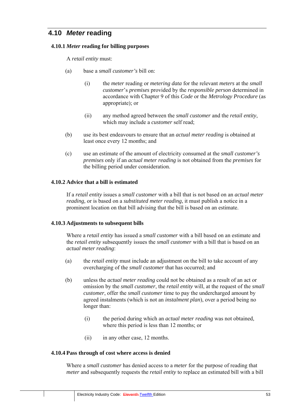# **4.10** *Meter* **reading**

### **4.10.1** *Meter* **reading for billing purposes**

A *retail entity* must:

- (a) base a *small customer's* bill on:
	- (i) the *meter* reading or *metering data* for the relevant *meters* at the *small customer*'s *premises* provided by the *responsible person* determined in accordance with Chapter 9 of this *Code* or the *Metrology Procedure* (as appropriate); or
	- (ii) any method agreed between the *small customer* and the *retail entity*, which may include a *customer* self read;
- (b) use its best endeavours to ensure that an *actual meter reading* is obtained at least once every 12 months; and
- (c) use an estimate of the amount of electricity consumed at the *small customer's premises* only if an *actual meter reading* is not obtained from the *premises* for the billing period under consideration.

### **4.10.2 Advice that a bill is estimated**

If a *retail entity* issues a *small customer* with a bill that is not based on an *actual meter reading,* or is based on a *substituted meter reading*, it must publish a notice in a prominent location on that bill advising that the bill is based on an estimate.

#### **4.10.3 Adjustments to subsequent bills**

Where a *retail entity* has issued a *small customer* with a bill based on an estimate and the *retail entity* subsequently issues the *small customer* with a bill that is based on an *actual meter reading*:

- (a) the *retail entity* must include an adjustment on the bill to take account of any overcharging of the *small customer* that has occurred; and
- (b) unless the *actual meter reading* could not be obtained as a result of an act or omission by the *small customer*, the *retail entity* will, at the request of the *small customer*, offer the *small customer* time to pay the undercharged amount by agreed instalments (which is not an *instalment plan*), over a period being no longer than:
	- (i) the period during which an *actual meter reading* was not obtained, where this period is less than 12 months; or
	- (ii) in any other case, 12 months.

#### **4.10.4 Pass through of cost where access is denied**

Where a *small customer* has denied access to a *meter* for the purpose of reading that *meter* and subsequently requests the *retail entity* to replace an estimated bill with a bill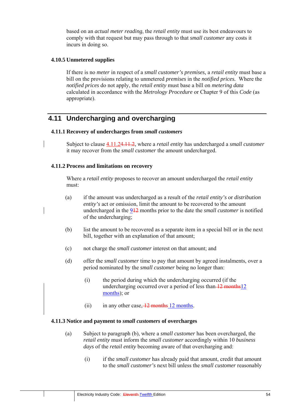based on an *actual meter reading*, the *retail entity* must use its best endeavours to comply with that request but may pass through to that *small customer* any costs it incurs in doing so.

## **4.10.5 Unmetered supplies**

If there is no *meter* in respect of a *small customer's premises,* a *retail entity* must base a bill on the provisions relating to unmetered *premises* in the *notified prices.* Where the *notified prices* do not apply, the *retail entity* must base a bill on *metering data*  calculated in accordance with the *Metrology Procedure* or Chapter 9 of this *Code* (as appropriate).

# **4.11 Undercharging and overcharging**

## **4.11.1 Recovery of undercharges from** *small customers*

Subject to clause 4.11.24.11.2, where a *retail entity* has undercharged a *small customer*  it may recover from the *small customer* the amount undercharged.

## **4.11.2 Process and limitations on recovery**

Where a *retail entity* proposes to recover an amount undercharged the *retail entity*  must:

- (a) if the amount was undercharged as a result of the *retail entity's* or *distribution entity's* act or omission. limit the amount to be recovered to the amount undercharged in the 912 months prior to the date the *small customer* is notified of the undercharging;
- (b) list the amount to be recovered as a separate item in a special bill or in the next bill, together with an explanation of that amount;
- (c) not charge the *small customer* interest on that amount; and
- (d) offer the *small customer* time to pay that amount by agreed instalments, over a period nominated by the *small customer* being no longer than:
	- (i) the period during which the undercharging occurred (if the undercharging occurred over a period of less than 12 months12 months); or
	- (ii) in any other case,  $\frac{12}{2}$  months 12 months.

## **4.11.3 Notice and payment to** *small customers* **of overcharges**

- (a) Subject to paragraph (b), where a *small customer* has been overcharged, the *retail entity* must inform the *small customer* accordingly within 10 *business days* of the *retail entity* becoming aware of that overcharging and:
	- (i) if the *small customer* has already paid that amount, credit that amount to the *small customer's* next bill unless the *small customer* reasonably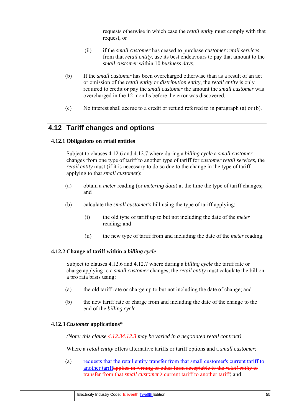requests otherwise in which case the *retail entity* must comply with that request; or

- (ii) if the *small customer* has ceased to purchase *customer retail services*  from that *retail entity*, use its best endeavours to pay that amount to the *small customer* within 10 *business days*.
- (b) If the *small customer* has been overcharged otherwise than as a result of an act or omission of the *retail entity* or *distribution entity*, the *retail entity* is only required to credit or pay the *small customer* the amount the *small customer* was overcharged in the 12 months before the error was discovered.
- (c) No interest shall accrue to a credit or refund referred to in paragraph (a) or (b).

# **4.12 Tariff changes and options**

### **4.12.1 Obligations on retail entities**

Subject to clauses 4.12.6 and 4.12.7 where during a *billing cycle* a *small customer* changes from one type of tariff to another type of tariff for *customer retail services*, the *retail entity* must (if it is necessary to do so due to the change in the type of tariff applying to that *small customer*):

- (a) obtain a *meter* reading (or *metering data*) at the time the type of tariff changes; and
- (b) calculate the *small customer's* bill using the type of tariff applying:
	- (i) the old type of tariff up to but not including the date of the *meter* reading; and
	- (ii) the new type of tariff from and including the date of the *meter* reading.

## **4.12.2 Change of tariff within a** *billing cycle*

Subject to clauses 4.12.6 and 4.12.7 where during a *billing cycle* the tariff rate or charge applying to a *small customer* changes, the *retail entity* must calculate the bill on a pro rata basis using:

- (a) the old tariff rate or charge up to but not including the date of change; and
- (b) the new tariff rate or charge from and including the date of the change to the end of the *billing cycle*.

### **4.12.3** *Customer* **applications\***

*(Note: this clause 4.12.34.12.3 may be varied in a negotiated retail contract)*

Where a *retail entity* offers alternative tariffs or tariff options and a *small customer:*

(a) requests that the retail entity transfer from that small customer's current tariff to another tariffapplies in writing or other form acceptable to the *retail entity* to transfer from that *small customer's* current tariff to another tariff; and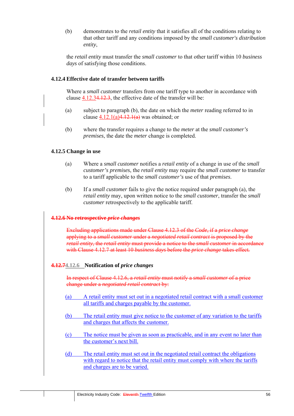(b) demonstrates to the *retail entity* that it satisfies all of the conditions relating to that other tariff and any conditions imposed by the *small customer's distribution entity*,

the *retail entity* must transfer the *small customer* to that other tariff within 10 *business days* of satisfying those conditions.

### **4.12.4 Effective date of transfer between tariffs**

Where a *small customer* transfers from one tariff type to another in accordance with clause 4.12.34.12.3, the effective date of the transfer will be:

- (a) subject to paragraph (b), the date on which the *meter* reading referred to in clause  $4.12.1(a)4.12.1(a)$  was obtained; or
- (b) where the transfer requires a change to the *meter* at the *small customer's premises*, the date the *meter* change is completed.

### **4.12.5 Change in use**

- (a) Where a *small customer* notifies a *retail entity* of a change in use of the *small customer's premises*, the *retail entity* may require the *small customer* to transfer to a tariff applicable to the *small customer's* use of that *premises*.
- (b) If a *small customer* fails to give the notice required under paragraph (a), the *retail entity* may, upon written notice to the *small customer*, transfer the *small customer* retrospectively to the applicable tariff.

#### **4.12.6 No retrospective** *price changes*

Excluding applications made under Clause 4.12.3 of the *Code*, if a *price change* applying to a *small customer* under a *negotiated retail contract* is proposed by the *retail entity*, the *retail entity* must provide a notice to the *small customer* in accordance with Clause 4.12.7 at least 10 *business days* before the *price change* takes effect*.*

#### **4.12.74.12.6 Notification of** *price changes*

In respect of Clause 4.12.6, a *retail entity* must notify a *small customer* of a price change under a *negotiated retail contract* by:

- (a) A retail entity must set out in a negotiated retail contract with a small customer all tariffs and charges payable by the customer.
- (b) The retail entity must give notice to the customer of any variation to the tariffs and charges that affects the customer.
- (c) The notice must be given as soon as practicable, and in any event no later than the customer's next bill.
- (d) The retail entity must set out in the negotiated retail contract the obligations with regard to notice that the retail entity must comply with where the tariffs and charges are to be varied.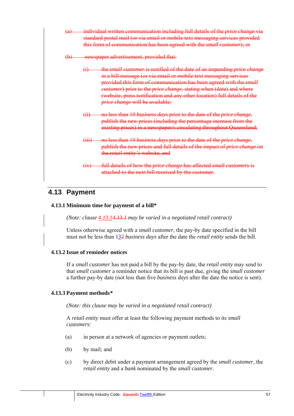- (a) individual written communication including full details of the *price change* via standard postal mail (or via email or mobile text messaging services provided this form of communication has been agreed with the *small customer*); or
- (b) newspaper advertisement, provided that:
	- (i) the *small customer* is notified of the date of an impending *price change* in a bill message (or via email or mobile text messaging services provided this form of communication has been agreed with the *small customer*) prior to the *price change*, stating when (date) and where (website, press notification and any other location) full details of the *price change* will be available;
	- (ii) no less than 10 *business days* prior to the date of the *price change*, publish the new prices (including the percentage increase from the existing prices) in a newspaper/s circulating throughout Queensland;
	- (iii) no less than 10 *business days* prior to the date of the *price change*, publish the new prices and full details of the impact of *price change* on the *retail entity's* website; and
	- (iv) full details of how the *price change* has affected *small customers* is attached to the next bill received by the customer.

# **4.13 Payment**

## **4.13.1 Minimum time for payment of a bill\***

*(Note: clause 4.13.14.13.1 may be varied in a negotiated retail contract)* 

Unless otherwise agreed with a *small customer*, the pay-by date specified in the bill must not be less than 132 *business days* after the date the *retail entity* sends the bill.

## **4.13.2 Issue of reminder notices**

If a *small customer* has not paid a bill by the pay-by date, the *retail entity* may send to that *small customer* a reminder notice that its bill is past due, giving the *small customer*  a further pay-by date (not less than five *business days* after the date the notice is sent).

## **4.13.3 Payment methods***\**

*(Note: this clause may be varied in a negotiated retail contract)* 

A *retail entity* must offer at least the following payment methods to its *small customers*:

- (a) in person at a network of agencies or payment outlets;
- (b) by mail; and
- (c) by direct debit under a payment arrangement agreed by the *small customer*, the *retail entity* and a *bank* nominated by the *small customer*.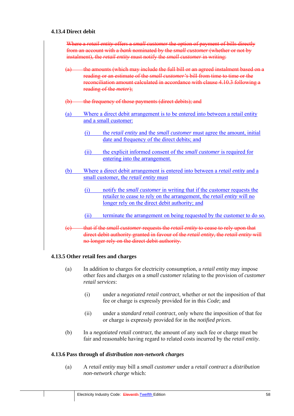## **4.13.4 Direct debit**

| the frequency of those payments (direct debits); and<br>Where a direct debit arrangement is to be entered into between a retail entity                                                                                   |
|--------------------------------------------------------------------------------------------------------------------------------------------------------------------------------------------------------------------------|
|                                                                                                                                                                                                                          |
| and a small customer:                                                                                                                                                                                                    |
| the <i>retail entity</i> and the <i>small customer</i> must agree the amount, initial<br>(i)<br>date and frequency of the direct debits; and                                                                             |
| the explicit informed consent of the <i>small customer</i> is required for<br>(ii)<br>entering into the arrangement.                                                                                                     |
| Where a direct debit arrangement is entered into between a <i>retail entity</i> and a<br>small customer, the retail entity must                                                                                          |
| notify the <i>small customer</i> in writing that if the customer requests the<br>(i)<br>retailer to cease to rely on the arrangement, the <i>retail entity</i> will no<br>longer rely on the direct debit authority; and |
| terminate the arrangement on being requested by the customer to do so.<br>(ii)                                                                                                                                           |
| that if the <i>small customer</i> requests the <i>retail entity</i> to cease to rely upon that                                                                                                                           |

## **4.13.5 Other retail fees and charges**

- (a) In addition to charges for electricity consumption, a *retail entity* may impose other fees and charges on a *small customer* relating to the provision of *customer retail services*:
	- (i) under a *negotiated retail contract*, whether or not the imposition of that fee or charge is expressly provided for in this *Code*; and
	- (ii) under a *standard retail contract*, only where the imposition of that fee or charge is expressly provided for in the *notified prices*.
- (b) In a *negotiated retail contract*, the amount of any such fee or charge must be fair and reasonable having regard to related costs incurred by the *retail entity*.

### **4.13.6 Pass through of** *distribution non-network charges*

(a) A *retail entity* may bill a *small customer* under a *retail contract* a *distribution non-network charge* which: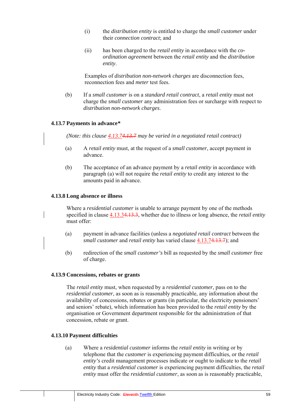- (i) the *distribution entity* is entitled to charge the *small customer* under their *connection contract*; and
- (ii) has been charged to the *retail entity* in accordance with the *coordination agreement* between the *retail entity* and the *distribution entity*.

Examples of *distribution non-network charges* are disconnection fees, reconnection fees and *meter* test fees.

(b) If a *small customer* is on a *standard retail contract*, a *retail entity* must not charge the *small customer* any administration fees or surcharge with respect to *distribution non-network charges*.

### **4.13.7 Payments in advance***\**

*(Note: this clause 4.13.74.13.7 may be varied in a negotiated retail contract)* 

- (a) A *retail entity* must, at the request of a *small customer*, accept payment in advance.
- (b) The acceptance of an advance payment by a *retail entity* in accordance with paragraph (a) will not require the *retail entity* to credit any interest to the amounts paid in advance.

#### **4.13.8 Long absence or illness**

Where a *residential customer* is unable to arrange payment by one of the methods specified in clause 4.13.34.13.3, whether due to illness or long absence, the *retail entity*  must offer:

- (a) payment in advance facilities (unless a *negotiated retail contract* between the *small customer* and *retail entity* has varied clause 4.13.74.13.7); and
- (b) redirection of the *small customer's* bill as requested by the *small customer* free of charge.

#### **4.13.9 Concessions, rebates or grants**

The *retail entity* must, when requested by a *residential customer*, pass on to the *residential customer*, as soon as is reasonably practicable, any information about the availability of concessions, rebates or grants (in particular, the electricity pensioners' and seniors' rebate), which information has been provided to the *retail entity* by the organisation or Government department responsible for the administration of that concession, rebate or grant.

## **4.13.10 Payment difficulties**

(a) Where a *residential customer* informs the *retail entity* in writing or by telephone that the *customer* is experiencing payment difficulties, or the *retail entity's* credit management processes indicate or ought to indicate to the *retail entity* that a *residential customer* is experiencing payment difficulties, the *retail entity* must offer the *residential customer*, as soon as is reasonably practicable,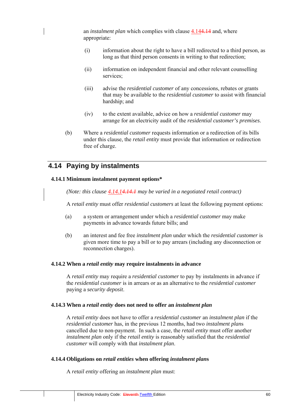an *instalment plan* which complies with clause 4.144.14 and, where appropriate:

- (i) information about the right to have a bill redirected to a third person, as long as that third person consents in writing to that redirection;
- (ii) information on independent financial and other relevant counselling services;
- (iii) advise the *residential customer* of any concessions, rebates or grants that may be available to the *residential customer* to assist with financial hardship; and
- (iv) to the extent available, advice on how a *residential customer* may arrange for an electricity audit of the *residential customer's premises*.
- (b) Where a *residential customer* requests information or a redirection of its bills under this clause, the *retail entity* must provide that information or redirection free of charge.

# **4.14 Paying by instalments**

## **4.14.1 Minimum instalment payment options\***

*(Note: this clause 4.14.14.14.1 may be varied in a negotiated retail contract)* 

A *retail entity* must offer *residential customers* at least the following payment options:

- (a) a system or arrangement under which a *residential customer* may make payments in advance towards future bills; and
- (b) an interest and fee free *instalment plan* under which the *residential customer* is given more time to pay a bill or to pay arrears (including any disconnection or reconnection charges).

## **4.14.2 When a** *retail entity* **may require instalments in advance**

A *retail entity* may require a *residential customer* to pay by instalments in advance if the *residential customer* is in arrears or as an alternative to the *residential customer*  paying a *security deposit*.

## **4.14.3 When a** *retail entity* **does not need to offer an** *instalment plan*

A *retail entity* does not have to offer a *residential customer* an *instalment plan* if the *residential customer* has, in the previous 12 months, had two *instalment plan*s cancelled due to non-payment. In such a case, the *retail entity* must offer another *instalment plan* only if the *retail entity* is reasonably satisfied that the *residential customer* will comply with that *instalment plan*.

## **4.14.4 Obligations on** *retail entities* **when offering** *instalment plan***s**

A *retail entity* offering an *instalment plan* must: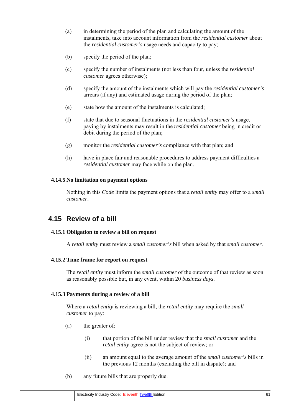- (a) in determining the period of the plan and calculating the amount of the instalments, take into account information from the *residential customer* about the *residential customer's* usage needs and capacity to pay;
- (b) specify the period of the plan;
- (c) specify the number of instalments (not less than four, unless the *residential customer* agrees otherwise);
- (d) specify the amount of the instalments which will pay the *residential customer's*  arrears (if any) and estimated usage during the period of the plan;
- (e) state how the amount of the instalments is calculated;
- (f) state that due to seasonal fluctuations in the *residential customer's* usage, paying by instalments may result in the *residential customer* being in credit or debit during the period of the plan;
- (g) monitor the *residential customer's* compliance with that plan; and
- (h) have in place fair and reasonable procedures to address payment difficulties a *residential customer* may face while on the plan.

## **4.14.5 No limitation on payment options**

Nothing in this *Code* limits the payment options that a *retail entity* may offer to a *small customer*.

# **4.15 Review of a bill**

## **4.15.1 Obligation to review a bill on request**

A *retail entity* must review a *small customer's* bill when asked by that *small customer*.

## **4.15.2 Time frame for report on request**

The *retail entity* must inform the *small customer* of the outcome of that review as soon as reasonably possible but, in any event, within 20 *business days*.

## **4.15.3 Payments during a review of a bill**

Where a *retail entity* is reviewing a bill, the *retail entity* may require the *small customer* to pay:

- (a) the greater of:
	- (i) that portion of the bill under review that the *small customer* and the *retail entity* agree is not the subject of review; or
	- (ii) an amount equal to the average amount of the *small customer's* bills in the previous 12 months (excluding the bill in dispute); and
- (b) any future bills that are properly due.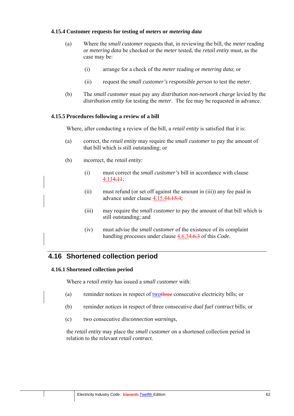## **4.15.4 Customer requests for testing of** *meters* **or** *metering data*

- (a) Where the *small customer* requests that, in reviewing the bill, the *meter* reading or *metering data* be checked or the *meter* tested, the *retail entity* must, as the case may be:
	- (i) arrange for a check of the *meter* reading or *metering data*; or
	- (ii) request the *small customer's responsible person* to test the *meter*.
- (b) The *small customer* must pay any *distribution non-network charge* levied by the *distribution entity* for testing the *meter*. The fee may be requested in advance.

### **4.15.5 Procedures following a review of a bill**

Where, after conducting a review of the bill, a *retail entity* is satisfied that it is:

- (a) correct, the *retail entity* may require the *small customer* to pay the amount of that bill which is still outstanding; or
- (b) incorrect, the *retail entity*:
	- (i) must correct the *small customer's* bill in accordance with clause  $4.114.11;$
	- (ii) must refund (or set off against the amount in (iii)) any fee paid in advance under clause 4.15.44.15.4;
	- (iii) may require the *small customer* to pay the amount of that bill which is still outstanding; and
	- (iv) must advise the *small customer* of the existence of its complaint handling processes under clause 4.6.34.6.3 of this *Code*.

# **4.16 Shortened collection period**

#### **4.16.1 Shortened collection period**

Where a *retail entity* has issued a *small customer* with:

- (a) reminder notices in respect of twothree consecutive electricity bills; or
- (b) reminder notices in respect of three consecutive *dual fuel contract* bills; or
- (c) two consecutive *disconnection warnings*,

the *retail entity* may place the *small customer* on a shortened collection period in relation to the relevant *retail contract*.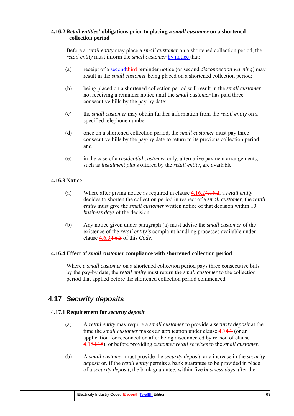## **4.16.2** *Retail entities'* **obligations prior to placing a** *small customer* **on a shortened collection period**

Before a *retail entity* may place a *small customer* on a shortened collection period, the *retail entity* must inform the *small customer* by notice that:

- (a) receipt of a secondthird reminder notice (or second *disconnection warning*) may result in the *small customer* being placed on a shortened collection period;
- (b) being placed on a shortened collection period will result in the *small customer*  not receiving a reminder notice until the *small customer* has paid three consecutive bills by the pay-by date;
- (c) the *small customer* may obtain further information from the *retail entity* on a specified telephone number;
- (d) once on a shortened collection period, the *small customer* must pay three consecutive bills by the pay-by date to return to its previous collection period; and
- (e) in the case of a *residential customer* only, alternative payment arrangements, such as *instalment plan*s offered by the *retail entity*, are available.

## **4.16.3 Notice**

- (a) Where after giving notice as required in clause 4.16.24.16.2, a *retail entity*  decides to shorten the collection period in respect of a *small customer*, the *retail entity* must give the *small customer* written notice of that decision within 10 *business days* of the decision.
	- (b) Any notice given under paragraph (a) must advise the *small customer* of the existence of the *retail entity's* complaint handling processes available under clause 4.6.34.6.3 of this *Code*.

## **4.16.4 Effect of** *small customer* **compliance with shortened collection period**

Where a *small customer* on a shortened collection period pays three consecutive bills by the pay-by date, the *retail entity* must return the *small customer* to the collection period that applied before the shortened collection period commenced.

# **4.17** *Security deposits*

## **4.17.1 Requirement for** *security deposit*

- (a) A *retail entity* may require a *small customer* to provide a *security deposit* at the time the *small customer* makes an application under clause 4.74.7 (or an application for reconnection after being disconnected by reason of clause 4.184.18), or before providing *customer retail services* to the *small customer*.
- (b) A *small customer* must provide the *security deposit,* any increase in the *security deposit* or, if the *retail entity* permits a bank guarantee to be provided in place of a *security deposit*, the bank guarantee, within five *business days* after the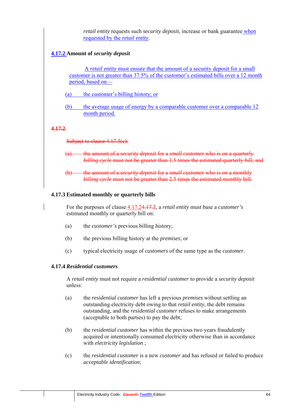*retail entity* requests such *security deposit*, increase or bank guarantee when requested by the *retail entity*.

## **4.17.2 Amount of** *security deposit*

A *retail entity* must ensure that the amount of a security deposit for a small customer is not greater than 37.5% of the customer's estimated bills over a 12 month period, based on—

- (a) the customer's billing history; or
- (b) the average usage of energy by a comparable customer over a comparable 12 month period.

#### **4.17.2**

Subject to clause 4.17.5(c):

- (a) the amount of a *security deposit* for a *small customer* who is on a quarterly *billing cycle* must not be greater than 1.5 times the estimated quarterly bill; and
- (b) the amount of a *security deposit* for a *small customer* who is on a monthly *billing cycle* must not be greater than 2.5 times the estimated monthly bill.

#### **4.17.3 Estimated monthly or quarterly bills**

For the purposes of clause 4.17.24.17.2, a *retail entity* must base a *customer's* estimated monthly or quarterly bill on:

- (a) the *customer's* previous billing history;
- (b) the previous billing history at the *premises*; or
- (c) typical electricity usage of *customers* of the same type as the *customer*.

#### **4.17.4** *Residential customers*

A *retail entity* must not require a *residential customer* to provide a *security deposit* unless:

- (a) the *residential customer* has left a previous *premises* without settling an outstanding electricity debt owing to that *retail entity*, the debt remains outstanding, and the *residential customer* refuses to make arrangements (acceptable to both parties) to pay the debt;
- (b) the *residential customer* has within the previous two years fraudulently acquired or intentionally consumed electricity otherwise than in accordance with *electricity legislation* ;
- (c) the *residential customer* is a new *customer* and has refused or failed to produce *acceptable identification*;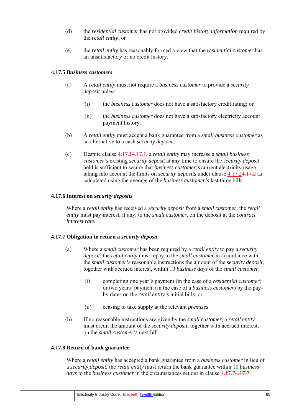- (d) the *residential customer* has not provided *credit history information* required by the *retail entity*; or
- (e) the *retail entity* has reasonably formed a view that the *residential customer* has an unsatisfactory or no credit history.

### **4.17.5** *Business customers*

- (a) A *retail entity* must not require a *business customer* to provide a *security deposit* unless:
	- (i) the *business customer* does not have a satisfactory credit rating; or
	- (ii) the *business customer* does not have a satisfactory electricity account payment history.
- (b) A *retail entity* must accept a bank guarantee from a *small business customer* as an alternative to a cash *security deposit*.
- (c) Despite clause 4.17.14.17.1, a *retail entity* may increase a *small business customer's* existing *security deposit* at any time to ensure the *security deposit*  held is sufficient to secure that *business customer's* current electricity usage taking into account the limits on *security deposits* under clause 4.17.24.17.2 as calculated using the average of the *business customer's* last three bills.

### **4.17.6 Interest on** *security deposits*

Where a *retail entity* has received a *security deposit* from a *small customer*, the *retail entity* must pay interest, if any, to the *small customer*, on the deposit at the *contract interest rate*.

## **4.17.7 Obligation to return a** *security deposit*

- (a) Where a *small customer* has been required by a *retail entity* to pay a *security deposit*, the *retail entity* must repay to the *small customer* in accordance with the *small customer's* reasonable instructions the amount of the *security deposit*, together with accrued interest, within 10 *business days* of the *small customer*:
	- (i) completing one year's payment (in the case of a *residential customer*) or two years' payment (in the case of a *business customer*) by the payby dates on the *retail entity's* initial bills; or
	- (ii) ceasing to take supply at the relevant *premises*.
- (b) If no reasonable instructions are given by the *small customer,* a *retail entity*  must credit the amount of the *security deposit*, together with accrued interest, on the *small customer's* next bill.

## **4.17.8 Return of bank guarantee**

Where a *retail entity* has accepted a bank guarantee from a *business customer* in lieu of a *security deposit*, the *retail entity* must return the bank guarantee within 10 *business days* to the *business customer* in the circumstances set out in clause 4.17.74.17.7.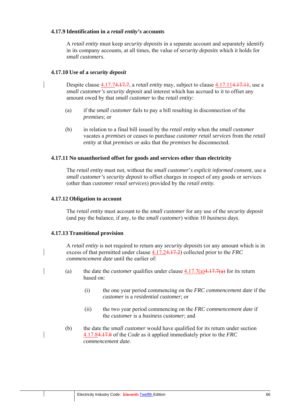## **4.17.9 Identification in a** *retail entity's* **accounts**

A *retail entity* must keep *security deposits* in a separate account and separately identify in its company accounts, at all times, the value of *security deposits* which it holds for *small customers*.

### **4.17.10 Use of a** *security deposit*

Despite clause 4.17.74.17.7, a *retail entity* may, subject to clause 4.17.114.17.11, use a *small customer's security deposit* and interest which has accrued to it to offset any amount owed by that *small customer* to the *retail entity*:

- (a) if the *small customer* fails to pay a bill resulting in disconnection of the *premises*; or
- (b) in relation to a final bill issued by the *retail entity* when the *small customer*  vacates a *premises* or ceases to purchase *customer retail services* from the *retail entity* at that *premises* or asks that the *premises* be disconnected.

### **4.17.11 No unauthorised offset for goods and services other than electricity**

The *retail entity* must not, without the *small customer*'*s explicit informed consent*, use a *small customer's security deposit* to offset charges in respect of any goods or services (other than *customer retail services*) provided by the *retail entity.*

### **4.17.12 Obligation to account**

The *retail entity* must account to the *small customer* for any use of the *security deposit*  (and pay the balance, if any, to the *small customer*) within 10 *business days*.

#### **4.17.13 Transitional provision**

A *retail entity* is not required to return any *security deposits* (or any amount which is in excess of that permitted under clause 4.17.24.17.2) collected prior to the *FRC commencement date* until the earlier of:

- (a) the date the *customer* qualifies under clause  $4.17.7(a)4.17.7(a)$  for its return based on:
	- (i) the one year period commencing on the *FRC commencement date* if the *customer* is a *residential customer*; or
	- (ii) the two year period commencing on the *FRC commencement date* if the *customer* is a *business customer*; and
- (b) the date the *small customer* would have qualified for its return under section 4.17.84.17.8 of the *Code* as it applied immediately prior to the *FRC commencement date*.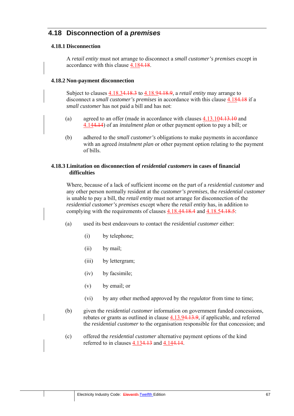# **4.18 Disconnection of a** *premises*

## **4.18.1 Disconnection**

A *retail entity* must not arrange to disconnect a *small customer's premises* except in accordance with this clause 4.184.18.

## **4.18.2 Non-payment disconnection**

Subject to clauses 4.18.34.18.3 to 4.18.94.18.9, a *retail entity* may arrange to disconnect a *small customer's premises* in accordance with this clause 4.184.18 if a *small customer* has not paid a bill and has not:

- (a) agreed to an offer (made in accordance with clauses 4.13.104.13.10 and 4.144.14) of an *instalment plan* or other payment option to pay a bill; or
- (b) adhered to the *small customer's* obligations to make payments in accordance with an agreed *instalment plan* or other payment option relating to the payment of bills.

## **4.18.3 Limitation on disconnection of** *residential customers* **in cases of financial difficulties**

Where, because of a lack of sufficient income on the part of a *residential customer* and any other person normally resident at the *customer's premises*, the *residential customer*  is unable to pay a bill, the *retail entity* must not arrange for disconnection of the *residential customer's premises* except where the *retail entity* has, in addition to complying with the requirements of clauses 4.18.44.18.4 and 4.18.54.18.5:

- (a) used its best endeavours to contact the *residential customer* either:
	- (i) by telephone;
	- (ii) by mail;
	- (iii) by lettergram;
	- (iv) by facsimile;
	- (v) by email; or
	- (vi) by any other method approved by the *regulator* from time to time;
- (b) given the *residential customer* information on government funded concessions, rebates or grants as outlined in clause 4.13.94.13.9, if applicable, and referred the *residential customer* to the organisation responsible for that concession; and
- (c) offered the *residential customer* alternative payment options of the kind referred to in clauses 4.134.13 and 4.144.14.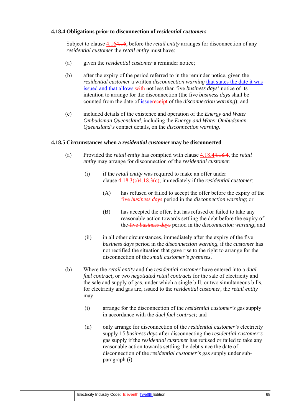## **4.18.4 Obligations prior to disconnection of** *residential customers*

Subject to clause 4.164.16, before the *retail entity* arranges for disconnection of any *residential customer* the *retail entity* must have:

- (a) given the *residential customer* a reminder notice;
- (b) after the expiry of the period referred to in the reminder notice, given the *residential customer* a written *disconnection warning* that states the date it was issued and that allows with not less than five *business days'* notice of its intention to arrange for the disconnection (the five *business days* shall be counted from the date of issuereceipt of the *disconnection warning*); and
- (c) included details of the existence and operation of the *Energy and Water Ombudsman Queensland*, including the *Energy and Water Ombudsman Queensland's* contact details, on the *disconnection warning*.

#### **4.18.5 Circumstances when a** *residential customer* **may be disconnected**

- (a) Provided the *retail entity* has complied with clause 4.18.44.18.4, the *retail entity* may arrange for disconnection of the *residential customer*:
	- (i) if the *retail entity* was required to make an offer under clause 4.18.3(c)4.18.3(c), immediately if the *residential customer*:
		- (A) has refused or failed to accept the offer before the expiry of the five *business days* period in the *disconnection warning*; or
		- (B) has accepted the offer, but has refused or failed to take any reasonable action towards settling the debt before the expiry of the five *business days* period in the *disconnection warning*; and
	- (ii) in all other circumstances, immediately after the expiry of the five *business days* period in the *disconnection warning*, if the *customer* has not rectified the situation that gave rise to the right to arrange for the disconnection of the *small customer's premises*.
- (b) Where the *retail entity* and the *residential customer* have entered into a *dual fuel contract***,** or two *negotiated retail contracts* for the sale of electricity and the sale and supply of gas, under which a single bill, or two simultaneous bills, for electricity and gas are, issued to the *residential customer,* the *retail entity*  may:
	- (i) arrange for the disconnection of the *residential customer's* gas supply in accordance with the *duel fuel contract*; and
	- (ii) only arrange for disconnection of the *residential customer's* electricity supply 15 *business days* after disconnecting the *residential customer's*  gas supply if the *residential customer* has refused or failed to take any reasonable action towards settling the debt since the date of disconnection of the *residential customer's* gas supply under subparagraph (i).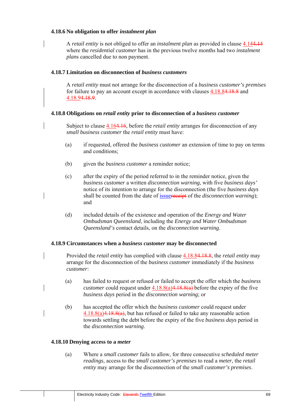## **4.18.6 No obligation to offer** *instalment plan*

A *retail entity* is not obliged to offer an *instalment plan* as provided in clause 4.144.14 where the *residential customer* has in the previous twelve months had two *instalment plan*s cancelled due to non payment.

## **4.18.7 Limitation on disconnection of** *business customers*

A *retail entity* must not arrange for the disconnection of a *business customer's premises*  for failure to pay an account except in accordance with clauses 4.18.84.18.8 and 4.18.94.18.9.

## **4.18.8 Obligations on** *retail entity* **prior to disconnection of a** *business customer*

Subject to clause 4.164.16, before the *retail entity* arranges for disconnection of any *small business customer* the *retail entity* must have:

- (a) if requested, offered the *business customer* an extension of time to pay on terms and conditions;
- (b) given the *business customer* a reminder notice;
- (c) after the expiry of the period referred to in the reminder notice, given the *business customer* a written *disconnection warning*, with five *business days'*  notice of its intention to arrange for the disconnection (the five *business days*  shall be counted from the date of issuereceipt of the *disconnection warning*); and
- (d) included details of the existence and operation of the *Energy and Water Ombudsman Queensland*, including the *Energy and Water Ombudsman Queensland's* contact details, on the *disconnection warning*.

## **4.18.9 Circumstances when a** *business customer* **may be disconnected**

- Provided the *retail entity* has complied with clause 4.18.84.18.8, the *retail entity* may arrange for the disconnection of the *business customer* immediately if the *business customer*:
	- (a) has failed to request or refused or failed to accept the offer which the *business customer* could request under  $4.18.8(a)4.18.8(a)$  before the expiry of the five *business days* period in the *disconnection warning*; or
- (b) has accepted the offer which the *business customer* could request under  $4.18.8(a)4.18.8(a)$ , but has refused or failed to take any reasonable action towards settling the debt before the expiry of the five *business days* period in the *disconnection warning*.

## **4.18.10 Denying access to a** *meter*

(a) Where a *small customer* fails to allow, for three consecutive *scheduled meter readings*, access to the *small customer's premises* to read a *meter*, the *retail entity* may arrange for the disconnection of the *small customer's premises*.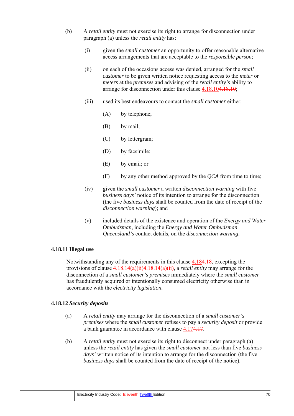- (b) A *retail entity* must not exercise its right to arrange for disconnection under paragraph (a) unless the *retail entity* has:
	- (i) given the *small customer* an opportunity to offer reasonable alternative access arrangements that are acceptable to the *responsible person*;
	- (ii) on each of the occasions access was denied, arranged for the *small customer* to be given written notice requesting access to the *meter* or *meters* at the *premises* and advising of the *retail entity's* ability to arrange for disconnection under this clause 4.18.104.18.10;
	- (iii) used its best endeavours to contact the *small customer* either:
		- (A) by telephone;
		- (B) by mail;
		- (C) by lettergram;
		- (D) by facsimile;
		- (E) by email; or
		- (F) by any other method approved by the *QCA* from time to time;
	- (iv) given the *small customer* a written *disconnection warning* with five *business days'* notice of its intention to arrange for the disconnection (the five *business days* shall be counted from the date of receipt of the *disconnection warning*); and
	- (v) included details of the existence and operation of the *Energy and Water Ombudsman*, including the *Energy and Water Ombudsman Queensland's* contact details, on the *disconnection warning*.

#### **4.18.11 Illegal use**

Notwithstanding any of the requirements in this clause 4.184.18, excepting the provisions of clause 4.18.14(a)(ii)4.18.14(a)(ii), a *retail entity* may arrange for the disconnection of a *small customer's premises* immediately where the *small customer*  has fraudulently acquired or intentionally consumed electricity otherwise than in accordance with the *electricity legislation*.

## **4.18.12** *Security deposits*

- (a) A *retail entity* may arrange for the disconnection of a *small customer's premises* where the *small customer* refuses to pay a *security deposit* or provide a bank guarantee in accordance with clause 4.174.17.
- (b) A *retail entity* must not exercise its right to disconnect under paragraph (a) unless the *retail entity* has given the *small customer* not less than five *business days'* written notice of its intention to arrange for the disconnection (the five *business days* shall be counted from the date of receipt of the notice).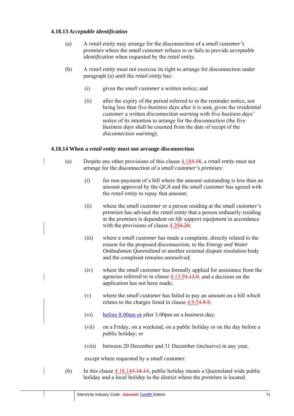### **4.18.13** *Acceptable identification*

- (a) A *retail entity* may arrange for the disconnection of a *small customer's premises* where the *small customer* refuses to or fails to provide *acceptable identification* when requested by the *retail entity*.
- (b) A *retail entity* must not exercise its right to arrange for disconnection under paragraph (a) until the *retail entity* has:
	- (i) given the *small customer* a written notice; and
	- (ii) after the expiry of the period referred to in the reminder notice, not being less than five *business days* after it is sent*,* given the *residential customer* a written *disconnection warning* with five *business days'*  notice of its intention to arrange for the disconnection (the five *business days* shall be counted from the date of recept of the *disconnection warning*).

### **4.18.14 When a** *retail entity* **must not arrange disconnection**

- (a) Despite any other provisions of this clause 4.184.18, a *retail entity* must not arrange for the disconnection of a *small customer's premises*:
	- (i) for non-payment of a bill where the amount outstanding is less than an amount approved by the *QCA* and the *small customer* has agreed with the *retail entity* to repay that amount;
	- (ii) where the *small customer* or a person residing at the *small customer's premises* has advised the *retail entity* that a person ordinarily residing at the *premises* is dependent on *life support equipment* in accordance with the provisions of clause 4.204.20;
	- (iii) where a *small customer* has made a complaint, directly related to the reason for the proposed disconnection, to the *Energy and Water Ombudsman Queensland* or another external dispute resolution body and the complaint remains unresolved;
	- (iv) where the *small customer* has formally applied for assistance from the agencies referred to in clause 4.13.94.13.9, and a decision on the application has not been made;
	- (v) where the *small customer* has failed to pay an amount on a bill which relates to the charges listed in clause 4.9.54.9.5;
	- (vi) before 8.00am or after 3.00pm on a *business day*;
	- (vii) on a Friday, on a weekend, on a public holiday or on the day before a public holiday; or
	- (viii) between 20 December and 31 December (inclusive) in any year,

except where requested by a *small customer*.

(b) In this clause  $4.18.144.18.14$ , public holiday means a Queensland wide public holiday and a *local holiday* in the district where the *premises* is located.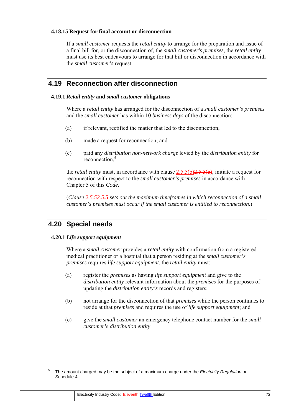### **4.18.15 Request for final account or disconnection**

If a *small customer* requests the *retail entity* to arrange for the preparation and issue of a final bill for, or the disconnection of, the *small customer's premises*, the *retail entity*  must use its best endeavours to arrange for that bill or disconnection in accordance with the *small customer's* request.

# **4.19 Reconnection after disconnection**

### **4.19.1** *Retail entity* **and** *small customer* **obligations**

Where a *retail entity* has arranged for the disconnection of a *small customer's premises* and the *small customer* has within 10 *business days* of the disconnection:

- (a) if relevant, rectified the matter that led to the disconnection;
- (b) made a request for reconnection; and
- (c) paid any *distribution non-network charge* levied by the *distribution entity* for reconnection,<sup>5</sup>

the *retail entity* must, in accordance with clause 2.5.5(b) 2.5.5(b), initiate a request for reconnection with respect to the *small customer's premises* in accordance with Chapter 5 of this *Code*.

(*Clause 2.5.52.5.5 sets out the maximum timeframes in which reconnection of a small customer's premises must occur if the small customer is entitled to reconnection*.)

# **4.20 Special needs**

## **4.20.1** *Life support equipment*

Where a *small customer* provides a *retail entity* with confirmation from a registered medical practitioner or a hospital that a person residing at the *small customer's premises* requires *life support equipment*, the *retail entity* must:

- (a) register the *premises* as having *life support equipment* and give to the *distribution entity* relevant information about the *premises* for the purposes of updating the *distribution entity's* records and registers;
- (b) not arrange for the disconnection of that *premises* while the person continues to reside at that *premises* and requires the use of *life support equipment*; and
- (c) give the *small customer* an emergency telephone contact number for the *small customer'*s *distribution entity*.

<sup>5</sup> The amount charged may be the subject of a maximum charge under the *Electricity Regulation* or Schedule 4.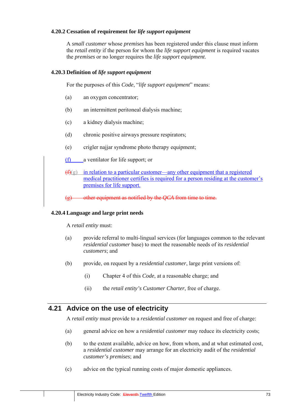### **4.20.2 Cessation of requirement for** *life support equipment*

A *small customer* whose *premises* has been registered under this clause must inform the *retail entity* if the person for whom the *life support equipment* is required vacates the *premises* or no longer requires the *life support equipment*.

### **4.20.3 Definition of** *life support equipment*

For the purposes of this *Code*, "*life support equipment*" means:

- (a) an oxygen concentrator;
- (b) an intermittent peritoneal dialysis machine;
- (c) a kidney dialysis machine;
- (d) chronic positive airways pressure respirators;
- (e) crigler najjar syndrome photo therapy equipment;
- (f) a ventilator for life support; or
- $(f)$ (g) in relation to a particular customer—any other equipment that a registered medical practitioner certifies is required for a person residing at the customer's premises for life support.
- (g) other equipment as notified by the *QCA* from time to time.

### **4.20.4 Language and large print needs**

A *retail entity* must:

- (a) provide referral to multi-lingual services (for languages common to the relevant *residential customer* base) to meet the reasonable needs of its *residential customers*; and
- (b) provide, on request by a *residential customer*, large print versions of:
	- (i) Chapter 4 of this *Code*, at a reasonable charge; and
	- (ii) the *retail entity's Customer Charter*, free of charge.

# **4.21 Advice on the use of electricity**

A *retail entity* must provide to a *residential customer* on request and free of charge:

- (a) general advice on how a *residential customer* may reduce its electricity costs;
- (b) to the extent available, advice on how, from whom, and at what estimated cost, a *residential customer* may arrange for an electricity audit of the *residential customer's premises*; and
- (c) advice on the typical running costs of major domestic appliances.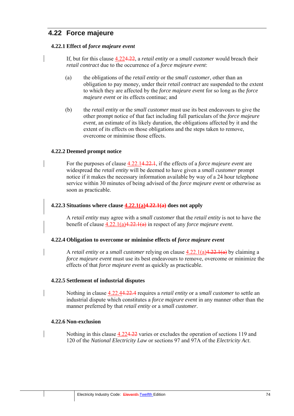## **4.22 Force majeure**

### **4.22.1 Effect of** *force majeure event*

If, but for this clause 4.224.22, a *retail entity* or a *small customer* would breach their *retail contract* due to the occurrence of a *force majeure event*:

- (a) the obligations of the *retail entity* or the *small customer*, other than an obligation to pay money, under their *retail contract* are suspended to the extent to which they are affected by the *force majeure event* for so long as the *force majeure event* or its effects continue; and
- (b) the *retail entity* or the *small customer* must use its best endeavours to give the other prompt notice of that fact including full particulars of the *force majeure event*, an estimate of its likely duration, the obligations affected by it and the extent of its effects on those obligations and the steps taken to remove, overcome or minimise those effects.

### **4.22.2 Deemed prompt notice**

For the purposes of clause 4.22.14.22.1, if the effects of a *force majeure event* are widespread the *retail entity* will be deemed to have given a *small customer* prompt notice if it makes the necessary information available by way of a 24 hour telephone service within 30 minutes of being advised of the *force majeure event* or otherwise as soon as practicable.

#### **4.22.3 Situations where clause 4.22.1(a)4.22.1(a) does not apply**

A *retail entity* may agree with a *small customer* that the *retail entity* is not to have the benefit of clause 4.22.1(a)4.22.1(a) in respect of any *force majeure event*.

### **4.22.4 Obligation to overcome or minimise effects of** *force majeure event*

A *retail entity* or a *small customer* relying on clause 4.22.1(a)4.22.1(a) by claiming a *force majeure event* must use its best endeavours to remove, overcome or minimize the effects of that *force majeure event* as quickly as practicable.

### **4.22.5 Settlement of industrial disputes**

Nothing in clause 4.22.44.22.4 requires a *retail entity* or a *small customer* to settle an industrial dispute which constitutes a *force majeure event* in any manner other than the manner preferred by that *retail entity* or a *small customer*.

#### **4.22.6 Non-exclusion**

Nothing in this clause 4.224.22 varies or excludes the operation of sections 119 and 120 of the *National Electricity Law* or sections 97 and 97A of the *Electricity Act*.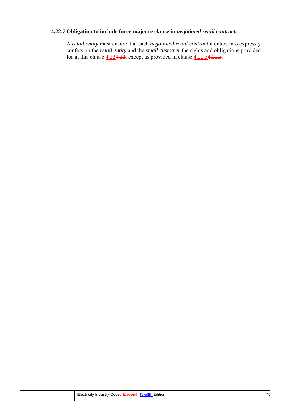## **4.22.7 Obligation to include force majeure clause in** *negotiated retail contracts*

A *retail entity* must ensure that each *negotiated retail contract* it enters into expressly confers on the *retail entity* and the *small customer* the rights and obligations provided for in this clause  $4.224.22$ , except as provided in clause  $4.22.34.22.3$ .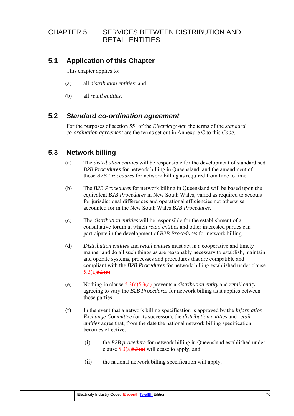# CHAPTER 5: SERVICES BETWEEN DISTRIBUTION AND RETAIL ENTITIES

# **5.1 Application of this Chapter**

This chapter applies to:

- (a) all *distribution entities*; and
- (b) all *retail entities*.

# **5.2** *Standard co-ordination agreement*

For the purposes of section 55I of the *Electricity Act*, the terms of the *standard co-ordination agreement* are the terms set out in Annexure C to this *Code*.

## **5.3 Network billing**

- (a) The *distribution entities* will be responsible for the development of standardised *B2B Procedures* for network billing in Queensland, and the amendment of those *B2B Procedures* for network billing as required from time to time.
- (b) The *B2B Procedures* for network billing in Queensland will be based upon the equivalent *B2B Procedures* in New South Wales, varied as required to account for jurisdictional differences and operational efficiencies not otherwise accounted for in the New South Wales *B2B Procedures.*
- (c) The *distribution entities* will be responsible for the establishment of a consultative forum at which *retail entities* and other interested parties can participate in the development of *B2B Procedures* for network billing.
- (d) *Distribution entities* and *retail entities* must act in a cooperative and timely manner and do all such things as are reasonably necessary to establish, maintain and operate systems, processes and procedures that are compatible and compliant with the *B2B Procedures* for network billing established under clause  $5.3(a)5.3(a)$ .
- (e) Nothing in clause 5.3(a)5.3(a) prevents a *distribution entity* and *retail entity* agreeing to vary the *B2B Procedures* for network billing as it applies between those parties.
- (f) In the event that a network billing specification is approved by the *Information Exchange Committee* (or its successor), the *distribution entities* and *retail entities* agree that, from the date the national network billing specification becomes effective:
	- (i) the *B2B procedure* for network billing in Queensland established under clause  $5.3(a)5.3(a)$  will cease to apply; and
	- (ii) the national network billing specification will apply.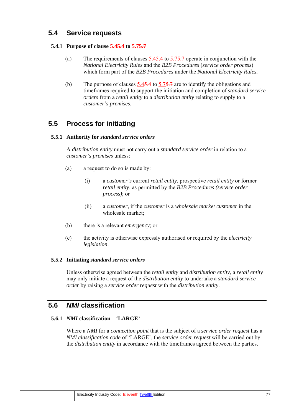# **5.4 Service requests**

### **5.4.1 Purpose of clause 5.45.4 to 5.75.7**

- (a) The requirements of clauses 5.45.4 to 5.75.7 operate in conjunction with the *National Electricity Rules* and the *B2B Procedures* (*service order process*) which form part of the *B2B Procedures* under the *National Electricity Rules.*
- (b) The purpose of clauses  $5.45.4$  to  $5.75.7$  are to identify the obligations and timeframes required to support the initiation and completion of *standard service orders* from a *retail entity* to a *distribution entity* relating to supply to a *customer's premises*.

# **5.5 Process for initiating**

### **5.5.1 Authority for** *standard service orders*

A *distribution entity* must not carry out a *standard service order* in relation to a *customer's premises* unless:

- (a) a request to do so is made by:
	- (i) a *customer's* current *retail entity*, prospective *retail entity* or former *retail entity*, as permitted by the *B2B Procedures (service order process)*; or
	- (ii) a *customer*, if the *customer* is a *wholesale market customer* in the wholesale market;
- (b) there is a relevant *emergency*; or
- (c) the activity is otherwise expressly authorised or required by the *electricity legislation*.

### **5.5.2 Initiating** *standard service orders*

Unless otherwise agreed between the *retail entity* and *distribution entity*, a *retail entity* may only initiate a request of the *distribution entity* to undertake a *standard service order* by raising a *service order request* with the *distribution entity*.

# **5.6** *NMI* **classification**

### **5.6.1** *NMI* **classification – 'LARGE'**

Where a *NMI* for a *connection point* that is the subject of a *service order request* has a *NMI classification code* of 'LARGE', the *service order request* will be carried out by the *distribution entity* in accordance with the timeframes agreed between the parties.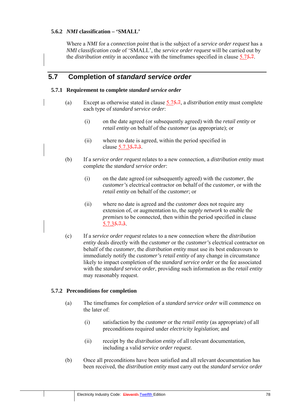### **5.6.2** *NMI* **classification – 'SMALL'**

Where a *NMI* for a *connection point* that is the subject of a *service order request* has a *NMI classification code* of 'SMALL', the *service order request* will be carried out by the *distribution entity* in accordance with the timeframes specified in clause 5.75.7.

## **5.7 Completion of** *standard service order*

### **5.7.1 Requirement to complete** *standard service order*

- (a) Except as otherwise stated in clause 5.75.7, a *distribution entity* must complete each type of *standard service order*:
	- (i) on the date agreed (or subsequently agreed) with the *retail entity* or *retail entity* on behalf of the *customer* (as appropriate); or
	- (ii) where no date is agreed, within the period specified in clause 5.7.35.7.3.
- (b) If a *service order request* relates to a new connection, a *distribution entity* must complete the *standard service order*:
	- (i) on the date agreed (or subsequently agreed) with the *customer*, the *customer's* electrical contractor on behalf of the *customer*, or with the *retail entity* on behalf of the *customer*; or
	- (ii) where no date is agreed and the *customer* does not require any extension of, or augmentation to, the *supply network* to enable the *premises* to be connected, then within the period specified in clause 5.7.35.7.3.
- (c) If a *service order request* relates to a new connection where the *distribution entity* deals directly with the *customer* or the *customer's* electrical contractor on behalf of the *customer*, the *distribution entity* must use its best endeavours to immediately notify the *customer's retail entity* of any change in circumstance likely to impact completion of the *standard service order* or the fee associated with the *standard service order*, providing such information as the *retail entity* may reasonably request.

### **5.7.2 Preconditions for completion**

- (a) The timeframes for completion of a *standard service order* will commence on the later of:
	- (i) satisfaction by the *customer* or the *retail entity* (as appropriate) of all preconditions required under *electricity legislation*; and
	- (ii) receipt by the *distribution entity* of all relevant documentation, including a valid *service order request.*
- (b) Once all preconditions have been satisfied and all relevant documentation has been received, the *distribution entity* must carry out the *standard service order*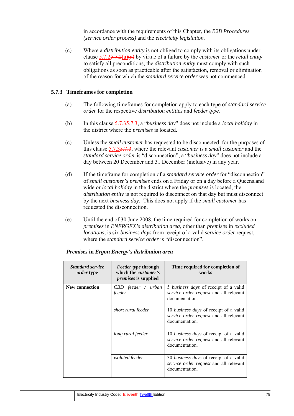in accordance with the requirements of this Chapter, the *B2B Procedures (service order process)* and the *electricity legislation.*

(c) Where a *distribution entity* is not obliged to comply with its obligations under clause 5.7.25.7.2(a)(a) by virtue of a failure by the *customer* or the *retail entity*  to satisfy all preconditions, the *distribution entity* must comply with such obligations as soon as practicable after the satisfaction, removal or elimination of the reason for which the *standard service order* was not commenced.

#### **5.7.3 Timeframes for completion**

- (a) The following timeframes for completion apply to each type of *standard service order* for the respective *distribution entities* and *feeder type.*
- (b) In this clause 5.7.35.7.3, a "*business day*" does not include a *local holiday* in the district where the *premises* is located.
	- (c) Unless the *small customer* has requested to be disconnected, for the purposes of this clause 5.7.35.7.3, where the relevant *customer* is a *small customer* and the *standard service order* is "disconnection", a "*business day*" does not include a day between 20 December and 31 December (inclusive) in any year.
	- (d) If the timeframe for completion of a *standard service order* for "disconnection" of *small customer's premises* ends on a Friday or on a day before a Queensland wide or *local holiday* in the district where the *premises* is located, the *distribution entity* is not required to disconnect on that day but must disconnect by the next *business day*. This does not apply if the *small customer* has requested the disconnection.
	- (e) Until the end of 30 June 2008, the time required for completion of works on *premises* in *ENERGEX's distribution area*, other than *premises* in *excluded locations*, is six *business days* from receipt of a valid *service order* request, where the *standard service order* is "disconnection".

| <b>Standard service</b><br><i>order</i> type | <i>Feeder type through</i><br>which the <i>customer's</i><br><i>premises</i> is supplied | Time required for completion of<br>works                                                                  |
|----------------------------------------------|------------------------------------------------------------------------------------------|-----------------------------------------------------------------------------------------------------------|
| <b>New connection</b>                        | CBD feeder / urban<br>feeder                                                             | 5 <i>business days</i> of receipt of a valid<br>service order request and all relevant<br>documentation.  |
|                                              | short rural feeder                                                                       | 10 <i>business days</i> of receipt of a valid<br>service order request and all relevant<br>documentation. |
|                                              | long rural feeder                                                                        | 10 <i>business days</i> of receipt of a valid<br>service order request and all relevant<br>documentation. |
|                                              | <i>isolated</i> feeder                                                                   | 30 <i>business days</i> of receipt of a valid<br>service order request and all relevant<br>documentation. |

#### *Premises* **in** *Ergon Energy's distribution area*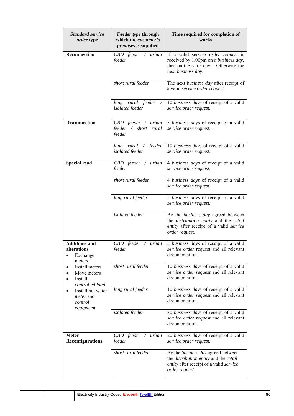| <b>Standard service</b><br>order type                                                                                                                                                                                                         | <b>Feeder type through</b><br>which the customer's<br><i>premises</i> is supplied | Time required for completion of<br>works                                                                                                         |
|-----------------------------------------------------------------------------------------------------------------------------------------------------------------------------------------------------------------------------------------------|-----------------------------------------------------------------------------------|--------------------------------------------------------------------------------------------------------------------------------------------------|
| <b>Reconnection</b>                                                                                                                                                                                                                           | $CBD$ feeder / urban<br>feeder                                                    | If a valid service order request is<br>received by 1.00pm on a business day,<br>then on the same day. Otherwise the<br>next business day.        |
|                                                                                                                                                                                                                                               | short rural feeder                                                                | The next business day after receipt of<br>a valid service order request.                                                                         |
|                                                                                                                                                                                                                                               | long rural feeder<br>isolated feeder                                              | 10 business days of receipt of a valid<br>service order request.                                                                                 |
| <b>Disconnection</b>                                                                                                                                                                                                                          | CBD feeder / urban<br>feeder / short<br>rural<br>feeder                           | 5 business days of receipt of a valid<br>service order request.                                                                                  |
|                                                                                                                                                                                                                                               | long rural / feeder<br>isolated feeder                                            | 10 business days of receipt of a valid<br>service order request.                                                                                 |
| <b>Special read</b>                                                                                                                                                                                                                           | $CBD$ feeder / urban<br>feeder                                                    | 4 business days of receipt of a valid<br>service order request.                                                                                  |
|                                                                                                                                                                                                                                               | short rural feeder                                                                | 4 business days of receipt of a valid<br>service order request.                                                                                  |
|                                                                                                                                                                                                                                               | long rural feeder                                                                 | 5 business days of receipt of a valid<br>service order request.                                                                                  |
|                                                                                                                                                                                                                                               | isolated feeder                                                                   | By the <i>business day</i> agreed between<br>the distribution entity and the retail<br>entity after receipt of a valid service<br>order request. |
| <b>Additions and</b><br>alterations<br>Exchange<br>$\bullet$<br>meters<br>Install meters<br>$\bullet$<br>Move meters<br>Install<br>$\bullet$<br>controlled load<br>Install hot water<br>$\bullet$<br><i>meter</i> and<br>control<br>equipment | $CBD$ feeder / urban<br>feeder                                                    | 5 business days of receipt of a valid<br>service order request and all relevant<br>documentation.                                                |
|                                                                                                                                                                                                                                               | short rural feeder                                                                | 10 business days of receipt of a valid<br>service order request and all relevant<br>documentation.                                               |
|                                                                                                                                                                                                                                               | long rural feeder                                                                 | 10 business days of receipt of a valid<br>service order request and all relevant<br>documentation.                                               |
|                                                                                                                                                                                                                                               | isolated feeder                                                                   | 30 business days of receipt of a valid<br>service order request and all relevant<br>documentation.                                               |
| <b>Meter</b><br><b>Reconfigurations</b>                                                                                                                                                                                                       | $CBD$ feeder / urban<br>feeder                                                    | 20 business days of receipt of a valid<br>service order request.                                                                                 |
|                                                                                                                                                                                                                                               | short rural feeder                                                                | By the business day agreed between<br>the distribution entity and the retail<br>entity after receipt of a valid service<br>order request.        |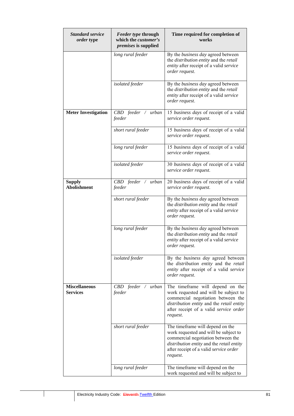| <b>Standard service</b><br>order type   | <b>Feeder type through</b><br>which the customer's<br>premises is supplied | Time required for completion of<br>works                                                                                                                                                                           |
|-----------------------------------------|----------------------------------------------------------------------------|--------------------------------------------------------------------------------------------------------------------------------------------------------------------------------------------------------------------|
|                                         | long rural feeder                                                          | By the <i>business day</i> agreed between<br>the distribution entity and the retail<br>entity after receipt of a valid service<br>order request.                                                                   |
|                                         | isolated feeder                                                            | By the <i>business day</i> agreed between<br>the distribution entity and the retail<br>entity after receipt of a valid service<br>order request.                                                                   |
| <b>Meter Investigation</b>              | $CBD$ feeder / urban<br>feeder                                             | 15 business days of receipt of a valid<br>service order request.                                                                                                                                                   |
|                                         | short rural feeder                                                         | 15 business days of receipt of a valid<br>service order request.                                                                                                                                                   |
|                                         | long rural feeder                                                          | 15 business days of receipt of a valid<br>service order request.                                                                                                                                                   |
|                                         | isolated feeder                                                            | 30 business days of receipt of a valid<br>service order request.                                                                                                                                                   |
| <b>Supply</b><br><b>Abolishment</b>     | $CBD$ feeder / urban<br>feeder                                             | 20 business days of receipt of a valid<br>service order request.                                                                                                                                                   |
|                                         | short rural feeder                                                         | By the business day agreed between<br>the <i>distribution entity</i> and the <i>retail</i><br>entity after receipt of a valid service<br>order request.                                                            |
|                                         | long rural feeder                                                          | By the business day agreed between<br>the <i>distribution entity</i> and the <i>retail</i><br>entity after receipt of a valid service<br>order request.                                                            |
|                                         | isolated feeder                                                            | By the business day agreed between<br>the <i>distribution</i> entity and the retail<br>entity after receipt of a valid service<br>order request.                                                                   |
| <b>Miscellaneous</b><br><b>Services</b> | $CBD$ feeder / urban<br>feeder                                             | The timeframe will depend on the<br>work requested and will be subject to<br>commercial negotiation between the<br>distribution entity and the retail entity<br>after receipt of a valid service order<br>request. |
|                                         | short rural feeder                                                         | The timeframe will depend on the<br>work requested and will be subject to<br>commercial negotiation between the<br>distribution entity and the retail entity<br>after receipt of a valid service order<br>request. |
|                                         | long rural feeder                                                          | The timeframe will depend on the<br>work requested and will be subject to                                                                                                                                          |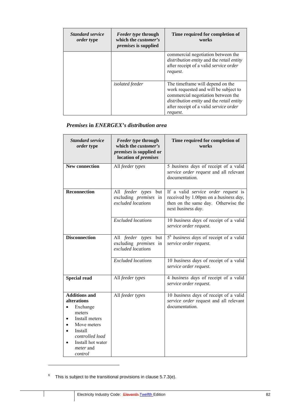| <b>Standard service</b><br>order type | <i>Feeder type through</i><br>which the <i>customer's</i><br><i>premises</i> is supplied | Time required for completion of<br>works                                                                                                                                                                            |
|---------------------------------------|------------------------------------------------------------------------------------------|---------------------------------------------------------------------------------------------------------------------------------------------------------------------------------------------------------------------|
|                                       |                                                                                          | commercial negotiation between the<br>distribution entity and the retail entity<br>after receipt of a valid service order<br>request.                                                                               |
|                                       | <i>isolated</i> feeder                                                                   | The time frame will depend on the<br>work requested and will be subject to<br>commercial negotiation between the<br>distribution entity and the retail entity<br>after receipt of a valid service order<br>request. |

## *Premises* **in** *ENERGEX's distribution area*

| <b>Standard service</b><br>order type                                                                                                                                        | Feeder type through<br>which the <i>customer's</i><br>premises is supplied or<br>location of <i>premises</i> | Time required for completion of<br>works                                                                                                  |
|------------------------------------------------------------------------------------------------------------------------------------------------------------------------------|--------------------------------------------------------------------------------------------------------------|-------------------------------------------------------------------------------------------------------------------------------------------|
| <b>New connection</b>                                                                                                                                                        | All feeder types                                                                                             | 5 business days of receipt of a valid<br>service order request and all relevant<br>documentation.                                         |
| <b>Reconnection</b>                                                                                                                                                          | All feeder types<br>but<br>excluding <i>premises</i> in<br>excluded locations                                | If a valid service order request is<br>received by 1.00pm on a business day,<br>then on the same day. Otherwise the<br>next business day. |
|                                                                                                                                                                              | <b>Excluded</b> locations                                                                                    | 10 business days of receipt of a valid<br>service order request.                                                                          |
| <b>Disconnection</b>                                                                                                                                                         | All feeder types but<br>excluding <i>premises</i> in<br>excluded locations                                   | 5 <sup>6</sup> business days of receipt of a valid<br>service order request.                                                              |
|                                                                                                                                                                              | <b>Excluded</b> locations                                                                                    | 10 business days of receipt of a valid<br>service order request.                                                                          |
| <b>Special read</b>                                                                                                                                                          | All feeder types                                                                                             | 4 business days of receipt of a valid<br>service order request.                                                                           |
| <b>Additions and</b><br>alterations<br>Exchange<br>meters<br>Install meters<br>Move meters<br>Install<br>controlled load<br>Install hot water<br><i>meter</i> and<br>control | All feeder types                                                                                             | 10 business days of receipt of a valid<br>service order request and all relevant<br>documentation.                                        |

<sup>6</sup> This is subject to the transitional provisions in clause 5.7.3(e).

 $\overline{a}$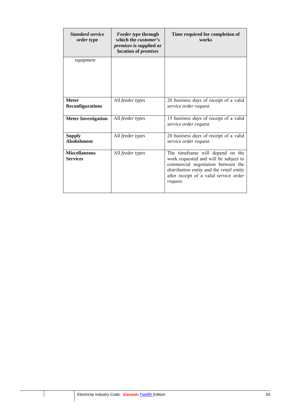| <b>Standard service</b><br><i>order</i> type | <i>Feeder type through</i><br>which the <i>customer's</i><br><i>premises</i> is supplied or<br>location of <i>premises</i> | Time required for completion of<br>works                                                                                                                                                                           |
|----------------------------------------------|----------------------------------------------------------------------------------------------------------------------------|--------------------------------------------------------------------------------------------------------------------------------------------------------------------------------------------------------------------|
| equipment                                    |                                                                                                                            |                                                                                                                                                                                                                    |
| <b>Meter</b><br><b>Reconfigurations</b>      | All feeder types                                                                                                           | 20 business days of receipt of a valid<br>service order request.                                                                                                                                                   |
| <b>Meter Investigation</b>                   | All feeder types                                                                                                           | 15 business days of receipt of a valid<br>service order request.                                                                                                                                                   |
| <b>Supply</b><br><b>Abolishment</b>          | All feeder types                                                                                                           | 20 business days of receipt of a valid<br>service order request.                                                                                                                                                   |
| <b>Miscellaneous</b><br><b>Services</b>      | All feeder types                                                                                                           | The timeframe will depend on the<br>work requested and will be subject to<br>commercial negotiation between the<br>distribution entity and the retail entity<br>after receipt of a valid service order<br>request. |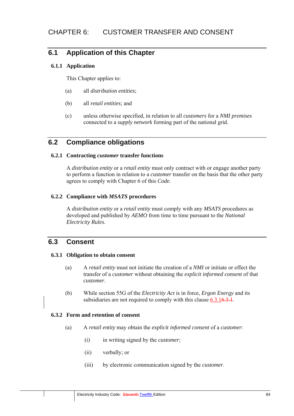# **6.1 Application of this Chapter**

### **6.1.1 Application**

This Chapter applies to:

- (a) all *distribution entities*;
- (b) all *retail entities*; and
- (c) unless otherwise specified, in relation to all *customers* for a *NMI premises*  connected to a *supply network* forming part of the national grid.

# **6.2 Compliance obligations**

### **6.2.1 Contracting** *customer* **transfer functions**

A *distribution entity* or a *retail entity* must only contract with or engage another party to perform a function in relation to a *customer* transfer on the basis that the other party agrees to comply with Chapter 6 of this *Code*.

### **6.2.2 Compliance with** *MSATS* **procedures**

A *distribution entity* or a *retail entity* must comply with any *MSATS* procedures as developed and published by *AEMO* from time to time pursuant to the *National Electricity Rules*.

# **6.3 Consent**

### **6.3.1 Obligation to obtain consent**

- (a) A *retail entity* must not initiate the creation of a *NMI* or initiate or effect the transfer of a *customer* without obtaining the *explicit informed consent* of that *customer*.
- (b) While section 55G of the *Electricity Act* is in force, *Ergon Energy* and its subsidiaries are not required to comply with this clause  $6.3.16.3.1$ .

### **6.3.2 Form and retention of consent**

- (a) A *retail entity* may obtain the *explicit informed consent* of a *customer*:
	- (i) in writing signed by the *customer*;
	- (ii) verbally; or
	- (iii) by electronic communication signed by the *customer*.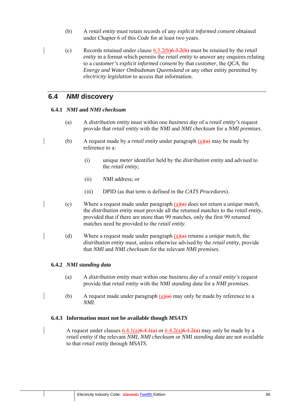- (b) A *retail entity* must retain records of any *explicit informed consent* obtained under Chapter 6 of this *Code* for at least two years.
- (c) Records retained under clause 6.3.2(b)6.3.2(b) must be retained by the *retail entity* in a format which permits the *retail entity* to answer any enquires relating to a *customer's explicit informed consent* by that *customer*, the *QCA*, the *Energy and Water Ombudsman Queensland* or any other entity permitted by *electricity legislation* to access that information.

## **6.4** *NMI* **discovery**

### **6.4.1** *NMI* **and** *NMI checksum*

- (a) A *distribution entity* must within one *business day* of a *retail entity's* request provide that *retail entity* with the *NMI* and *NMI checksum* for a *NMI premises*.
- (b) A request made by a *retail entity* under paragraph  $(a)(a)$  may be made by reference to a:
	- (i) unique *meter* identifier held by the *distribution entity* and advised to the *retail entity*;
	- (ii) *NMI* address; or
	- (iii) DPID (as that term is defined in the *CATS Procedures*).
- (c) Where a request made under paragraph (a)(a) does not return a *unique match*, the *distribution entity* must provide all the returned matches to the *retail entity*, provided that if there are more than 99 matches, only the first 99 returned matches need be provided to the *retail entity*.
- (d) Where a request made under paragraph (a)(a) returns a *unique match*, the *distribution entity* must, unless otherwise advised by the *retail entity*, provide that *NMI* and *NMI checksum* for the relevant *NMI premises*.

### **6.4.2** *NMI standing data*

- (a) A *distribution entity* must within one *business day* of a *retail entity's* request provide that *retail entity* with the *NMI standing data* for a *NMI premises*.
- (b) A request made under paragraph  $(a)(a)$  may only be made by reference to a *NMI*.

### **6.4.3 Information must not be available though** *MSATS*

A request under clauses  $6.4.1(a)6.4.1(a)$  or  $6.4.2(a)6.4.2(a)$  may only be made by a *retail entity* if the relevant *NMI*, *NMI checksum* or *NMI standing data* are not available to that *retail entity* through *MSATS*.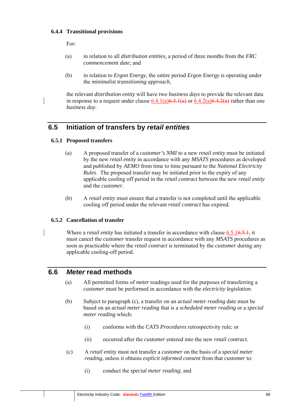### **6.4.4 Transitional provisions**

For:

- (a) in relation to all *distribution entities,* a period of three months from the *FRC commencement date*; and
- (b) in relation to *Ergon Energy*, the entire period *Ergon Energy* is operating under the *minimalist transitioning approach*,

the relevant *distribution entity* will have two *business days* to provide the relevant data in response to a request under clause  $6.4.1(a)\overline{6.4.1(a)}$  or  $6.4.2(a)\overline{6.4.2(a)}$  rather than one *business day*.

# **6.5 Initiation of transfers by** *retail entities*

### **6.5.1 Proposed transfers**

- (a) A proposed transfer of a *customer's NMI* to a new *retail entity* must be initiated by the new *retail entity* in accordance with any *MSATS* procedures as developed and published by *AEMO* from time to time pursuant to the *National Electricity Rules*. The proposed transfer may be initiated prior to the expiry of any applicable cooling off period in the *retail contract* between the new *retail entity* and the *customer*.
- (b) A *retail entity* must ensure that a transfer is not completed until the applicable cooling off period under the relevant *retail contract* has expired.

## **6.5.2 Cancellation of transfer**

Where a *retail entity* has initiated a transfer in accordance with clause 6.5.16.5.1, it must cancel the *customer* transfer request in accordance with any *MSATS* procedures as soon as practicable where the *retail contract* is terminated by the *customer* during any applicable cooling-off period.

# **6.6** *Meter* **read methods**

- (a) All permitted forms of *meter* readings used for the purposes of transferring a *customer* must be performed in accordance with the *electricity legislation*.
- (b) Subject to paragraph (c), a transfer on an *actual meter reading* date must be based on an *actual meter reading* that is a *scheduled meter reading* or a *special meter reading* which:
	- (i) conforms with the *CATS Procedures* retrospectivity rule; or
	- (ii) occurred after the *customer* entered into the new *retail contract.*
- (c) A *retail entity* must not transfer a *customer* on the basis of a *special meter reading*, unless it obtains *explicit informed consent* from that *customer* to:
	- (i) conduct the *special meter reading*; and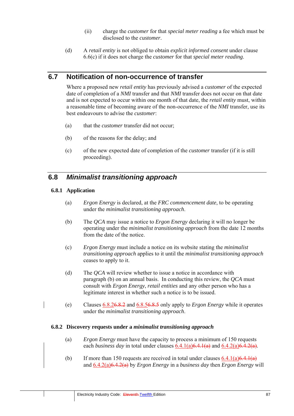- (ii) charge the *customer* for that *special meter reading* a fee which must be disclosed to the *customer*.
- (d) A *retail entity* is not obliged to obtain *explicit informed consent* under clause 6.6(c) if it does not charge the *customer* for that *special meter reading*.

# **6.7 Notification of non-occurrence of transfer**

Where a proposed new *retail entity* has previously advised a *customer* of the expected date of completion of a *NMI* transfer and that *NMI* transfer does not occur on that date and is not expected to occur within one month of that date, the *retail entity* must, within a reasonable time of becoming aware of the non-occurrence of the *NMI* transfer, use its best endeavours to advise the *customer*:

- (a) that the *customer* transfer did not occur;
- (b) of the reasons for the delay; and
- (c) of the new expected date of completion of the *customer* transfer (if it is still proceeding).

## **6.8** *Minimalist transitioning approach*

### **6.8.1 Application**

- (a) *Ergon Energy* is declared, at the *FRC commencement date*, to be operating under the *minimalist transitioning approach*.
- (b) The *QCA* may issue a notice to *Ergon Energy* declaring it will no longer be operating under the *minimalist transitioning approach* from the date 12 months from the date of the notice.
- (c) *Ergon Energy* must include a notice on its website stating the *minimalist transitioning approach* applies to it until the *minimalist transitioning approach* ceases to apply to it.
- (d) The *QCA* will review whether to issue a notice in accordance with paragraph (b) on an annual basis. In conducting this review, the *QCA* must consult with *Ergon Energy*, *retail entities* and any other person who has a legitimate interest in whether such a notice is to be issued.
- (e) Clauses 6.8.26.8.2 and 6.8.56.8.5 only apply to *Ergon Energy* while it operates under the *minimalist transitioning approach*.

#### **6.8.2 Discovery requests under a** *minimalist transitioning approach*

- (a) *Ergon Energy* must have the capacity to process a minimum of 150 requests each *business day* in total under clauses  $6.4.1(a)6.4.1(a)$  and  $6.4.2(a)6.4.2(a)$ .
- (b) If more than 150 requests are received in total under clauses  $6.4.1(a)6.4.1(a)$ and 6.4.2(a)6.4.2(a) by *Ergon Energy* in a *business day* then *Ergon Energy* will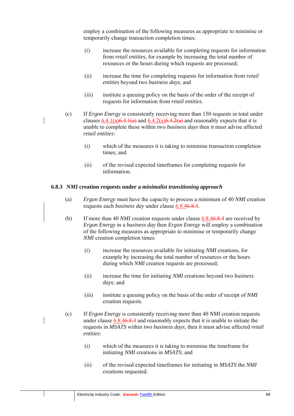employ a combination of the following measures as appropriate to minimise or temporarily change transaction completion times:

- (i) increase the resources available for completing requests for information from *retail entities*, for example by increasing the total number of resources or the hours during which requests are processed;
- (ii) increase the time for completing requests for information from *retail entities* beyond two *business days*; and
- (iii) institute a queuing policy on the basis of the order of the receipt of requests for information from *retail entities*.
- (c) If *Ergon Energy* is consistently receiving more than 150 requests in total under clauses  $6.4.1(a)6.4.1(a)$  and  $6.4.2(a)6.4.2(a)$  and reasonably expects that it is unable to complete these within two *business days* then it must advise affected *retail entities*:
	- (i) which of the measures it is taking to minimise transaction completion times; and
	- (ii) of the revised expected timeframes for completing requests for information.

#### **6.8.3** *NMI* **creation requests under a** *minimalist transitioning approach*

- (a) *Ergon Energy* must have the capacity to process a minimum of 40 *NMI* creation requests each *business day* under clause 6.8.46.8.4.
- (b) If more than 40 *NMI* creation requests under clause 6.8.46.8.4 are received by *Ergon Energy* in a *business day* then *Ergon Energy* will employ a combination of the following measures as appropriate to minimise or temporarily change *NMI* creation completion times:
	- (i) increase the resources available for initiating *NMI* creations, for example by increasing the total number of resources or the hours during which *NMI* creation requests are processed;
	- (ii) increase the time for initiating *NMI* creations beyond two *business days*; and
	- (iii) institute a queuing policy on the basis of the order of receipt of *NMI* creation requests.
- (c) If *Ergon Energy* is consistently receiving more than 40 *NMI* creation requests under clause 6.8.46.8.4 and reasonably expects that it is unable to initiate the requests in *MSATS* within two *business days*, then it must advise affected *retail entities*:
	- (i) which of the measures it is taking to minimise the timeframe for initiating *NMI* creations in *MSATS*; and
	- (ii) of the revised expected timeframes for initiating in *MSATS* the *NMI* creations requested.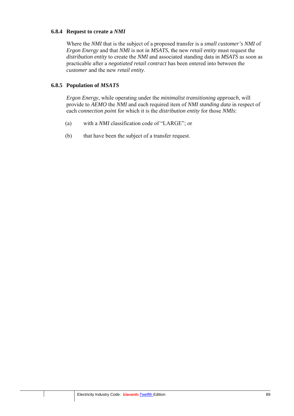### **6.8.4 Request to create a** *NMI*

Where the *NMI* that is the subject of a proposed transfer is a *small customer's NMI* of *Ergon Energy* and that *NMI* is not in *MSATS*, the new *retail entity* must request the *distribution entity* to create the *NMI* and associated standing data in *MSATS* as soon as practicable after a *negotiated retail contract* has been entered into between the *customer* and the new *retail entity*.

### **6.8.5 Population of** *MSATS*

*Ergon Energy*, while operating under the *minimalist transitioning approach*, will provide to *AEMO* the *NMI* and each required item of *NMI standing data* in respect of each *connection point* for which it is the *distribution entity* for those *NMIs*:

- (a) with a *NMI* classification code of "LARGE"; or
- (b) that have been the subject of a transfer request.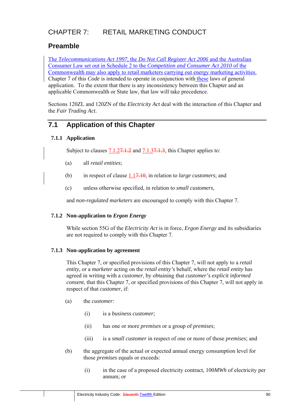# CHAPTER 7: RETAIL MARKETING CONDUCT

# **Preamble**

The *Telecommunications Act 1997*, the *Do Not Call Register Act 2006* and the Australian Consumer Law set out in Schedule 2 to the *Competition and Consumer Act 2010* of the Commonwealth may also apply to retail marketers carrying out energy marketing activities. Chapter 7 of this *Code* is intended to operate in conjunction with these laws of general application. To the extent that there is any inconsistency between this Chapter and an applicable Commonwealth or State law, that law will take precedence.

Sections 120ZL and 120ZN of the *Electricity Act* deal with the interaction of this Chapter and the *Fair Trading Act*.

# **7.1 Application of this Chapter**

## **7.1.1 Application**

Subject to clauses 7.1.2<del>7.1.2</del> and 7.1.3<del>7.1.3</del>, this Chapter applies to:

- (a) all *retail entities*;
- (b) in respect of clause 1.17.10, in relation to *large customers*; and
- (c) unless otherwise specified, in relation to *small customers*,

and *non-regulated marketers* are encouraged to comply with this Chapter 7.

### **7.1.2 Non-application to** *Ergon Energy*

While section 55G of the *Electricity Act* is in force, *Ergon Energy* and its subsidiaries are not required to comply with this Chapter 7.

## **7.1.3 Non-application by agreement**

This Chapter 7, or specified provisions of this Chapter 7, will not apply to a *retail entity*, or a *marketer* acting on the *retail entity's* behalf, where the *retail entity* has agreed in writing with a *customer*, by obtaining that *customer's explicit informed consent*, that this Chapter 7, or specified provisions of this Chapter 7, will not apply in respect of that *customer*, if:

- (a) the *customer*:
	- (i) is a *business customer*;
	- (ii) has one or more *premises* or a group of *premises*;
	- (iii) is a *small customer* in respect of one or more of those *premises*; and
- (b) the aggregate of the actual or expected annual energy consumption level for those *premises* equals or exceeds:
	- (i) in the case of a proposed electricity contract, 100*MWh* of electricity per annum; or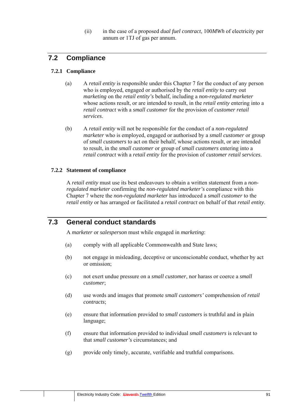(ii) in the case of a proposed *dual fuel contract*, 100*MWh* of electricity per annum or 1TJ of gas per annum.

# **7.2 Compliance**

## **7.2.1 Compliance**

- (a) A *retail entity* is responsible under this Chapter 7 for the conduct of any person who is employed, engaged or authorised by the *retail entity* to carry out *marketing* on the *retail entity's* behalf, including a *non-regulated marketer* whose actions result, or are intended to result, in the *retail entity* entering into a *retail contract* with a *small customer* for the provision of *customer retail services*.
- (b) A *retail entity* will not be responsible for the conduct of a *non-regulated marketer* who is employed, engaged or authorised by a *small customer* or group of *small customers* to act on their behalf, whose actions result, or are intended to result, in the *small customer* or group of *small customers* entering into a *retail contract* with a *retail entity* for the provision of *customer retail services*.

## **7.2.2 Statement of compliance**

A *retail entity* must use its best endeavours to obtain a written statement from a *nonregulated marketer* confirming the *non-regulated marketer's* compliance with this Chapter 7 where the *non-regulated marketer* has introduced a *small customer* to the *retail entity* or has arranged or facilitated a *retail contract* on behalf of that *retail entity*.

# **7.3 General conduct standards**

A *marketer* or *salesperson* must while engaged in *marketing*:

- (a) comply with all applicable Commonwealth and State laws;
- (b) not engage in misleading, deceptive or unconscionable conduct, whether by act or omission;
- (c) not exert undue pressure on a *small customer*, nor harass or coerce a *small customer*;
- (d) use words and images that promote *small customers'* comprehension of *retail contracts*;
- (e) ensure that information provided to *small customers* is truthful and in plain language;
- (f) ensure that information provided to individual *small customers* is relevant to that *small customer's* circumstances; and
- (g) provide only timely, accurate, verifiable and truthful comparisons.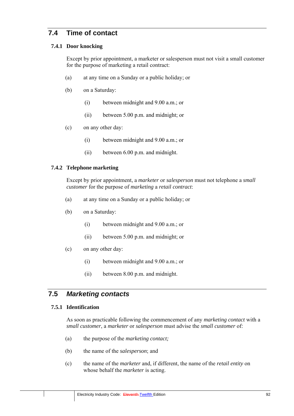# **7.4 Time of contact**

### **7.4.1 Door knocking**

Except by prior appointment, a marketer or salesperson must not visit a small customer for the purpose of marketing a retail contract:

- (a) at any time on a Sunday or a public holiday; or
- (b) on a Saturday:
	- (i) between midnight and 9.00 a.m.; or
	- (ii) between 5.00 p.m. and midnight; or
- (c) on any other day:
	- (i) between midnight and 9.00 a.m.; or
	- (ii) between 6.00 p.m. and midnight.

### **7.4.2 Telephone marketing**

Except by prior appointment, a *marketer* or *salesperson* must not telephone a *small customer* for the purpose of *marketing* a *retail contract*:

- (a) at any time on a Sunday or a public holiday; or
- (b) on a Saturday:
	- (i) between midnight and 9.00 a.m.; or
	- (ii) between 5.00 p.m. and midnight; or
- (c) on any other day:
	- (i) between midnight and 9.00 a.m.; or
	- (ii) between 8.00 p.m. and midnight.

# **7.5** *Marketing contacts*

### **7.5.1 Identification**

As soon as practicable following the commencement of any *marketing contact* with a *small customer*, a *marketer* or *salesperson* must advise the *small customer* of:

- (a) the purpose of the *marketing contact;*
- (b) the name of the *salesperson*; and
- (c) the name of the *marketer* and, if different, the name of the *retail entity* on whose behalf the *marketer* is acting.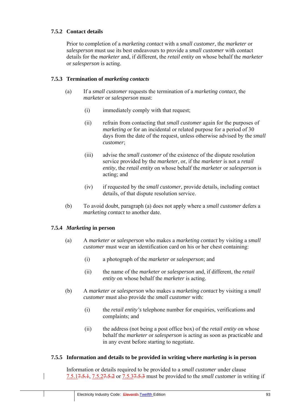## **7.5.2 Contact details**

Prior to completion of a *marketing contact* with a *small customer*, the *marketer* or *salesperson* must use its best endeavours to provide a *small customer* with contact details for the *marketer* and, if different, the *retail entity* on whose behalf the *marketer* or *salesperson* is acting.

### **7.5.3 Termination of** *marketing contacts*

- (a) If a *small customer* requests the termination of a *marketing contact*, the *marketer* or *salesperson* must:
	- (i) immediately comply with that request;
	- (ii) refrain from contacting that *small customer* again for the purposes of *marketing* or for an incidental or related purpose for a period of 30 days from the date of the request, unless otherwise advised by the *small customer*;
	- (iii) advise the *small customer* of the existence of the dispute resolution service provided by the *marketer*, or, if the *marketer* is not a *retail entity*, the *retail entity* on whose behalf the *marketer* or *salesperson* is acting; and
	- (iv) if requested by the *small customer*, provide details, including contact details, of that dispute resolution service.
- (b) To avoid doubt, paragraph (a) does not apply where a *small customer* defers a *marketing contact* to another date.

### **7.5.4** *Marketing* **in person**

- (a) A *marketer* or *salesperson* who makes a *marketing contact* by visiting a *small customer* must wear an identification card on his or her chest containing:
	- (i) a photograph of the *marketer* or *salesperson*; and
	- (ii) the name of the *marketer* or *salesperson* and, if different, the *retail entity* on whose behalf the *marketer* is acting.
- (b) A *marketer* or *salesperson* who makes a *marketing contact* by visiting a *small customer* must also provide the *small customer* with:
	- (i) the *retail entity's* telephone number for enquiries, verifications and complaints; and
	- (ii) the address (not being a post office box) of the *retail entity* on whose behalf the *marketer* or *salesperson* is acting as soon as practicable and in any event before starting to negotiate.

### **7.5.5 Information and details to be provided in writing where** *marketing* **is in person**

Information or details required to be provided to a *small customer* under clause 7.5.17.5.1, 7.5.27.5.2 or 7.5.37.5.3 must be provided to the *small customer* in writing if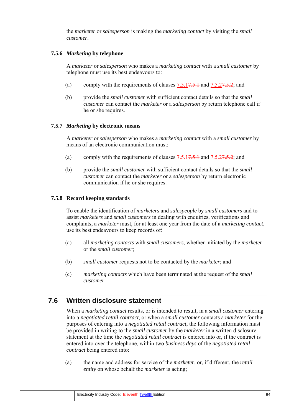the *marketer* or *salesperson* is making the *marketing contact* by visiting the *small customer*.

### **7.5.6** *Marketing* **by telephone**

A *marketer* or *salesperson* who makes a *marketing contact* with a *small customer* by telephone must use its best endeavours to:

- (a) comply with the requirements of clauses  $7.5.17.5.1$  and  $7.5.27.5.2$ ; and
- (b) provide the *small customer* with sufficient contact details so that the *small customer* can contact the *marketer* or a *salesperson* by return telephone call if he or she requires.

#### **7.5.7** *Marketing* **by electronic means**

A *marketer* or *salesperson* who makes a *marketing contact* with a *small customer* by means of an electronic communication must:

- (a) comply with the requirements of clauses  $7.5.17.5.1$  and  $7.5.27.5.2$ ; and
- (b) provide the *small customer* with sufficient contact details so that the *small customer* can contact the *marketer* or a *salesperson* by return electronic communication if he or she requires.

#### **7.5.8 Record keeping standards**

To enable the identification of *marketers* and *salespeople* by *small customers* and to assist *marketers* and *small customers* in dealing with enquiries, verifications and complaints, a *marketer* must, for at least one year from the date of a *marketing contact,* use its best endeavours to keep records of:

- (a) all *marketing contacts* with *small customers*, whether initiated by the *marketer* or the *small customer*;
- (b) *small customer* requests not to be contacted by the *marketer*; and
- (c) *marketing contacts* which have been terminated at the request of the *small customer*.

## **7.6 Written disclosure statement**

When a *marketing contact* results, or is intended to result, in a *small customer* entering into a *negotiated retail contract*, or when a *small customer* contacts a *marketer* for the purposes of entering into a *negotiated retail contract*, the following information must be provided in writing to the *small customer* by the *marketer* in a written disclosure statement at the time the *negotiated retail contract* is entered into or, if the contract is entered into over the telephone, within two *business days* of the *negotiated retail contract* being entered into:

(a) the name and address for service of the *marketer*, or, if different, the *retail entity* on whose behalf the *marketer* is acting;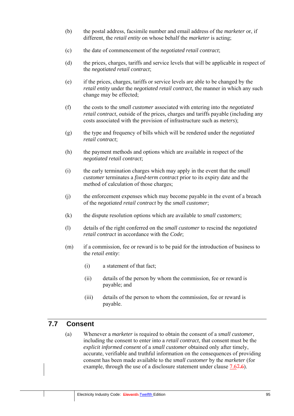- (b) the postal address, facsimile number and email address of the *marketer* or, if different, the *retail entity* on whose behalf the *marketer* is acting;
- (c) the date of commencement of the *negotiated retail contract*;
- (d) the prices, charges, tariffs and service levels that will be applicable in respect of the *negotiated retail contract*;
- (e) if the prices, charges, tariffs or service levels are able to be changed by the *retail entity* under the *negotiated retail contract*, the manner in which any such change may be effected;
- (f) the costs to the *small customer* associated with entering into the *negotiated retail contract*, outside of the prices, charges and tariffs payable (including any costs associated with the provision of infrastructure such as *meters*);
- (g) the type and frequency of bills which will be rendered under the *negotiated retail contract*;
- (h) the payment methods and options which are available in respect of the *negotiated retail contract*;
- (i) the early termination charges which may apply in the event that the *small customer* terminates a *fixed-term contract* prior to its expiry date and the method of calculation of those charges;
- (j) the enforcement expenses which may become payable in the event of a breach of the *negotiated retail contract* by the *small customer*;
- (k) the dispute resolution options which are available to *small customers*;
- (l) details of the right conferred on the *small customer* to rescind the *negotiated retail contract* in accordance with the *Code*;
- (m) if a commission, fee or reward is to be paid for the introduction of business to the *retail entity*:
	- (i) a statement of that fact;
	- (ii) details of the person by whom the commission, fee or reward is payable; and
	- (iii) details of the person to whom the commission, fee or reward is payable.

## **7.7 Consent**

(a) Whenever a *marketer* is required to obtain the consent of a *small customer*, including the consent to enter into a *retail contract*, that consent must be the *explicit informed consent* of a *small customer* obtained only after timely, accurate, verifiable and truthful information on the consequences of providing consent has been made available to the *small customer* by the *marketer* (for example, through the use of a disclosure statement under clause 7.67.6).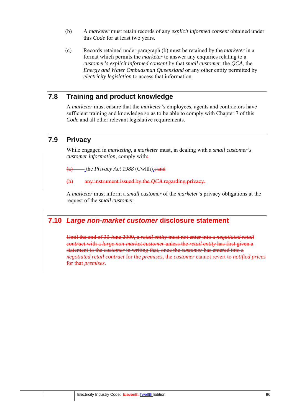- (b) A *marketer* must retain records of any *explicit informed consent* obtained under this *Code* for at least two years.
- (c) Records retained under paragraph (b) must be retained by the *marketer* in a format which permits the *marketer* to answer any enquiries relating to a *customer's explicit informed consent* by that *small customer*, the *QCA*, the *Energy and Water Ombudsman Queensland* or any other entity permitted by *electricity legislation* to access that information.

# **7.8 Training and product knowledge**

A *marketer* must ensure that the *marketer*'s employees, agents and contractors have sufficient training and knowledge so as to be able to comply with Chapter 7 of this *Code* and all other relevant legislative requirements.

# **7.9 Privacy**

While engaged in *marketing*, a *marketer* must, in dealing with a *small customer's customer information*, comply with:

the *Privacy Act 1988* (Cwlth)  $\frac{1}{2}$  and

(b) any instrument issued by the *QCA* regarding privacy.

A *marketer* must inform a *small customer* of the *marketer*'s privacy obligations at the request of the *small customer*.

# **7.10** *Large non-market customer* **disclosure statement**

Until the end of 30 June 2009, a *retail entity* must not enter into a *negotiated retail contract* with a *large non-market customer* unless the *retail entity* has first given a statement to the *customer* in writing that, once the *customer* has entered into a *negotiated retail contract* for the *premises*, the *customer* cannot revert to *notified prices* for that *premises*.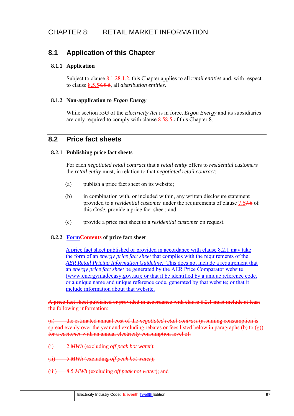# **8.1 Application of this Chapter**

### **8.1.1 Application**

Subject to clause 8.1.28.1.2, this Chapter applies to all *retail entities* and, with respect to clause 8.5.58.5.5, all *distribution entities*.

### **8.1.2 Non-application to** *Ergon Energy*

While section 55G of the *Electricity Act* is in force, *Ergon Energy* and its subsidiaries are only required to comply with clause 8.58.5 of this Chapter 8.

## **8.2 Price fact sheets**

### **8.2.1 Publishing price fact sheets**

For each *negotiated retail contract* that a *retail entity* offers to *residential customers* the *retail entity* must, in relation to that *negotiated retail contract*:

- (a) publish a price fact sheet on its website;
- (b) in combination with, or included within, any written disclosure statement provided to a *residential customer* under the requirements of clause 7.67.6 of this *Code,* provide a price fact sheet; and
- (c) provide a price fact sheet to a *residential customer* on request.

## **8.2.2 FormContents of price fact sheet**

A price fact sheet published or provided in accordance with clause 8.2.1 may take the form of an *energy price fact sheet* that complies with the requirements of the *AER Retail Pricing Information Guideline*. This does not include a requirement that an *energy price fact sheet* be generated by the AER Price Comparator website (www.energymadeeasy.gov.au); or that it be identified by a unique reference code, or a unique name and unique reference code, generated by that website; or that it include information about that website.

A price fact sheet published or provided in accordance with clause 8.2.1 must include at least the following information:

(a) the estimated annual cost of the *negotiated retail contract* (assuming consumption is spread evenly over the year and excluding rebates or fees listed below in paragraphs (b) to (g)) for a *customer* with an annual electricity consumption level of:

- (i) 2 *MWh* (excluding *off peak hot water*);
- (ii) 5 *MWh* (excluding *off peak hot water*);
- (iii) 8.5 *MWh* (excluding *off peak hot water*); and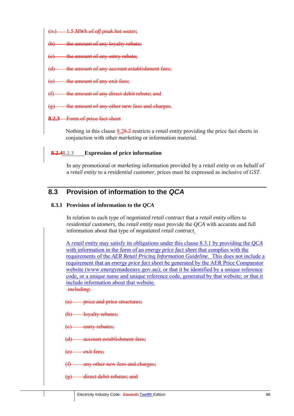- (iv) 1.5 *MWh* of *off peak hot water*;
- (b) the amount of any loyalty rebate:
- the amount of any entry rebate;
- the amount of any account establishment fees;
- the amount of any exit fees:
- the amount of any direct debit rebate; and
- $(g)$  the amount of any other new fees and charges.

### **8.2.3** Form of price fact sheet

Nothing in this clause 8.28.2 restricts a *retail entity* providing the price fact sheets in conjunction with other *marketing* or information material.

### **8.2.48.2.3 Expression of price information**

In any promotional or *marketing* information provided by a *retail entity* or on behalf of a *retail entity* to a *residential customer*, prices must be expressed as inclusive of *GST*.

# **8.3 Provision of information to the** *QCA*

### **8.3.1 Provision of information to the** *QCA*

In relation to each type of *negotiated retail contract* that a *retail entity* offers to *residential customers*, the *retail entity* must provide the *QCA* with accurate and full information about that type of *negotiated retail contract*.

A *retail entity* may satisfy its obligations under this clause 8.3.1 by providing the *QCA* with information in the form of an *energy price fact sheet* that complies with the requirements of the *AER Retail Pricing Information Guideline*. This does not include a requirement that an *energy price fact sheet* be generated by the AER Price Comparator website (www.energymadeeasy.gov.au); or that it be identified by a unique reference code, or a unique name and unique reference code, generated by that website; or that it include information about that website. including:

- (a) price and price structures:
- lovalty rebates;
- entry rebates:
- account establishment fees:
- exit fees:
- any other new fees and charges;
- (g) direct debit rebates; and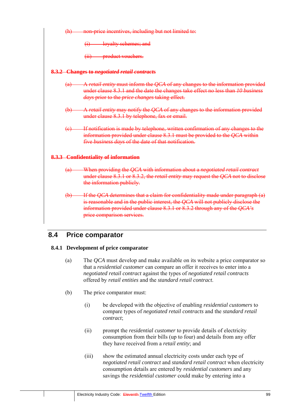

# **8.4 Price comparator**

## **8.4.1 Development of price comparator**

- (a) The *QCA* must develop and make available on its website a price comparator so that a *residential customer* can compare an offer it receives to enter into a *negotiated retail contract* against the types of *negotiated retail contracts* offered by *retail entities* and the *standard retail contract*.
- (b) The price comparator must:
	- (i) be developed with the objective of enabling *residential customers* to compare types of *negotiated retail contracts* and the *standard retail contract*;
	- (ii) prompt the *residential customer* to provide details of electricity consumption from their bills (up to four) and details from any offer they have received from a *retail entity*; and
	- (iii) show the estimated annual electricity costs under each type of *negotiated retail contract* and *standard retail contract* when electricity consumption details are entered by *residential customers* and any savings the *residential customer* could make by entering into a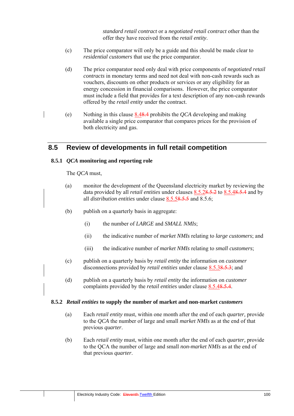*standard retail contract* or a *negotiated retail contract* other than the offer they have received from the *retail entity*.

- (c) The price comparator will only be a guide and this should be made clear to *residential customers* that use the price comparator.
- (d) The price comparator need only deal with price components of *negotiated retail contracts* in monetary terms and need not deal with non-cash rewards such as vouchers, discounts on other products or services or any eligibility for an energy concession in financial comparisons. However, the price comparator must include a field that provides for a text description of any non-cash rewards offered by the *retail entity* under the contract.
- (e) Nothing in this clause 8.48.4 prohibits the *QCA* developing and making available a single price comparator that compares prices for the provision of both electricity and gas.

# **8.5 Review of developments in full retail competition**

### **8.5.1** *QCA* **monitoring and reporting role**

The *QCA* must,

- (a) monitor the development of the Queensland electricity market by reviewing the data provided by all *retail entities* under clauses 8.5.28.5.2 to 8.5.48.5.4 and by all *distribution entities* under clause 8.5.58.5.5 and 8.5.6;
- (b) publish on a quarterly basis in aggregate:
	- (i) the number of *LARGE* and *SMALL NMIs*;
	- (ii) the indicative number of *market NMIs* relating to *large customers*; and
	- (iii) the indicative number of *market NMIs* relating to *small customers*;
- (c) publish on a quarterly basis by *retail entity* the information on *customer* disconnections provided by *retail entities* under clause 8.5.38.5.3; and
- (d) publish on a quarterly basis by *retail entity* the information on *customer* complaints provided by the *retail entities* under clause 8.5.48.5.4.

#### **8.5.2** *Retail entities* **to supply the number of market and non-market** *customers*

- (a) Each *retail entity* must, within one month after the end of each *quarter,* provide to the *QCA* the number of large and small *market NMIs* as at the end of that previous *quarter*.
- (b) Each *retail entity* must, within one month after the end of each *quarter,* provide to the QCA the number of large and small *non-market NMIs* as at the end of that previous *quarter*.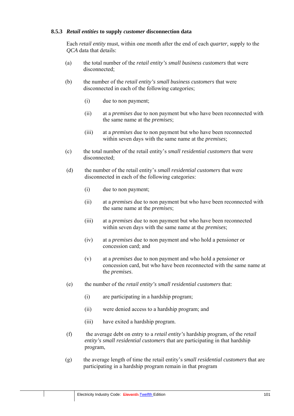### **8.5.3** *Retail entities* **to supply** *customer* **disconnection data**

Each *retail entity* must, within one month after the end of each *quarter,* supply to the *QCA* data that details:

- (a) the total number of the *retail entity's small business customers* that were disconnected<sup>.</sup>
- (b) the number of the *retail entity's small business customers* that were disconnected in each of the following categories;
	- (i) due to non payment;
	- (ii) at a *premises* due to non payment but who have been reconnected with the same name at the *premises*;
	- (iii) at a *premises* due to non payment but who have been reconnected within seven days with the same name at the *premises*;
- (c) the total number of the retail entity's *small residential customers* that were disconnected;
- (d) the number of the retail entity's *small residential customers* that were disconnected in each of the following categories:
	- (i) due to non payment;
	- (ii) at a *premises* due to non payment but who have been reconnected with the same name at the *premises*;
	- (iii) at a *premises* due to non payment but who have been reconnected within seven days with the same name at the *premises*;
	- (iv) at a *premises* due to non payment and who hold a pensioner or concession card; and
	- (v) at a *premises* due to non payment and who hold a pensioner or concession card, but who have been reconnected with the same name at the *premises*.
- (e) the number of the *retail entity's small residential customers* that:
	- (i) are participating in a hardship program;
	- (ii) were denied access to a hardship program; and
	- (iii) have exited a hardship program.
- (f) the average debt on entry to a *retail entity's* hardship program, of the *retail entity's small residential customers* that are participating in that hardship program,
- (g) the average length of time the retail entity's *small residential customers* that are participating in a hardship program remain in that program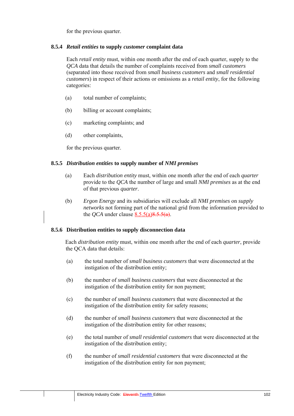for the previous quarter.

### **8.5.4** *Retail entities* **to supply** *customer* **complaint data**

Each *retail entity* must, within one month after the end of each quarter, supply to the *QCA* data that details the number of complaints received from *small customers* (separated into those received from *small business customers* and *small residential customers*) in respect of their actions or omissions as a *retail entity*, for the following categories:

- (a) total number of complaints;
- (b) billing or account complaints;
- (c) marketing complaints; and
- (d) other complaints,

for the previous quarter.

#### **8.5.5** *Distribution entities* **to supply number of** *NMI premises*

- (a) Each *distribution entity* must, within one month after the end of each *quarter* provide to the *QCA* the number of large and small *NMI premises* as at the end of that previous *quarter*.
- (b) *Ergon Energy* and its subsidiaries will exclude all *NMI premises* on *supply networks* not forming part of the national grid from the information provided to the *OCA* under clause  $8.5.5(a)8.5.5(a)$ .

#### **8.5.6 Distribution entities to supply disconnection data**

Each *distribution entity* must, within one month after the end of each *quarter*, provide the QCA data that details:

- (a) the total number of *small business customers* that were disconnected at the instigation of the distribution entity;
- (b) the number of *small business customers* that were disconnected at the instigation of the distribution entity for non payment;
- (c) the number of *small business customers* that were disconnected at the instigation of the distribution entity for safety reasons;
- (d) the number of *small business customers* that were disconnected at the instigation of the distribution entity for other reasons;
- (e) the total number of *small residential customers* that were disconnected at the instigation of the distribution entity;
- (f) the number of *small residential customers* that were disconnected at the instigation of the distribution entity for non payment;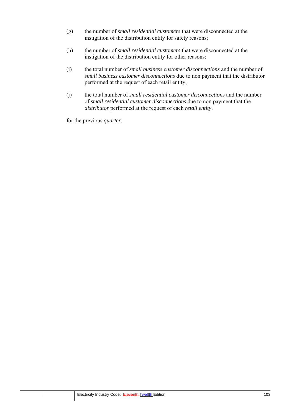- (g) the number of *small residential customers* that were disconnected at the instigation of the distribution entity for safety reasons;
- (h) the number of *small residential customers* that were disconnected at the instigation of the distribution entity for other reasons;
- (i) the total number of *small business customer disconnections* and the number of *small business customer disconnections* due to non payment that the distributor performed at the request of each retail entity,
- (j) the total number of *small residential customer disconnections* and the number of *small residential customer disconnections* due to non payment that the *distributor* performed at the request of each *retail entity*,

for the previous *quarter*.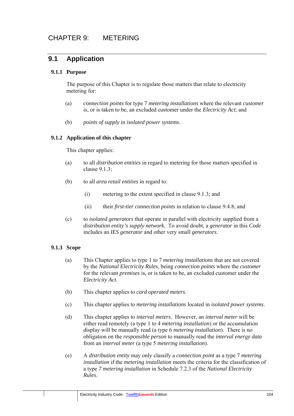# **9.1 Application**

### **9.1.1 Purpose**

The purpose of this Chapter is to regulate those matters that relate to electricity metering for:

- (a) *connection points* for type 7 *metering installations* where the relevant *customer*  is, or is taken to be, an excluded customer under the *Electricity Act*; and
- (b) *points of supply* in *isolated power systems*.

### **9.1.2 Application of this chapter**

This chapter applies:

- (a) to all *distribution entities* in regard to metering for those matters specified in clause 9.1.3;
- (b) to all *area retail entities* in regard to:
	- (i) metering to the extent specified in clause 9.1.3; and
	- (ii) their *first-tier connection points* in relation to clause 9.4.8; and
- (c) to *isolated generators* that operate in parallel with electricity supplied from a *distribution entity's supply network.* To avoid doubt, a *generator* in this *Code* includes an *IES generator* and other very small *generators*.

### **9.1.3 Scope**

- (a) This Chapter applies to type 1 to 7 *metering installations* that are not covered by the *National Electricity Rules*, being *connection points* where the *customer* for the relevant *premises* is, or is taken to be, an excluded customer under the *Electricity Act.*
- (b) This chapter applies to *card operated meters*.
- (c) This chapter applies to *metering installations* located in *isolated power systems*.
- (d) This chapter applies to *interval meters.* However, an *interval meter* will be either read remotely (a type 1 to 4 *metering installation*) or the accumulation display will be manually read (a type 6 *metering installation*). There is no obligation on the *responsible person* to manually read the *interval energy data* from an *interval meter* (a type 5 *metering installation*).
- (e) A *distribution entity* may only classify a *connection point* as a type 7 *metering installation* if the *metering installation* meets the criteria for the classification of a type *7 metering installation* in Schedule 7.2.3 of the *National Electricity Rules*.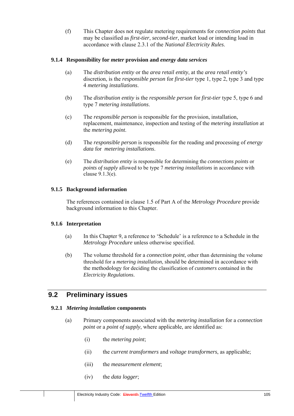(f) This Chapter does not regulate metering requirements for *connection points* that may be classified as *first-tier*, *second-tier*, market load or intending load in accordance with clause 2.3.1 of the *National Electricity Rules*.

### **9.1.4 Responsibility for** *meter* **provision and** *energy data services*

- (a) The *distribution entity* or the *area retail entity*, at the *area retail entity's* discretion, is the *responsible person* for *first-tier* type 1, type 2, type 3 and type 4 *metering installations*.
- (b) The *distribution entity* is the *responsible person* for *first-tier* type 5, type 6 and type 7 *metering installations*.
- (c) The *responsible person* is responsible for the provision, installation, replacement, maintenance, inspection and testing of the *metering installation* at the *metering point*.
- (d) The *responsible person* is responsible for the reading and processing of *energy data* for *metering installations*.
- (e) The *distribution entity* is responsible for determining the *connections points* or *points of supply* allowed to be type 7 *metering installations* in accordance with clause 9.1.3(e).

### **9.1.5 Background information**

The references contained in clause 1.5 of Part A of the *Metrology Procedure* provide background information to this Chapter.

### **9.1.6 Interpretation**

- (a) In this Chapter 9, a reference to 'Schedule' is a reference to a Schedule in the *Metrology Procedure* unless otherwise specified.
- (b) The volume threshold for a *connection point*, other than determining the volume threshold for a *metering installation*, should be determined in accordance with the methodology for deciding the classification of *customers* contained in the *Electricity Regulations*.

## **9.2 Preliminary issues**

#### **9.2.1** *Metering installation* **components**

- (a) Primary components associated with the *metering installation* for a *connection point* or a *point of supply*, where applicable, are identified as:
	- (i) the *metering point*;
	- (ii) the *current transformers* and *voltage transformers*, as applicable;
	- (iii) the *measurement element*;
	- (iv) the *data logger*;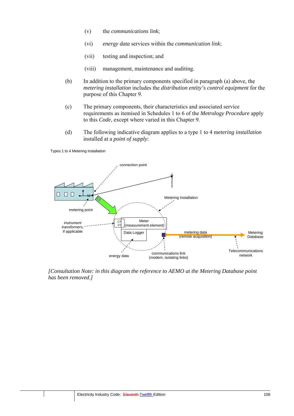- (v) the *communications link*;
- (vi) *energy data* services within the *communication link*;
- (vii) testing and inspection; and
- (viii) management, maintenance and auditing.
- (b) In addition to the primary components specified in paragraph (a) above, the *metering installation* includes the *distribution entity's control equipment* for the purpose of this Chapter 9.
- (c) The primary components, their characteristics and associated service requirements as itemised in Schedules 1 to 6 of the *Metrology Procedure* apply to this *Code*, except where varied in this Chapter 9.
- (d) The following indicative diagram applies to a type 1 to 4 m*etering installation* installed at a *point of supply*:

Types 1 to 4 Metering Installation



*[Consultation Note: in this diagram the reference to AEMO at the Metering Database point has been removed.]*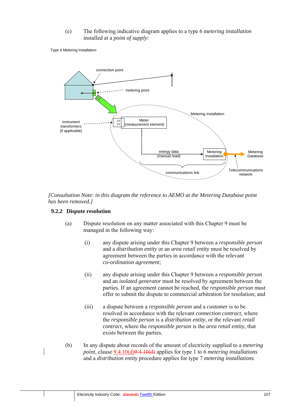(e) The following indicative diagram applies to a type 6 m*etering installation*  installed at a *point of supply*:

Type 6 Metering Installation



*[Consultation Note: in this diagram the reference to AEMO at the Metering Database point has been removed.]* 

#### **9.2.2 Dispute resolution**

- (a) Dispute resolution on any matter associated with this Chapter 9 must be managed in the following way:
	- (i) any dispute arising under this Chapter 9 between a *responsible person* and a *distribution entity* or an *area retail entity* must be resolved by agreement between the parties in accordance with the relevant *co-ordination agreement*;
	- (ii) any dispute arising under this Chapter 9 between a *responsible person* and an *isolated generator* must be resolved by agreement between the parties. If an agreement cannot be reached, the *responsible person* must offer to submit the dispute to commercial arbitration for resolution; and
	- (iii) a dispute between a *responsible person* and a *customer* is to be resolved in accordance with the relevant *connection contract*, where the *responsible person* is a *distribution entity*, or the relevant *retail contract*, where the *responsible person* is the *area retail entity*, that exists between the parties.
- (b) In any dispute about records of the amount of electricity supplied to a *metering point*, clause 9.4.10(d)9.4.10(d) applies for type 1 to 6 *metering installations* and a *distribution entity* procedure applies for type 7 *metering installations*.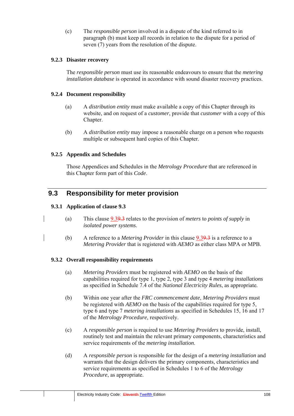(c) The *responsible person* involved in a dispute of the kind referred to in paragraph (b) must keep all records in relation to the dispute for a period of seven (7) years from the resolution of the dispute.

#### **9.2.3 Disaster recovery**

The *responsible person* must use its reasonable endeavours to ensure that the *metering installation database* is operated in accordance with sound disaster recovery practices.

#### **9.2.4 Document responsibility**

- (a) A *distribution entity* must make available a copy of this Chapter through its website, and on request of a *customer*, provide that *customer* with a copy of this Chapter.
- (b) A *distribution entity* may impose a reasonable charge on a person who requests multiple or subsequent hard copies of this Chapter.

#### **9.2.5 Appendix and Schedules**

Those Appendices and Schedules in the *Metrology Procedure* that are referenced in this Chapter form part of this *Code*.

### **9.3 Responsibility for meter provision**

#### **9.3.1 Application of clause 9.3**

- (a) This clause 9.39.3 relates to the provision of *meters* to *points of supply* in *isolated power systems*.
- (b) A reference to a *Metering Provider* in this clause 9.39.3 is a reference to a *Metering Provider* that is registered with *AEMO* as either class MPA or MPB.

#### **9.3.2 Overall responsibility requirements**

- (a) *Metering Providers* must be registered with *AEMO* on the basis of the capabilities required for type 1, type 2, type 3 and type 4 *metering installations* as specified in Schedule 7.4 of the *National Electricity Rules*, as appropriate*.*
- (b) Within one year after the *FRC commencement date*, *Metering Providers* must be registered with *AEMO* on the basis of the capabilities required for type 5, type 6 and type 7 *metering installations* as specified in Schedules 15, 16 and 17 of the *Metrology Procedure*, respectively.
- (c) A *responsible person* is required to use *Metering Providers* to provide, install, routinely test and maintain the relevant primary components, characteristics and service requirements of the *metering installation*.
- (d) A *responsible person* is responsible for the design of a *metering installation* and warrants that the design delivers the primary components, characteristics and service requirements as specified in Schedules 1 to 6 of the *Metrology Procedure*, as appropriate.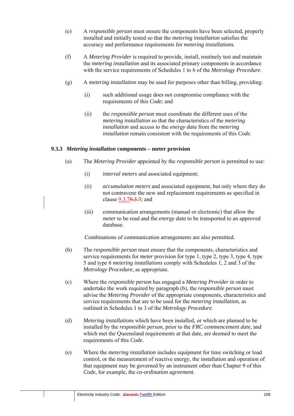- (e) A *responsible person* must ensure the components have been selected, properly installed and initially tested so that the *metering installation* satisfies the accuracy and performance requirements for *metering installations*.
- (f) A *Metering Provider* is required to provide, install, routinely test and maintain the *metering installation* and its associated primary components in accordance with the service requirements of Schedules 1 to 6 of the *Metrology Procedure*.
- (g) A *metering installation* may be used for purposes other than billing, providing:
	- (i) such additional usage does not compromise compliance with the requirements of this *Code*; and
	- (ii) the *responsible person* must coordinate the different uses of the *metering installation* so that the characteristics of the *metering installation* and access to the *energy data* from the *metering installation* remain consistent with the requirements of this *Code*.

#### **9.3.3** *Metering installation* **components – meter provision**

- (a) The *Metering Provider* appointed by the *responsible person* is permitted to use:
	- (i) *interval meters* and associated equipment;
	- (ii) *accumulation meters* and associated equipment, but only where they do not contravene the new and replacement requirements as specified in clause 9.3.79.3.7; and
	- (iii) communication arrangements (manual or electronic) that allow the *meter* to be read and the *energy data* to be transported to an approved database.

Combinations of communication arrangements are also permitted.

- (b) The *responsible person* must ensure that the components, characteristics and service requirements for *meter* provision for type 1, type 2, type 3, type 4, type 5 and type 6 *metering installations* comply with Schedules 1, 2 and 3 of the *Metrology Procedure*, as appropriate.
- (c) Where the *responsible person* has engaged a *Metering Provider* in order to undertake the work required by paragraph (b), the *responsible person* must advise the *Metering Provider* of the appropriate components, characteristics and service requirements that are to be used for the *metering installation*, as outlined in Schedules 1 to 3 of the *Metrology Procedure*.
- (d) *Metering installation*s which have been installed, or which are planned to be installed by the *responsible person*, prior to the *FRC commencement date*, and which met the Queensland requirements at that date, are deemed to meet the requirements of this *Code*.
- (e) Where the *metering installation* includes equipment for time switching or load control, or the measurement of reactive energy, the installation and operation of that equipment may be governed by an instrument other than Chapter 9 of this *Code*, for example, the *co-ordination agreement*.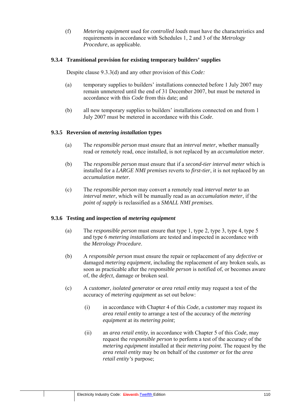(f) *Metering equipment* used for *controlled loads* must have the characteristics and requirements in accordance with Schedules 1, 2 and 3 of the *Metrology Procedure*, as applicable.

#### **9.3.4 Transitional provision for existing temporary builders' supplies**

Despite clause 9.3.3(d) and any other provision of this *Code:* 

- (a) temporary supplies to builders' installations connected before 1 July 2007 may remain unmetered until the end of 31 December 2007, but must be metered in accordance with this *Code* from this date; and
- (b) all new temporary supplies to builders' installations connected on and from 1 July 2007 must be metered in accordance with this *Code*.

#### **9.3.5 Reversion of** *metering installation* **types**

- (a) The *responsible person* must ensure that an *interval meter*, whether manually read or remotely read, once installed, is not replaced by an *accumulation meter*.
- (b) The *responsible person* must ensure that if a *second-tier interval meter* which is installed for a *LARGE NMI premises* reverts to *first-tier*, it is not replaced by an *accumulation meter.*
- (c) The *responsible person* may convert a remotely read *interval meter* to an *interval meter*, which will be manually read as an *accumulation meter*, if the *point of supply* is reclassified as a *SMALL NMI premises*.

#### **9.3.6 Testing and inspection of** *metering equipment*

- (a) The *responsible person* must ensure that type 1, type 2, type 3, type 4, type 5 and type 6 *metering installations* are tested and inspected in accordance with the *Metrology Procedure*.
- (b) A *responsible person* must ensure the repair or replacement of any *defective* or damaged *metering equipment*, including the replacement of any broken seals, as soon as practicable after the *responsible person* is notified of, or becomes aware of, the *defect*, damage or broken seal.
- (c) A *customer*, *isolated generator* or *area retail entity* may request a test of the accuracy of *metering equipment* as set out below:
	- (i) in accordance with Chapter 4 of this *Code*, a *customer* may request its *area retail entity* to arrange a test of the accuracy of the *metering equipment* at its *metering point*;
	- (ii) an *area retail entity*, in accordance with Chapter 5 of this *Code*, may request the *responsible person* to perform a test of the accuracy of the *metering equipment* installed at their *metering point*. The request by the *area retail entity* may be on behalf of the *customer* or for the *area retail entity's* purpose;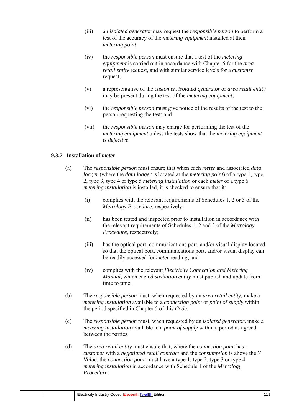- (iii) an *isolated generator* may request the *responsible person* to perform a test of the accuracy of the *metering equipment* installed at their *metering point*;
- (iv) the *responsible person* must ensure that a test of the *metering equipment* is carried out in accordance with Chapter 5 for the *area retail entity* request, and with similar service levels for a *customer* request;
- (v) a representative of the *customer*, *isolated generator* or *area retail entity*  may be present during the test of the *metering equipment*;
- (vi) the *responsible person* must give notice of the results of the test to the person requesting the test; and
- (vii) the *responsible person* may charge for performing the test of the *metering equipment* unless the tests show that the *metering equipment* is *defective*.

#### **9.3.7 Installation of** *meter*

- (a) The *responsible person* must ensure that when each *meter* and associated *data logger* (where the *data logger* is located at the *metering point*) of a type 1, type 2, type 3, type 4 or type 5 *metering installation* or each *meter* of a type 6 *metering installation* is installed, it is checked to ensure that it:
	- (i) complies with the relevant requirements of Schedules 1, 2 or 3 of the *Metrology Procedure*, respectively;
	- (ii) has been tested and inspected prior to installation in accordance with the relevant requirements of Schedules 1, 2 and 3 of the *Metrology Procedure*, respectively;
	- (iii) has the optical port, communications port, and/or visual display located so that the optical port, communications port, and/or visual display can be readily accessed for *meter* reading; and
	- (iv) complies with the relevant *Electricity Connection and Metering Manual*, which each *distribution entity* must publish and update from time to time.
- (b) The *responsible person* must, when requested by an *area retail entity,* make a *metering installation* available to a *connection point* or *point of supply* within the period specified in Chapter 5 of this *Code*.
- (c) The *responsible person* must, when requested by an *isolated generator,* make a *metering installation* available to a *point of supply* within a period as agreed between the parties.
- (d) The *area retail entity* must ensure that, where the *connection point* has a *customer* with a *negotiated retail contract* and the *consumption* is above the *Y Value*, the *connection point* must have a type 1, type 2, type 3 or type 4 *metering installation* in accordance with Schedule 1 of the *Metrology Procedure*.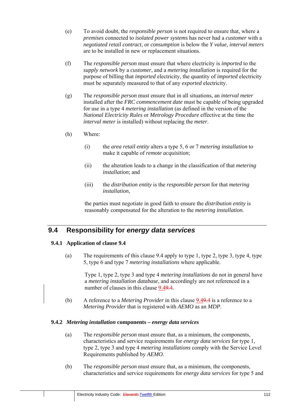- (e) To avoid doubt, the *responsible person* is not required to ensure that, where a *premises* connected to *isolated power systems* has never had a *customer* with a *negotiated retail contract*, or *consumption* is below the *Y value*, *interval meters* are to be installed in new or replacement situations.
- (f) The *responsible person* must ensure that where electricity is *imported* to the *supply network* by a *customer*, and a *metering installation* is required for the purpose of billing that *imported* electricity, the quantity of *imported* electricity must be separately measured to that of any *exported* electricity.
- (g) The *responsible person* must ensure that in all situations, an *interval meter* installed after the *FRC commencement date* must be capable of being upgraded for use in a type 4 *metering installation* (as defined in the version of the *National Electricity Rules* or *Metrology Procedure* effective at the time the *interval meter* is installed) without replacing the *meter*.
- (h) Where:
	- (i) the *area retail entity* alters a type 5, 6 or 7 *metering installation* to make it capable of *remote acquisition*;
	- (ii) the alteration leads to a change in the classification of that *metering installation*; and
	- (iii) the *distribution entity* is the *responsible person* for that *metering installation*,

the parties must negotiate in good faith to ensure the *distribution entity* is reasonably compensated for the alteration to the *metering installation*.

## **9.4 Responsibility for** *energy data services*

#### **9.4.1 Application of clause 9.4**

(a) The requirements of this clause 9.4 apply to type 1, type 2, type 3, type 4, type 5, type 6 and type 7 *metering installations* where applicable.

Type 1, type 2, type 3 and type 4 *metering installations* do not in general have a *metering installation database*, and accordingly are not referenced in a number of clauses in this clause  $9.49.4$ .

(b) A reference to a *Metering Provider* in this clause 9.49.4 is a reference to a *Metering Provider* that is registered with *AEMO* as an *MDP*.

#### **9.4.2** *Metering installation* **components –** *energy data services*

- (a) The *responsible person* must ensure that, as a minimum, the components, characteristics and service requirements for *energy data services* for type 1, type 2, type 3 and type 4 *metering installations* comply with the Service Level Requirements published by *AEMO*.
- (b) The *responsible person* must ensure that, as a minimum, the components, characteristics and service requirements for *energy data services* for type 5 and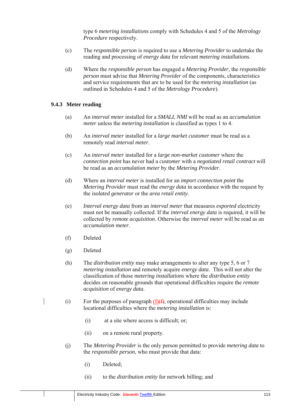type 6 *metering installations* comply with Schedules 4 and 5 of the *Metrology Procedure* respectively.

- (c) The *responsible person* is required to use a *Metering Provider* to undertake the reading and processing of *energy data* for relevant *metering installations*.
- (d) Where the *responsible person* has engaged a *Metering Provider,* the *responsible person* must advise that *Metering Provider* of the components, characteristics and service requirements that are to be used for the *metering installation* (as outlined in Schedules 4 and 5 of the *Metrology Procedure*).

#### **9.4.3 Meter reading**

- (a) An *interval meter* installed for a *SMALL NMI* will be read as an *accumulation meter* unless the *metering installation* is classified as types 1 to 4.
- (b) An *interval meter* installed for a *large market customer* must be read as a remotely read *interval meter*.
- (c) An *interval meter* installed for a *large non-market customer* where the *connection point* has never had a *customer* with a *negotiated retail contract* will be read as an *accumulation meter* by the *Metering Provider*.
- (d) Where an *interval meter* is installed for an *import connection point* the *Metering Provider* must read the *energy data* in accordance with the request by the *isolated generator* or the *area retail entity*.
- (e) *Interval energy data* from an *interval meter* that measures *exported* electricity must not be manually collected. If the *interval energy data* is required, it will be collected by *remote acquisition*. Otherwise the *interval meter* will be read as an *accumulation meter*.
- (f) Deleted
- (g) Deleted
- (h) The *distribution entity* may make arrangements to alter any type 5, 6 or 7 *metering installation* and remotely acquire *energy data*. This will not alter the classification of those *metering installations* where the *distribution entity* decides on reasonable grounds that operational difficulties require the *remote acquisition* of *energy data*.
- (i) For the purposes of paragraph  $(f)(f)$ , operational difficulties may include locational difficulties where the *metering installation* is:
	- (i) at a site where access is difficult; or;
	- (ii) on a remote rural property.
- (j) The *Metering Provider* is the only person permitted to provide *metering data* to the *responsible person*, who must provide that data:
	- (i) Deleted;
	- (ii) to the *distribution entity* for network billing; and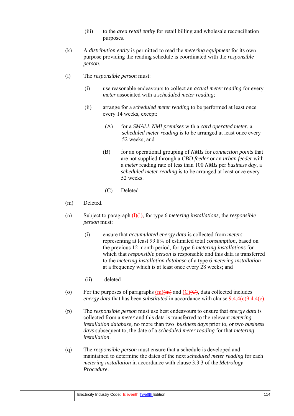- (iii) to the *area retail entity* for retail billing and wholesale reconciliation purposes.
- (k) A *distribution entity* is permitted to read the *metering equipment* for its own purpose providing the reading schedule is coordinated with the *responsible person*.
- (l) The *responsible person* must:
	- (i) use reasonable endeavours to collect an *actual meter reading* for every *meter* associated with a *scheduled meter reading*;
	- (ii) arrange for a *scheduled meter reading* to be performed at least once every 14 weeks, except:
		- (A) for a *SMALL NMI premises* with a *card operated meter*, a *scheduled meter reading* is to be arranged at least once every 52 weeks; and
		- (B) for an operational grouping of *NMIs* for *connection points* that are not supplied through a *CBD feeder* or an *urban feeder* with a *meter* reading rate of less than 100 *NMIs* per *business day*, a *scheduled meter reading* is to be arranged at least once every 52 weeks.
		- (C) Deleted
- (m) Deleted.
- (n) Subject to paragraph (l)(l), for type 6 *metering installations*, the *responsible person* must:
	- (i) ensure that *accumulated energy data* is collected from *meters*  representing at least 99.8% of estimated total *consumption*, based on the previous 12 month period, for type 6 *metering installations* for which that *responsible person* is responsible and this data is transferred to the *metering installation database* of a type 6 *metering installation* at a frequency which is at least once every 28 weeks; and
	- (ii) deleted
	- (o) For the purposes of paragraphs  $(m)(m)$  and  $(C)(C)$ , data collected includes *energy data that has been <i>substituted* in accordance with clause  $9.4.4(c)9.4.4(e)$ .
	- (p) The *responsible person* must use best endeavours to ensure that *energy data* is collected from a *meter* and this data is transferred to the relevant *metering installation database,* no more than two *business days* prior to, or two *business days* subsequent to, the date of a *scheduled meter reading* for that *metering installation*.
	- (q) The *responsible person* must ensure that a schedule is developed and maintained to determine the dates of the next *scheduled meter reading* for each *metering installation* in accordance with clause 3.3.3 of the *Metrology Procedure*.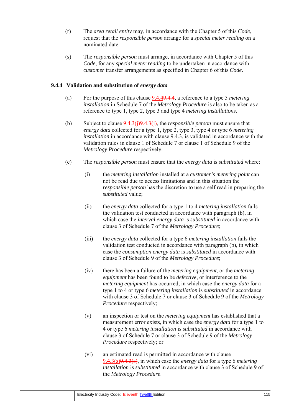- (r) The *area retail entity* may, in accordance with the Chapter 5 of this *Code*, request that the *responsible person* arrange for a *special meter reading* on a nominated date.
- (s) The *responsible person* must arrange, in accordance with Chapter 5 of this *Code*, for any *special meter reading* to be undertaken in accordance with *customer* transfer arrangements as specified in Chapter 6 of this *Code*.

#### **9.4.4 Validation and substitution of** *energy data*

- (a) For the purpose of this clause 9.4.49.4.4, a reference to a type 5 *metering installation* in Schedule 7 of the *Metrology Procedure* is also to be taken as a reference to type 1, type 2, type 3 and type 4 *metering installations*.
- (b) Subject to clause 9.4.3(j)9.4.3(j), the *responsible person* must ensure that *energy data* collected for a type 1, type 2, type 3, type 4 or type 6 *metering installation* in accordance with clause 9.4.3, is validated in accordance with the validation rules in clause 1 of Schedule 7 or clause 1 of Schedule 9 of the *Metrology Procedure* respectively.
	- (c) The *responsible person* must ensure that the *energy data* is *substituted* where:
		- (i) the *metering installation* installed at a *customer's metering point* can not be read due to access limitations and in this situation the *responsible person* has the discretion to use a self read in preparing the *substituted* value;
		- (ii) the *energy data* collected for a type 1 to 4 *metering installation* fails the validation test conducted in accordance with paragraph (b), in which case the *interval energy data* is *substituted* in accordance with clause 3 of Schedule 7 of the *Metrology Procedure*;
		- (iii) the *energy data* collected for a type 6 *metering installation* fails the validation test conducted in accordance with paragraph (b), in which case the *consumption energy data* is *substituted* in accordance with clause 3 of Schedule 9 of the *Metrology Procedure*;
		- (iv) there has been a failure of the *metering equipment*, or the *metering equipment* has been found to be *defective*, or interference to the *metering equipment* has occurred, in which case the *energy data* for a type 1 to 4 or type 6 *metering installation* is *substituted* in accordance with clause 3 of Schedule 7 or clause 3 of Schedule 9 of the *Metrology Procedure* respectively;
		- (v) an inspection or test on the *metering equipment* has established that a measurement error exists, in which case the *energy data* for a type 1 to 4 or type 6 *metering installation* is *substituted* in accordance with clause 3 of Schedule 7 or clause 3 of Schedule 9 of the *Metrology Procedure* respectively; or
		- (vi) an estimated read is permitted in accordance with clause 9.4.3(s)9.4.3(s), in which case the *energy data* for a type 6 *metering installation* is *substituted* in accordance with clause 3 of Schedule 9 of the *Metrology Procedure*.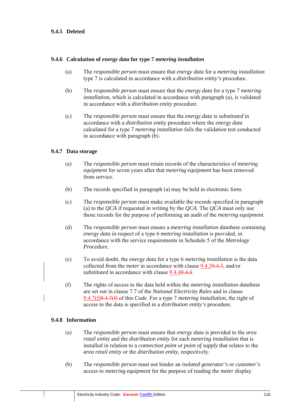#### **9.4.5 Deleted**

#### **9.4.6 Calculation of** *energy data* **for type 7** *metering installation*

- (a) The *responsible person* must ensure that *energy data* for a *metering installation* type 7 is calculated in accordance with a *distribution entity's* procedure.
- (b) The *responsible person* must ensure that the *energy data* for a type 7 *metering installation*, which is calculated in accordance with paragraph (a), is validated in accordance with a *distribution entity* procedure.
- (c) The *responsible person* must ensure that the *energy data* is *substituted* in accordance with a *distribution entity* procedure where the *energy data* calculated for a type 7 *metering installation* fails the validation test conducted in accordance with paragraph (b).

#### **9.4.7 Data storage**

- (a) The *responsible person* must retain records of the characteristics of *metering equipment* for seven years after that *metering equipment* has been removed from service.
- (b) The records specified in paragraph (a) may be held in electronic form.
- (c) The *responsible person* must make available the records specified in paragraph (a) to the *QCA* if requested in writing by the *QCA*. The *QCA* must only use those records for the purpose of performing an audit of the *metering equipment*.
- (d) The *responsible person* must ensure a *metering installation database* containing *energy data* in respect of a type 6 *metering installation* is provided, in accordance with the service requirements in Schedule 5 of the *Metrology Procedure*.
- (e) To avoid doubt, the *energy data* for a type 6 *metering installation* is the data collected from the *meter* in accordance with clause 9.4.39.4.3, and/or *substituted* in accordance with clause 9.4.49.4.4.
- (f) The rights of access to the data held within the *metering installation database*  are set out in clause 7.7 of the *National Electricity Rules* and in clause 9.4.7(f)9.4.7(f) of this *Code*. For a type 7 *metering installation*, the right of access to the data is specified in a *distribution entity's* procedure.

#### **9.4.8 Information**

- (a) The *responsible person* must ensure that *energy data* is provided to the *area retail entity* and the *distribution entity* for each *metering installation* that is installed in relation to a *connection point* or *point of supply* that relates to the *area retail entity* or the *distribution entity*, respectively.
- (b) The *responsible person* must not hinder an *isolated generator's* or *customer's* access to *metering equipment* for the purpose of reading the *meter* display.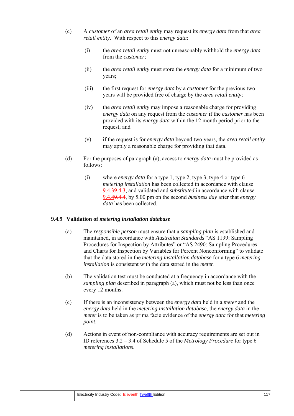- (c) A *customer* of an *area retail entity* may request its *energy data* from that *area retail entity*. With respect to this *energy data*:
	- (i) the *area retail entity* must not unreasonably withhold the *energy data* from the *customer*;
	- (ii) the *area retail entity* must store the *energy data* for a minimum of two years;
	- (iii) the first request for *energy data* by a *customer* for the previous two years will be provided free of charge by the *area retail entity*;
	- (iv) the *area retail entity* may impose a reasonable charge for providing *energy data* on any request from the *customer* if the *customer* has been provided with its *energy data* within the 12 month period prior to the request; and
	- (v) if the request is for *energy data* beyond two years, the *area retail entity* may apply a reasonable charge for providing that data.
- (d) For the purposes of paragraph (a), access to *energy data* must be provided as follows:
	- (i) where *energy data* for a type 1, type 2, type 3, type 4 or type 6 *metering installation* has been collected in accordance with clause 9.4.39.4.3, and validated and *substituted* in accordance with clause 9.4.49.4.4, by 5.00 pm on the second *business day* after that *energy data* has been collected.

#### **9.4.9 Validation of** *metering installation database*

- (a) The *responsible person* must ensure that a *sampling plan* is established and maintained, in accordance with *Australian Standards* "AS 1199: Sampling Procedures for Inspection by Attributes" or "AS 2490: Sampling Procedures and Charts for Inspection by Variables for Percent Nonconforming" to validate that the data stored in the *metering installation database* for a type 6 *metering installation* is consistent with the data stored in the *meter*.
- (b) The validation test must be conducted at a frequency in accordance with the *sampling plan* described in paragraph (a), which must not be less than once every 12 months.
- (c) If there is an inconsistency between the *energy data* held in a *meter* and the *energy data* held in the *metering installation database*, the *energy data* in the *meter* is to be taken as prima facie evidence of the *energy data* for that *metering point*.
- (d) Actions in event of non-compliance with accuracy requirements are set out in ID references 3.2 – 3.4 of Schedule 5 of the *Metrology Procedure* for type 6 *metering installations*.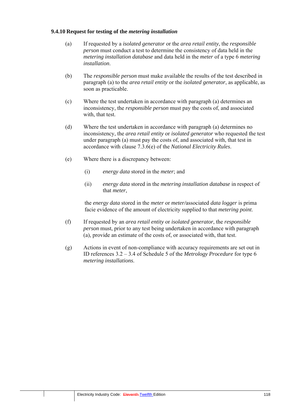#### **9.4.10 Request for testing of the** *metering installation*

- (a) If requested by a *isolated generator* or the *area retail entity*, the *responsible person* must conduct a test to determine the consistency of data held in the *metering installation database* and data held in the *meter* of a type 6 *metering installation*.
- (b) The *responsible person* must make available the results of the test described in paragraph (a) to the *area retail entity* or the *isolated generator*, as applicable, as soon as practicable.
- (c) Where the test undertaken in accordance with paragraph (a) determines an inconsistency, the *responsible person* must pay the costs of, and associated with, that test.
- (d) Where the test undertaken in accordance with paragraph (a) determines no inconsistency, the *area retail entity* or *isolated generator* who requested the test under paragraph (a) must pay the costs of, and associated with, that test in accordance with clause 7.3.6(e) of the *National Electricity Rules*.
- (e) Where there is a discrepancy between:
	- (i) *energy data* stored in the *meter*; and
	- (ii) *energy data* stored in the *metering installation database* in respect of that *meter*,

the *energy data* stored in the *meter* or *meter/*associated *data logger* is prima facie evidence of the amount of electricity supplied to that *metering point*.

- (f) If requested by an *area retail entity* or *isolated generator*, the *responsible person* must, prior to any test being undertaken in accordance with paragraph (a), provide an estimate of the costs of, or associated with, that test.
- (g) Actions in event of non-compliance with accuracy requirements are set out in ID references 3.2 – 3.4 of Schedule 5 of the *Metrology Procedure* for type 6 *metering installations*.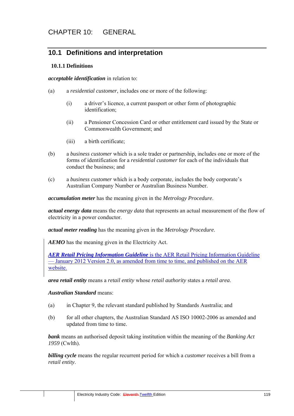## **10.1 Definitions and interpretation**

#### **10.1.1 Definitions**

*acceptable identification* in relation to:

- (a) a *residential customer*, includes one or more of the following:
	- (i) a driver's licence, a current passport or other form of photographic identification;
	- (ii) a Pensioner Concession Card or other entitlement card issued by the State or Commonwealth Government; and
	- (iii) a birth certificate;
- (b) a *business customer* which is a sole trader or partnership, includes one or more of the forms of identification for a *residential customer* for each of the individuals that conduct the business; and
- (c) a *business customer* which is a body corporate, includes the body corporate's Australian Company Number or Australian Business Number.

*accumulation meter* has the meaning given in the *Metrology Procedure*.

*actual energy data* means the *energy data* that represents an actual measurement of the flow of electricity in a power conductor.

*actual meter reading* has the meaning given in the *Metrology Procedure*.

*AEMO* has the meaning given in the Electricity Act.

*AER Retail Pricing Information Guideline* is the AER Retail Pricing Information Guideline — January 2012 Version 2.0, as amended from time to time, and published on the AER website.

*area retail entity* means a *retail entity* whose *retail authority* states a *retail area*.

#### *Australian Standard* means:

- (a) in Chapter 9, the relevant standard published by Standards Australia; and
- (b) for all other chapters, the Australian Standard AS ISO 10002-2006 as amended and updated from time to time.

*bank* means an authorised deposit taking institution within the meaning of the *Banking Act 1959* (Cwlth).

*billing cycle* means the regular recurrent period for which a *customer* receives a bill from a *retail entity*.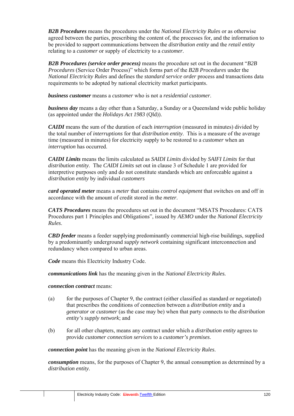*B2B Procedures* means the procedures under the *National Electricity Rules* or as otherwise agreed between the parties, prescribing the content of, the processes for, and the information to be provided to support communications between the *distribution entity* and the *retail entity* relating to a *customer* or supply of electricity to a *customer*.

*B2B Procedures (service order process)* means the procedure set out in the document "*B2B Procedures* (Service Order Process)" which forms part of the *B2B Procedures* under the *National Electricity Rules* and defines the *standard service order* process and transactions data requirements to be adopted by national electricity market participants.

*business customer* means a *customer* who is not a *residential customer*.

*business day* means a day other than a Saturday, a Sunday or a Queensland wide public holiday (as appointed under the *Holidays Act 1983* (Qld)).

*CAIDI* means the sum of the duration of each *interruption* (measured in minutes) divided by the total number of *interruptions* for that *distribution entity*. This is a measure of the average time (measured in minutes) for electricity supply to be restored to a *customer* when an *interruption* has occurred.

*CAIDI Limits* means the limits calculated as *SAIDI Limits* divided by *SAIFI Limits* for that *distribution entity*. The *CAIDI Limits* set out in clause 3 of Schedule 1 are provided for interpretive purposes only and do not constitute standards which are enforceable against a *distribution entity* by individual *customers*

*card operated meter* means a *meter* that contains *control equipment* that switches on and off in accordance with the amount of credit stored in the *meter*.

*CATS Procedures* means the procedures set out in the document "MSATS Procedures: CATS Procedures part 1 Principles and Obligations", issued by *AEMO* under the *National Electricity Rules*.

*CBD feeder* means a feeder supplying predominantly commercial high-rise buildings, supplied by a predominantly underground *supply network* containing significant interconnection and redundancy when compared to urban areas.

*Code* means this Electricity Industry Code.

*communications link* has the meaning given in the *National Electricity Rules.*

#### *connection contract* means:

- (a) for the purposes of Chapter 9, the contract (either classified as standard or negotiated) that prescribes the conditions of connection between a *distribution entity* and a *generator* or *customer* (as the case may be) when that party connects to the *distribution entity's supply network*; and
- (b) for all other chapters, means any contract under which a *distribution entity* agrees to provide *customer connection services* to a *customer's premises*.

*connection point* has the meaning given in the *National Electricity Rules*.

*consumption* means, for the purposes of Chapter 9, the annual consumption as determined by a *distribution entity*.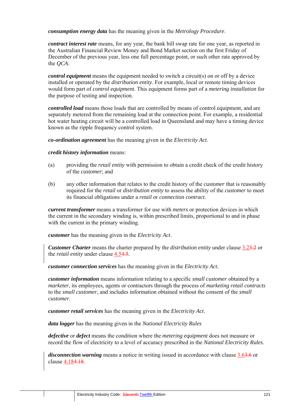*consumption energy data* has the meaning given in the *Metrology Procedure*.

*contract interest rate* means, for any year, the bank bill swap rate for one year, as reported in the Australian Financial Review Money and Bond Market section on the first Friday of December of the previous year, less one full percentage point, or such other rate approved by the *QCA*.

*control equipment* means the equipment needed to switch a circuit(s) on or off by a device installed or operated by the *distribution entity*. For example, local or remote timing devices would form part of *control equipment*. This equipment forms part of a *metering installation* for the purpose of testing and inspection.

*controlled load* means those loads that are controlled by means of control equipment, and are separately metered from the remaining load at the connection point. For example, a residential hot water heating circuit will be a controlled load in Queensland and may have a timing device known as the ripple frequency control system.

*co-ordination agreement* has the meaning given in the *Electricity Act*.

#### *credit history information* means:

- (a) providing the *retail entity* with permission to obtain a credit check of the credit history of the *customer*; and
- (b) any other information that relates to the credit history of the *customer* that is reasonably required for the *retail* or *distribution entity* to assess the ability of the *customer* to meet its financial obligations under a *retail* or *connection contract.*

*current transformer* means a transformer for use with *meters* or protection devices in which the current in the secondary winding is, within prescribed limits, proportional to and in phase with the current in the primary winding.

*customer* has the meaning given in the *Electricity Act*.

*Customer Charter* means the charter prepared by the *distribution entity* under clause 3.23.2 or the *retail entity* under clause 4.54.5.

*customer connection services* has the meaning given in the *Electricity Act*.

*customer information* means information relating to a specific *small customer* obtained by a *marketer*, its employees, agents or contractors through the process of *marketing retail contracts* to the *small customer*, and includes information obtained without the consent of the *small customer*.

*customer retail services* has the meaning given in the *Electricity Act*.

*data logger* has the meaning given in the *National Electricity Rules*

*defective* or *defect* means the condition where the *metering equipment* does not measure or record the flow of electricity to a level of accuracy prescribed in the *National Electricity Rules*.

*disconnection warning* means a notice in writing issued in accordance with clause 3.63.6 or clause 4.184.18.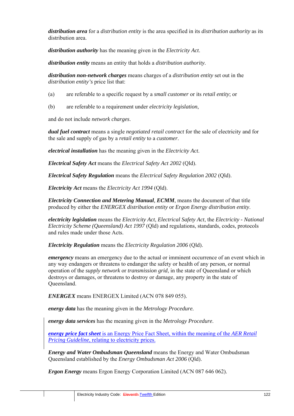*distribution area* for a *distribution entity* is the area specified in its *distribution authority* as its distribution area.

*distribution authority* has the meaning given in the *Electricity Act*.

*distribution entity* means an entity that holds a *distribution authority*.

*distribution non-network charges* means charges of a *distribution entity* set out in the *distribution entity's* price list that:

- (a) are referable to a specific request by a *small customer* or its *retail entity*; or
- (b) are referable to a requirement under *electricity legislation*,

and do not include *network charges*.

*dual fuel contract* means a single *negotiated retail contract* for the sale of electricity and for the sale and supply of gas by a *retail entity* to a *customer*.

*electrical installation* has the meaning given in the *Electricity Act*.

*Electrical Safety Act* means the *Electrical Safety Act 2002* (Qld).

*Electrical Safety Regulation* means the *Electrical Safety Regulation 2002* (Qld).

*Electricity Act* means the *Electricity Act 1994* (Qld).

*Electricity Connection and Metering Manual, ECMM*, means the document of that title produced by either the *ENERGEX distribution entity* or *Ergon Energy distribution entity*.

*electricity legislation* means the *Electricity Act*, *Electrical Safety Act*, the *Electricity - National Electricity Scheme (Queensland) Act 1997* (Qld) and regulations, standards, codes, protocols and rules made under those Acts.

*Electricity Regulation* means the *Electricity Regulation 2006* (Qld).

*emergency* means an emergency due to the actual or imminent occurrence of an event which in any way endangers or threatens to endanger the safety or health of any person, or normal operation of the *supply network* or *transmission grid*, in the state of Queensland or which destroys or damages, or threatens to destroy or damage, any property in the state of Queensland.

*ENERGEX* means ENERGEX Limited (ACN 078 849 055).

*energy data* has the meaning given in the *Metrology Procedure.*

*energy data services* has the meaning given in the *Metrology Procedure*.

*energy price fact sheet* is an Energy Price Fact Sheet, within the meaning of the *AER Retail Pricing Guideline*, relating to electricity prices.

*Energy and Water Ombudsman Queensland* means the Energy and Water Ombudsman Queensland established by the *Energy Ombudsman Act 2006* (Qld).

*Ergon Energy* means Ergon Energy Corporation Limited (ACN 087 646 062).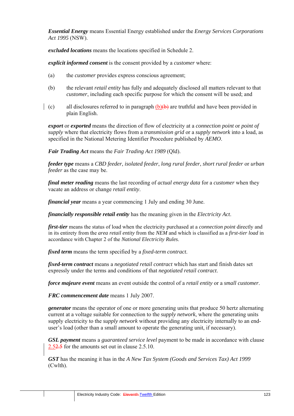*Essential Energy* means Essential Energy established under the *Energy Services Corporations Act 1995* (NSW).

*excluded locations* means the locations specified in Schedule 2.

*explicit informed consent* is the consent provided by a *customer* where:

- (a) the *customer* provides express conscious agreement;
- (b) the relevant *retail entity* has fully and adequately disclosed all matters relevant to that *customer*, including each specific purpose for which the consent will be used; and
- (c) all disclosures referred to in paragraph (b) $\theta$ ) are truthful and have been provided in plain English.

*export* or *exported* means the direction of flow of electricity at a *connection point* or *point of supply* where that electricity flows from a *transmission grid* or a *supply network* into a load, as specified in the National Metering Identifier Procedure published by *AEMO*.

*Fair Trading Act* means the *Fair Trading Act 1989* (Qld).

*feeder type* means a *CBD feeder*, *isolated feeder*, *long rural feeder*, *short rural feeder* or *urban feeder* as the case may be.

*final meter reading* means the last recording of *actual energy data* for a *customer* when they vacate an address or change *retail entity*.

*financial year* means a year commencing 1 July and ending 30 June.

*financially responsible retail entity* has the meaning given in the *Electricity Act*.

*first-tier* means the status of load when the electricity purchased at a *connection point* directly and in its entirety from the *area retail entity* from the *NEM* and which is classified as a *first-tier load* in accordance with Chapter 2 of the *National Electricity Rules*.

*fixed term* means the term specified by a *fixed-term contract*.

*fixed-term contract* means a *negotiated retail contract* which has start and finish dates set expressly under the terms and conditions of that *negotiated retail contract*.

*force majeure event* means an event outside the control of a *retail entity* or a *small customer*.

*FRC commencement date* means 1 July 2007.

*generator* means the operator of one or more generating units that produce 50 hertz alternating current at a voltage suitable for connection to the *supply network*, where the generating units supply electricity to the *supply network* without providing any electricity internally to an enduser's load (other than a small amount to operate the generating unit, if necessary).

*GSL payment* means a *guaranteed service level* payment to be made in accordance with clause 2.52.5 for the amounts set out in clause 2.5.10.

*GST* has the meaning it has in the *A New Tax System (Goods and Services Tax) Act 1999*  (Cwlth).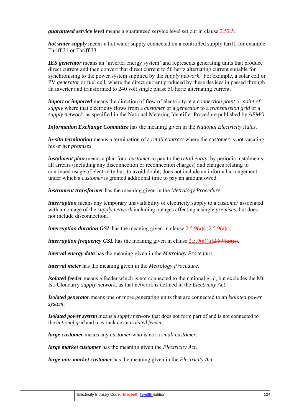*guaranteed service level* means a guaranteed service level set out in clause 2.52.5.

*hot water supply* means a hot water supply connected on a controlled supply tariff, for example Tariff 31 or Tariff 33.

*IES generator* means an 'inverter energy system' and represents generating units that produce direct current and then convert that direct current to 50 hertz alternating current suitable for synchronising to the power system supplied by the *supply network*. For example, a solar cell or PV *generator* or fuel cell, where the direct current produced by these devices in passed through an inverter and transformed to 240 volt single phase 50 hertz alternating current.

*import* or *imported* means the direction of flow of electricity at a *connection point* or *point of supply* where that electricity flows from a *customer* or a *generator* to a *transmission grid* or a *supply network*, as specified in the National Metering Identifier Procedure published by *AEMO*.

*Information Exchange Committee* has the meaning given in the *National Electricity Rules*.

*in-situ termination* means a termination of a *retail contract* where the *customer* is not vacating his or her *premises*.

*instalment plan* means a plan for a *customer* to pay to the *retail entity*, by periodic instalments, all arrears (including any disconnection or reconnection charges) and charges relating to continued usage of electricity but, to avoid doubt, does not include an informal arrangement under which a *customer* is granted additional time to pay an amount owed.

*instrument transformer* has the meaning given in the *Metrology Procedure*.

*interruption* means any temporary unavailability of electricity supply to a *customer* associated with an outage of the *supply network* including outages affecting a single *premises*, but does not include disconnection.

*interruption duration GSL* has the meaning given in clause  $2.5.9(a)(i)2.5.9(a)(i)$ .

*interruption frequency GSL* has the meaning given in clause  $2.5.9(a)(ii)2.5.9(a)(ii)$ .

*interval energy data* has the meaning given in the *Metrology Procedure*.

*interval meter* has the meaning given in the *Metrology Procedure*.

*isolated feeder* means a feeder which is not connected to the national grid, but excludes the Mt Isa-Cloncurry *supply network*, as that network is defined in the *Electricity Act*.

*Isolated generator* means one or more generating units that are connected to an *isolated power system*.

*Isolated power system* means a *supply network* that does not form part of and is not connected to the *national grid* and may include an *isolated feeder.*

*large customer* means any *customer* who is not a *small customer*.

*large market customer* has the meaning given the *Electricity Act*.

*large non-market customer* has the meaning given in the *Electricity Act*.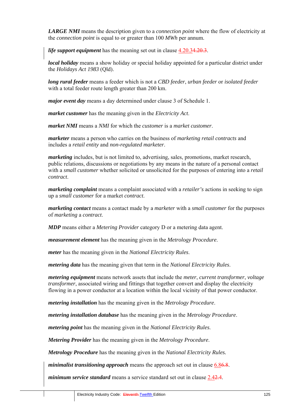*LARGE NMI* means the description given to a *connection point* where the flow of electricity at the *connection point* is equal to or greater than 100 *MWh* per annum.

*life support equipment* has the meaning set out in clause  $4.20.34.20.3$ .

*local holiday* means a show holiday or special holiday appointed for a particular district under the *Holidays Act 1983* (Qld).

*long rural feeder* means a feeder which is not a *CBD feeder*, *urban feeder* or *isolated feeder* with a total feeder route length greater than 200 km.

*major event day* means a day determined under clause 3 of Schedule 1.

*market customer* has the meaning given in the *Electricity Act*.

*market NMI* means a *NMI* for which the *customer* is a *market customer*.

*marketer* means a person who carries on the business of *marketing retail contracts* and includes a *retail entity* and *non-regulated marketer*.

*marketing* includes, but is not limited to, advertising, sales, promotions, market research, public relations, discussions or negotiations by any means in the nature of a personal contact with a *small customer* whether solicited or unsolicited for the purposes of entering into a *retail contract*.

*marketing complaint* means a complaint associated with a *retailer's* actions in seeking to sign up a *small customer* for a market *contract*.

*marketing contact* means a contact made by a *marketer* with a *small customer* for the purposes of *marketing* a *contract*.

*MDP* means either a *Metering Provider* category D or a metering data agent.

*measurement element* has the meaning given in the *Metrology Procedure*.

*meter* has the meaning given in the *National Electricity Rules*.

*metering data* has the meaning given that term in the *National Electricity Rules*.

*metering equipment* means network assets that include the *meter*, *current transformer*, *voltage transformer*, associated wiring and fittings that together convert and display the electricity flowing in a power conductor at a location within the local vicinity of that power conductor.

*metering installation* has the meaning given in the *Metrology Procedure*.

*metering installation database* has the meaning given in the *Metrology Procedure*.

*metering point* has the meaning given in the *National Electricity Rules*.

*Metering Provider* has the meaning given in the *Metrology Procedure*.

*Metrology Procedure* has the meaning given in the *National Electricity Rules.*

*minimalist transitioning approach* means the approach set out in clause 6.86.8.

*minimum service standard* means a service standard set out in clause 2.42.4.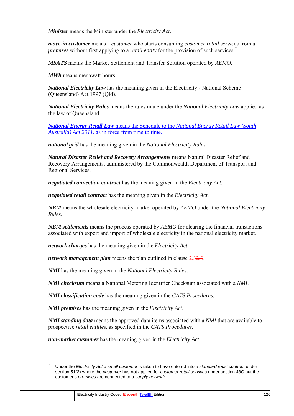*Minister* means the Minister under the *Electricity Act*.

*move-in customer* means a *customer* who starts consuming *customer retail services* from a *premises* without first applying to a *retail entity* for the provision of such services.<sup>7</sup>

*MSATS* means the Market Settlement and Transfer Solution operated by *AEMO*.

*MWh* means megawatt hours.

*National Electricity Law* has the meaning given in the Electricity - National Scheme (Queensland) Act 1997 (Qld).

*National Electricity Rules* means the rules made under the *National Electricity Law* applied as the law of Queensland.

*National Energy Retail Law* means the Schedule to the *National Energy Retail Law (South Australia) Act 2011*, as in force from time to time.

*national grid* has the meaning given in the *National Electricity Rules*

*Natural Disaster Relief and Recovery Arrangements* means Natural Disaster Relief and Recovery Arrangements, administered by the Commonwealth Department of Transport and Regional Services.

*negotiated connection contract* has the meaning given in the *Electricity Act*.

*negotiated retail contract* has the meaning given in the *Electricity Act*.

*NEM* means the wholesale electricity market operated by *AEMO* under the *National Electricity Rules*.

*NEM settlements* means the process operated by *AEMO* for clearing the financial transactions associated with export and import of wholesale electricity in the national electricity market.

*network charges* has the meaning given in the *Electricity Act*.

*network management plan* means the plan outlined in clause 2.32.3.

*NMI* has the meaning given in the *National Electricity Rules*.

*NMI checksum* means a National Metering Identifier Checksum associated with a *NMI*.

*NMI classification code* has the meaning given in the *CATS Procedures*.

*NMI premises* has the meaning given in the *Electricity Act*.

 $\overline{a}$ 

*NMI standing data* means the approved data items associated with a *NMI* that are available to prospective *retail entities*, as specified in the *CATS Procedures*.

*non-market customer* has the meaning given in the *Electricity Act*.

<sup>7</sup> Under the *Electricity Act* a *small customer* is taken to have entered into a *standard retail contract* under section 51(2) where the *customer* has not applied for *customer retail services* under section 48C but the customer's *premises* are connected to a *supply network*.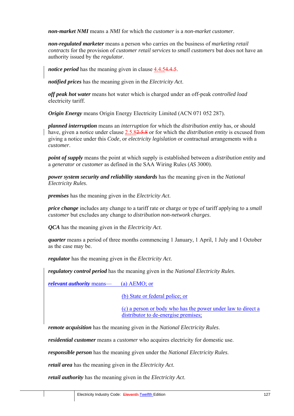*non-market NMI* means a *NMI* for which the *customer* is a *non-market customer*.

*non-regulated marketer* means a person who carries on the business of *marketing retail contracts* for the provision of *customer retail services* to *small customers* but does not have an authority issued by the *regulator*.

*notice period* has the meaning given in clause 4.4.54.4.5.

*notified prices* has the meaning given in the *Electricity Act*.

*off peak hot water* means hot water which is charged under an off-peak *controlled load* electricity tariff.

*Origin Energy* means Origin Energy Electricity Limited (ACN 071 052 287).

*planned interruption* means an *interruption* for which the *distribution entity* has, or should have, given a notice under clause 2.5.82.5.8 or for which the *distribution entity* is excused from giving a notice under this *Code*, or *electricity legislation* or contractual arrangements with a *customer*.

*point of supply* means the point at which supply is established between a *distribution entity* and a *generator* or *customer* as defined in the SAA Wiring Rules (*AS* 3000).

*power system security and reliability standards* has the meaning given in the *National Electricity Rules*.

*premises* has the meaning given in the *Electricity Act*.

*price change* includes any change to a tariff rate or charge or type of tariff applying to a *small customer* but excludes any change to *distribution non-network charges*.

*QCA* has the meaning given in the *Electricity Act*.

*quarter* means a period of three months commencing 1 January, 1 April, 1 July and 1 October as the case may be.

*regulator* has the meaning given in the *Electricity Act*.

*regulatory control period* has the meaning given in the *National Electricity Rules*.

*relevant authority* means— (a) AEMO; or

(b) State or federal police; or

(c) a person or body who has the power under law to direct a distributor to de-energise premises;

*remote acquisition* has the meaning given in the *National Electricity Rules*.

*residential customer* means a *customer* who acquires electricity for domestic use.

*responsible person* has the meaning given under the *National Electricity Rules*.

*retail area* has the meaning given in the *Electricity Act*.

*retail authority* has the meaning given in the *Electricity Act*.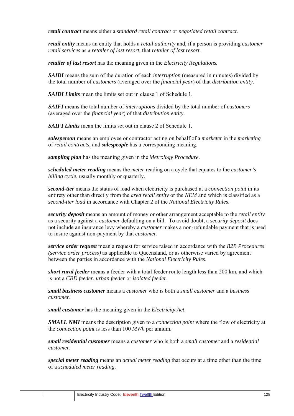*retail contract* means either a *standard retail contract* or *negotiated retail contract*.

*retail entity* means an entity that holds a *retail authority* and, if a person is providing *customer retail services* as a *retailer of last resort*, that *retailer of last resort*.

*retailer of last resort* has the meaning given in the *Electricity Regulations.*

*SAIDI* means the sum of the duration of each *interruption* (measured in minutes) divided by the total number of *customers* (averaged over the *financial year*) of that *distribution entity*.

*SAIDI Limits* mean the limits set out in clause 1 of Schedule 1.

*SAIFI* means the total number of *interruptions* divided by the total number of *customers* (averaged over the *financial year*) of that *distribution entity*.

*SAIFI Limits* mean the limits set out in clause 2 of Schedule 1.

*salesperson* means an employee or contractor acting on behalf of a *marketer* in the *marketing* of *retail contracts*, and *salespeople* has a corresponding meaning.

*sampling plan* has the meaning given in the *Metrology Procedure*.

*scheduled meter reading* means the *meter* reading on a cycle that equates to the *customer's billing cycle*, usually monthly or quarterly.

*second-tier* means the status of load when electricity is purchased at a *connection point* in its entirety other than directly from the *area retail entity* or the *NEM* and which is classified as a *second-tier load* in accordance with Chapter 2 of the *National Electricity Rules*.

*security deposit* means an amount of money or other arrangement acceptable to the *retail entity*  as a security against a *customer* defaulting on a bill. To avoid doubt, a *security deposit* does not include an insurance levy whereby a *customer* makes a non-refundable payment that is used to insure against non-payment by that *customer*.

*service order request* mean a request for service raised in accordance with the *B2B Procedures (service order process)* as applicable to Queensland, or as otherwise varied by agreement between the parties in accordance with the *National Electricity Rules*.

*short rural feeder* means a feeder with a total feeder route length less than 200 km, and which is not a *CBD feeder*, *urban feeder* or *isolated feeder*.

*small business customer* means a *customer* who is both a *small customer* and a *business customer*.

*small customer* has the meaning given in the *Electricity Act*.

*SMALL NMI* means the description given to a *connection point* where the flow of electricity at the *connection point* is less than 100 *MWh* per annum.

*small residential customer* means a *customer* who is both a *small customer* and a *residential customer*.

*special meter reading* means an *actual meter reading* that occurs at a time other than the time of a *scheduled meter reading*.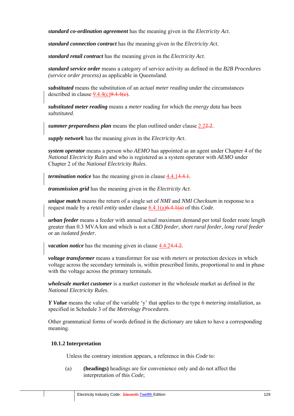*standard co-ordination agreement* has the meaning given in the *Electricity Act*.

*standard connection contract* has the meaning given in the *Electricity Act*.

*standard retail contract* has the meaning given in the *Electricity Act*.

*standard service order* means a category of service activity as defined in the *B2B Procedures (service order process)* as applicable in Queensland.

*substituted* means the substitution of an *actual meter reading* under the circumstances described in clause  $9.4.4(c)9.4.4(e)$ .

*substituted meter reading* means a *meter* reading for which the *energy data* has been *substituted*.

*summer preparedness plan* means the plan outlined under clause 2.2.2.

*supply network* has the meaning given in the *Electricity Act*.

*system operator* means a person who *AEMO* has appointed as an agent under Chapter 4 of the *National Electricity Rules* and who is registered as a system operator with *AEMO* under Chapter 2 of the *National Electricity Rules*.

*termination notice* has the meaning given in clause 4.4.14.4.1.

*transmission grid* has the meaning given in the *Electricity Act*.

*unique match* means the return of a single set of *NMI* and *NMI Checksum* in response to a request made by a *retail entity* under clause 6.4.1(a)6.4.1(a) of this *Code*.

*urban feeder* means a feeder with annual actual maximum demand per total feeder route length greater than 0.3 MVA/km and which is not a *CBD feeder*, *short rural feeder*, *long rural feeder* or an *isolated feeder*.

*vacation notice* has the meaning given in clause  $4.4.24.4.2$ .

*voltage transformer* means a transformer for use with *meters* or protection devices in which voltage across the secondary terminals is, within prescribed limits, proportional to and in phase with the voltage across the primary terminals.

*wholesale market customer* is a market customer in the wholesale market as defined in the *National Electricity Rules*.

*Y Value* means the value of the variable 'y' that applies to the type 6 *metering installation*, as specified in Schedule 3 of the *Metrology Procedures*.

Other grammatical forms of words defined in the dictionary are taken to have a corresponding meaning.

#### **10.1.2 Interpretation**

Unless the contrary intention appears, a reference in this *Code* to:

(a) **(headings)** headings are for convenience only and do not affect the interpretation of this *Code*;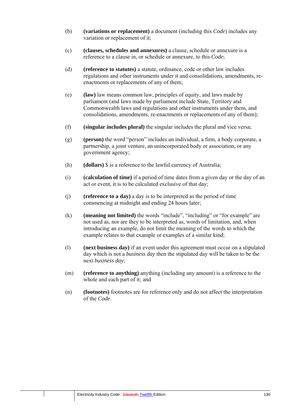- (b) **(variations or replacement)** a document (including this *Code*) includes any variation or replacement of it;
- (c) **(clauses, schedules and annexures)** a clause, schedule or annexure is a reference to a clause in, or schedule or annexure, to this *Code*;
- (d) **(reference to statutes)** a statute, ordinance, code or other law includes regulations and other instruments under it and consolidations, amendments, reenactments or replacements of any of them;
- (e) **(law)** law means common law, principles of equity, and laws made by parliament (and laws made by parliament include State, Territory and Commonwealth laws and regulations and other instruments under them, and consolidations, amendments, re-enactments or replacements of any of them);
- (f) **(singular includes plural)** the singular includes the plural and vice versa;
- (g) **(person)** the word "person" includes an individual, a firm, a body corporate, a partnership, a joint venture, an unincorporated body or association, or any government agency;
- (h) **(dollars)** \$ is a reference to the lawful currency of Australia;
- (i) **(calculation of time)** if a period of time dates from a given day or the day of an act or event, it is to be calculated exclusive of that day;
- (j) **(reference to a day)** a day is to be interpreted as the period of time commencing at midnight and ending 24 hours later;
- (k) **(meaning not limited)** the words "include", "including" or "for example" are not used as, nor are they to be interpreted as, words of limitation, and, when introducing an example, do not limit the meaning of the words to which the example relates to that example or examples of a similar kind;
- (l) **(next business day)** if an event under this agreement must occur on a stipulated day which is not a *business day* then the stipulated day will be taken to be the next *business day*;
- (m) **(reference to anything)** anything (including any amount) is a reference to the whole and each part of it; and
- (n) **(footnotes)** footnotes are for reference only and do not affect the interpretation of the *Code*.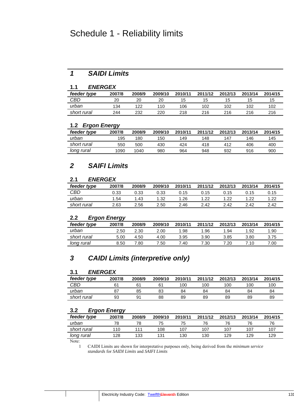## Schedule 1 - Reliability limits

## *1 SAIDI Limits*

#### **1.1** *ENERGEX*

| feeder type | 2007/8 | 2008/9 | 2009/10 | 2010/11 | 2011/12 | 2012/13 | 2013/14 | 2014/15 |
|-------------|--------|--------|---------|---------|---------|---------|---------|---------|
| CBD         | 20     | 20     | 20      | 15      | ıь      | כ ו     | כ ו     | כ ו     |
| urban       | 134    | 122    | 110     | 106     | 102     | 102     | 102     | 102     |
| short rural | 244    | 232    | 220     | 218     | 216     | 216     | 216     | 216     |

#### **1.2** *Ergon Energy*

| feeder type | 2007/8 | 2008/9 | 2009/10 | 2010/11 | 2011/12 | 2012/13 | 2013/14 | 2014/15 |
|-------------|--------|--------|---------|---------|---------|---------|---------|---------|
| urban       | 195    | 180    | 150     | 149     | 148     | 147     | 146     | 145     |
| short rural | 550    | 500    | 430     | 424     | 418     | 412     | 406     | 400     |
| long rural  | 1090   | 1040   | 980     | 964     | 948     | 932     | 916     | 900     |

### *2 SAIFI Limits*

#### **2.1** *ENERGEX*

| feeder type | 2007/8 | 2008/9 | 2009/10 | 2010/11 | 2011/12 | 2012/13 | 2013/14 | 2014/15 |
|-------------|--------|--------|---------|---------|---------|---------|---------|---------|
| CBD         | J.33   | 0.33   | 0.33    | 0.15    | 0.15    | 0.15    | 0.15    | 0.15    |
| urban       | 1.54   | 1.43   | 1.32    | 1.26    | 1.22    | 1.22    | 1.22    | 1.22    |
| short rural | 2.63   | 2.56   | 2.50    | 2.46    | 2.42    | 2.42    | 2.42    | 2.42    |

#### **2.2** *Ergon Energy*

|                   | --     |        |         |         |         |         |         |         |
|-------------------|--------|--------|---------|---------|---------|---------|---------|---------|
| feeder type       | 2007/8 | 2008/9 | 2009/10 | 2010/11 | 2011/12 | 2012/13 | 2013/14 | 2014/15 |
| urban             | 2.50   | 2.30   | 2.00    | 1.98    | .96     | 1.94    | 1.92    | 1.90    |
| short rural       | 5.00   | 4.50   | 4.00    | 3.95    | 3.90    | 3.85    | 3.80    | 3.75    |
| <u>long rural</u> | 8.50   | 7.80   | 7.50    | 7.40    | 7.30    | '.20    | 7.10    | .00     |
|                   |        |        |         |         |         |         |         |         |

## *3 CAIDI Limits (interpretive only)*

#### **3.1** *ENERGEX*

| feeder type | 2007/8 | 2008/9         | 2009/10 | 2010/11 | 2011/12 | 2012/13 | 2013/14 | 2014/15 |
|-------------|--------|----------------|---------|---------|---------|---------|---------|---------|
| CBD         |        | 6 <sup>4</sup> |         | 100     | 100     | 100     | 100     | 100     |
| urban       | o      | 85             | 83      | 84      | 84      | 84      | 84      | 84      |
| short rural | 93     | 91             | 88      | 89      | 89      | 89      | 89      | 89      |

#### **3.2** *Ergon Energy*

| ີ           | ັ      |        |         |         |         |         |         |         |
|-------------|--------|--------|---------|---------|---------|---------|---------|---------|
| feeder type | 2007/8 | 2008/9 | 2009/10 | 2010/11 | 2011/12 | 2012/13 | 2013/14 | 2014/15 |
| urban       | 78     |        | 75      | 75      | 76      | 76      | 76      |         |
| short rural | 110    |        | 108     | 107     | 107     | 107     | 107     | 107     |
| long rural  | 128    | 133    | 131     | 130     | 130     | 129     | 129     | 129     |
|             |        |        |         |         |         |         |         |         |

Note:

1 CAIDI Limits are shown for interpretative purposes only, being derived from the *minimum service standards* for *SAIDI Limits* and *SAIFI Limits*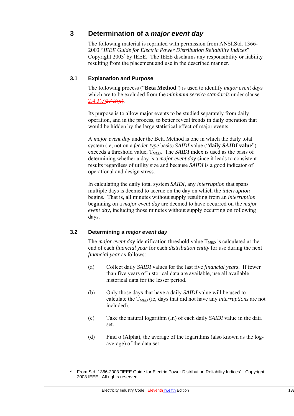### **3 Determination of a** *major event day*

The following material is reprinted with permission from ANSI.Std. 1366- 2003 "*IEEE Guide for Electric Power Distribution Reliability Indices*" Copyright 2003\* by IEEE. The IEEE disclaims any responsibility or liability resulting from the placement and use in the described manner.

#### **3.1 Explanation and Purpose**

The following process ("**Beta Method**") is used to identify *major event days*  which are to be excluded from the *minimum service standards* under clause  $2.4.3(c)2.4.3(e)$ .

Its purpose is to allow major events to be studied separately from daily operation, and in the process, to better reveal trends in daily operation that would be hidden by the large statistical effect of major events.

A *major event day* under the Beta Method is one in which the daily total system (ie, not on a *feeder type* basis) *SAIDI* value ("**daily** *SAIDI* **value**") exceeds a threshold value,  $T_{MED}$ . The *SAIDI* index is used as the basis of determining whether a day is a *major event day* since it leads to consistent results regardless of utility size and because *SAIDI* is a good indicator of operational and design stress.

In calculating the daily total system *SAIDI*, any *interruption* that spans multiple days is deemed to accrue on the day on which the *interruption* begins. That is, all minutes without supply resulting from an *interruption*  beginning on a *major event day* are deemed to have occurred on the *major event day,* including those minutes without supply occurring on following days*.*

#### **3.2 Determining a** *major event day*

-

The *major event day* identification threshold value T*MED* is calculated at the end of each *financial year* for each *distribution entity* for use during the next *financial year* as follows:

- (a) Collect daily *SAIDI* values for the last five *financial year*s. If fewer than five years of historical data are available, use all available historical data for the lesser period.
- (b) Only those days that have a daily *SAIDI* value will be used to calculate the T*MED* (ie, days that did not have any *interruptions* are not included).
- (c) Take the natural logarithm (In) of each daily *SAIDI* value in the data set.
- (d) Find  $\alpha$  (Alpha), the average of the logarithms (also known as the logaverage) of the data set.

<sup>\*</sup> From Std. 1366-2003 "IEEE Guide for Electric Power Distribution Reliability Indices". Copyright 2003 IEEE. All rights reserved.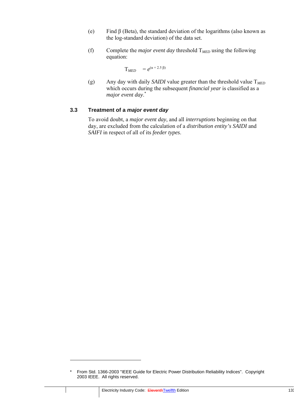- (e) Find  $\beta$  (Beta), the standard deviation of the logarithms (also known as the log-standard deviation) of the data set.
- (f) Complete the *major event day* threshold T*MED* using the following equation:

$$
T_{MED} = e^{(\alpha + 2.5 \beta)}
$$

(g) Any day with daily *SAIDI* value greater than the threshold value T*MED* which occurs during the subsequent *financial year* is classified as a *major event day*. \*

#### **3.3 Treatment of a** *major event day*

To avoid doubt, a *major event day*, and all *interruptions* beginning on that day, are excluded from the calculation of a *distribution entity's SAIDI* and *SAIFI* in respect of all of its *feeder types*.

-

<sup>\*</sup> From Std. 1366-2003 "IEEE Guide for Electric Power Distribution Reliability Indices". Copyright 2003 IEEE. All rights reserved.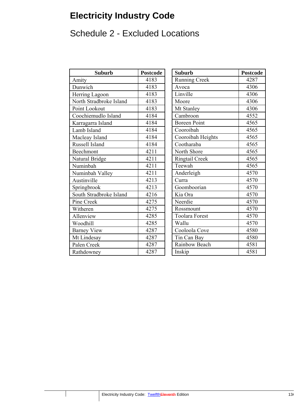# **Electricity Industry Code**

# Schedule 2 - Excluded Locations

| <b>Suburb</b>           | <b>Postcode</b> | <b>Suburb</b>         | Postcod |
|-------------------------|-----------------|-----------------------|---------|
| Amity                   | 4183            | <b>Running Creek</b>  | 4287    |
| Dunwich                 | 4183            | Avoca                 | 4306    |
| Herring Lagoon          | 4183            | Linville              | 4306    |
| North Stradbroke Island | 4183            | Moore                 | 4306    |
| Point Lookout           | 4183            | Mt Stanley            | 4306    |
| Coochiemudlo Island     | 4184            | Cambroon              | 4552    |
| Karragarra Island       | 4184            | <b>Boreen Point</b>   | 4565    |
| Lamb Island             | 4184            | Cooroibah             | 4565    |
| Macleay Island          | 4184            | Cooroibah Heights     | 4565    |
| Russell Island          | 4184            | Cootharaba            | 4565    |
| Beechmont               | 4211            | North Shore           | 4565    |
| Natural Bridge          | 4211            | <b>Ringtail Creek</b> | 4565    |
| Numinbah                | 4211            | Teewah                | 4565    |
| Numinbah Valley         | 4211            | Anderleigh            | 4570    |
| Austinville             | 4213            | Curra                 | 4570    |
| Springbrook             | 4213            | Goomboorian           | 4570    |
| South Stradbroke Island | 4216            | Kia Ora               | 4570    |
| Pine Creek              | 4275            | Neerdie               | 4570    |
| Witheren                | 4275            | Rossmount             | 4570    |
| Allenview               | 4285            | <b>Toolara Forest</b> | 4570    |
| Woodhill                | 4285            | Wallu                 | 4570    |
| <b>Barney View</b>      | 4287            | Cooloola Cove         | 4580    |
| Mt Lindesay             | 4287            | Tin Can Bay           | 4580    |
| Palen Creek             | 4287            | Rainbow Beach         | 4581    |
| Rathdowney              | 4287            | Inskip                | 4581    |

|      |                       | <b>Postcode</b> |
|------|-----------------------|-----------------|
| 4183 | <b>Running Creek</b>  | 4287            |
| 4183 | Avoca                 | 4306            |
| 4183 | Linville              | 4306            |
| 4183 | Moore                 | 4306            |
| 4183 | Mt Stanley            | 4306            |
| 4184 | Cambroon              | 4552            |
| 4184 | <b>Boreen Point</b>   | 4565            |
| 4184 | Cooroibah             | 4565            |
| 4184 | Cooroibah Heights     | 4565            |
| 4184 | Cootharaba            | 4565            |
| 4211 | North Shore           | 4565            |
| 4211 | <b>Ringtail Creek</b> | 4565            |
| 4211 | Teewah                | 4565            |
| 4211 | Anderleigh            | 4570            |
| 4213 | Curra                 | 4570            |
| 4213 | Goomboorian           | 4570            |
| 4216 | Kia Ora               | 4570            |
| 4275 | Neerdie               | 4570            |
| 4275 | Rossmount             | 4570            |
| 4285 | <b>Toolara Forest</b> | 4570            |
| 4285 | Wallu                 | 4570            |
| 4287 | Cooloola Cove         | 4580            |
| 4287 | Tin Can Bay           | 4580            |
| 4287 | Rainbow Beach         | 4581            |
| 4287 | Inskip                | 4581            |
|      | <b>Postcode</b>       | <b>Suburb</b>   |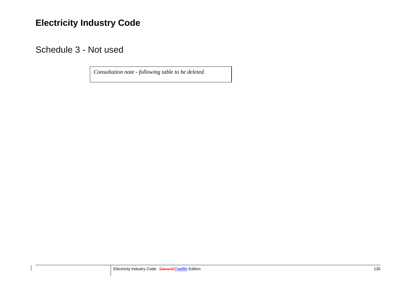## **Electricity Industry Code**

Schedule 3 - Not used

*Consultation note - following table to be deleted.*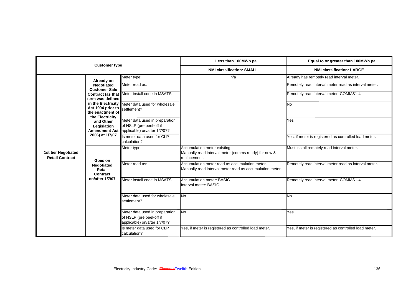|                                                      | <b>Customer type</b>                                                           |                                                                                            | Less than 100MWh pa                                                                                        | Equal to or greater than 100MWh pa                    |
|------------------------------------------------------|--------------------------------------------------------------------------------|--------------------------------------------------------------------------------------------|------------------------------------------------------------------------------------------------------------|-------------------------------------------------------|
|                                                      |                                                                                |                                                                                            | <b>NMI classification: SMALL</b>                                                                           | <b>NMI classification: LARGE</b>                      |
|                                                      | Already on                                                                     | Meter type:                                                                                | n/a                                                                                                        | Already has remotely read interval meter.             |
|                                                      | Negotiated<br><b>Customer Sale</b>                                             | Meter read as:                                                                             |                                                                                                            | Remotely read interval meter read as interval meter.  |
|                                                      | term was defined                                                               | Contract (as that Meter install code in MSATS                                              |                                                                                                            | Remotely read interval meter: COMMS1-4                |
|                                                      | in the Electricity<br>Act 1994 prior to<br>the enactment of<br>the Electricity | Meter data used for wholesale<br>settlement?                                               |                                                                                                            | <b>No</b>                                             |
|                                                      | and Other<br>Legislation<br><b>Amendment Act</b>                               | Meter data used in preparation<br>of NSLP (pre peel-off if<br>applicable) on/after 1/7/07? |                                                                                                            | Yes                                                   |
|                                                      | 2006) at 1/7/07                                                                | Is meter data used for CLP<br>calculation?                                                 |                                                                                                            | Yes, if meter is registered as controlled load meter. |
| <b>1st tier Negotiated</b><br><b>Retail Contract</b> | Goes on                                                                        | Meter type:                                                                                | Accumulation meter existing.<br>Manually read interval meter (comms ready) for new &<br>replacement.       | Must install remotely read interval meter.            |
|                                                      | Negotiated<br>Retail<br>Contract                                               | Meter read as:                                                                             | Accumulation meter read as accumulation meter.<br>Manually read interval meter read as accumulation meter. | Remotely read interval meter read as interval meter.  |
|                                                      | on/after 1/7/07                                                                | Meter install code in MSATS                                                                | <b>Accumulation meter: BASIC</b><br>Interval meter: BASIC                                                  | Remotely read interval meter: COMMS1-4                |
|                                                      |                                                                                | Meter data used for wholesale<br>settlement?                                               | <b>No</b>                                                                                                  | No                                                    |
|                                                      |                                                                                | Meter data used in preparation<br>of NSLP (pre peel-off if<br>applicable) on/after 1/7/07? | <b>No</b>                                                                                                  | Yes                                                   |
|                                                      |                                                                                | Is meter data used for CLP<br>calculation?                                                 | Yes, if meter is registered as controlled load meter.                                                      | Yes, if meter is registered as controlled load meter. |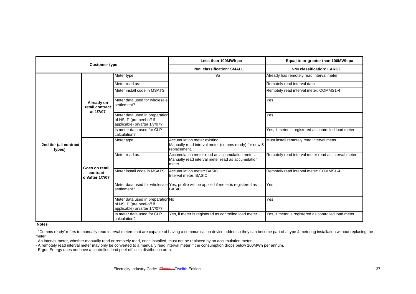|                                  | <b>Customer type</b>                          |                                                                                               | Less than 100MWh pa                                                                                           | Equal to or greater than 100MWh pa                    |
|----------------------------------|-----------------------------------------------|-----------------------------------------------------------------------------------------------|---------------------------------------------------------------------------------------------------------------|-------------------------------------------------------|
|                                  |                                               |                                                                                               | <b>NMI classification: SMALL</b>                                                                              | <b>NMI classification: LARGE</b>                      |
|                                  |                                               | Meter type:                                                                                   | n/a                                                                                                           | Already has remotely read interval meter.             |
|                                  |                                               | Meter read as:                                                                                |                                                                                                               | Remotely read interval data                           |
|                                  |                                               | Meter install code in MSATS                                                                   |                                                                                                               | Remotely read interval meter: COMMS1-4                |
|                                  | Already on<br>retail contract<br>at 1/7/07    | Meter data used for wholesale<br>settlement?                                                  |                                                                                                               | Yes                                                   |
|                                  |                                               | Meter data used in preparation<br>of NSLP (pre peel-off if<br>applicable) on/after 1/7/07?    |                                                                                                               | Yes                                                   |
|                                  |                                               | Is meter data used for CLP<br>calculation?                                                    |                                                                                                               | Yes, if meter is registered as controlled load meter. |
| 2nd tier (all contract<br>types) |                                               | Meter type:                                                                                   | Accumulation meter existing.<br>Manually read interval meter (comms ready) for new &<br>replacement.          | Must install remotely read interval meter.            |
|                                  |                                               | Meter read as:                                                                                | Accumulation meter read as accumulation meter.<br>Manually read interval meter read as accumulation<br>meter. | Remotely read interval meter read as interval meter.  |
|                                  | Goes on retail<br>contract<br>on/after 1/7/07 | Meter install code in MSATS                                                                   | <b>Accumulation meter: BASIC</b><br>Interval meter: BASIC                                                     | Remotely read interval meter: COMMS1-4                |
|                                  |                                               | settlement?                                                                                   | Meter data used for wholesale Yes, profile will be applied if meter is registered as<br><b>BASIC</b>          | Yes                                                   |
|                                  |                                               | Meter data used in preparation No<br>of NSLP (pre peel-off if<br>applicable) on/after 1/7/07? |                                                                                                               | Yes                                                   |
|                                  |                                               | Is meter data used for CLP<br>calculation?                                                    | Yes, if meter is registered as controlled load meter.                                                         | Yes, if meter is registered as controlled load meter. |

**Notes**

- "Comms ready' refers to manually read interval meters that are capable of having a communication device added so they can become part of a type 4 metering installation without replacing the meter

- An interval meter, whether manually read or remotely read, once installed, must not be replaced by an accumulation meter.

- A remotely read interval meter may only be converted to a manually read interval meter if the consumption drops below 100MWh per annum.

- Ergon Energy does not have a controlled load peel-off in its distribution area.